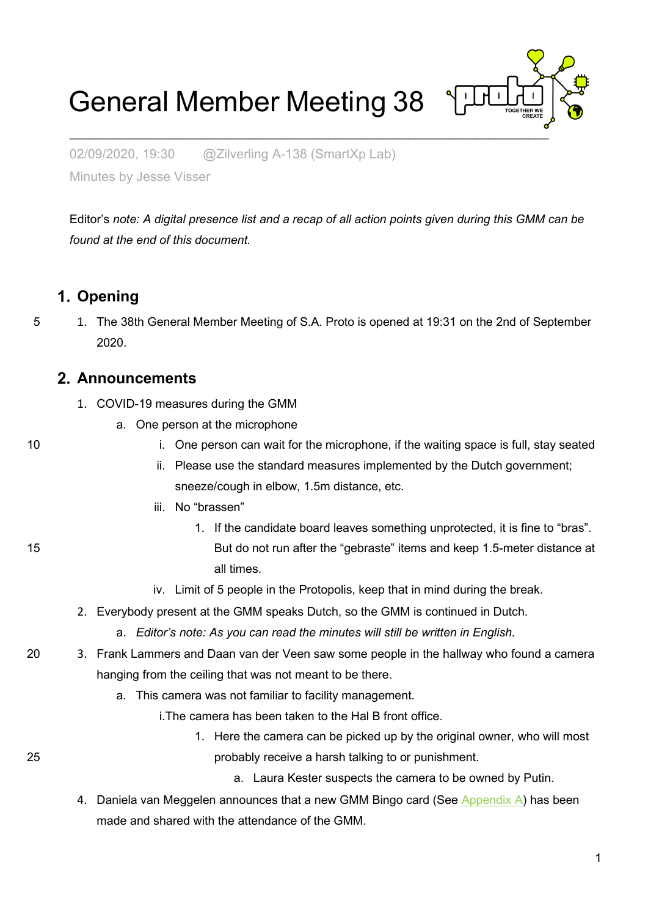# General Member Meeting 38



02/09/2020, 19:30 @Zilverling A-138 (SmartXp Lab)

Minutes by Jesse Visser

Editor's *note: A digital presence list and a recap of all action points given during this GMM can be found at the end of this document.*

#### **Opening**

5 1. The 38th General Member Meeting of S.A. Proto is opened at 19:31 on the 2nd of September 2020.

#### **Announcements**

- 1. COVID-19 measures during the GMM
	- a. One person at the microphone
- 10 i. One person can wait for the microphone, if the waiting space is full, stay seated
	- ii. Please use the standard measures implemented by the Dutch government; sneeze/cough in elbow, 1.5m distance, etc.
	- iii. No "brassen"
- 1. If the candidate board leaves something unprotected, it is fine to "bras". 15 But do not run after the "gebraste" items and keep 1.5-meter distance at all times.
	- iv. Limit of 5 people in the Protopolis, keep that in mind during the break.
	- 2. Everybody present at the GMM speaks Dutch, so the GMM is continued in Dutch.
		- a. *Editor's note: As you can read the minutes will still be written in English.*
- 20 3. Frank Lammers and Daan van der Veen saw some people in the hallway who found a camera hanging from the ceiling that was not meant to be there.
	- a. This camera was not familiar to facility management.
		- i.The camera has been taken to the Hal B front office.
- 1. Here the camera can be picked up by the original owner, who will most 25 probably receive a harsh talking to or punishment.
	- a. Laura Kester suspects the camera to be owned by Putin.
	- 4. Daniela van Meggelen announces that a new GMM Bingo card (See [Appendix A\)](#page-50-0) has been made and shared with the attendance of the GMM.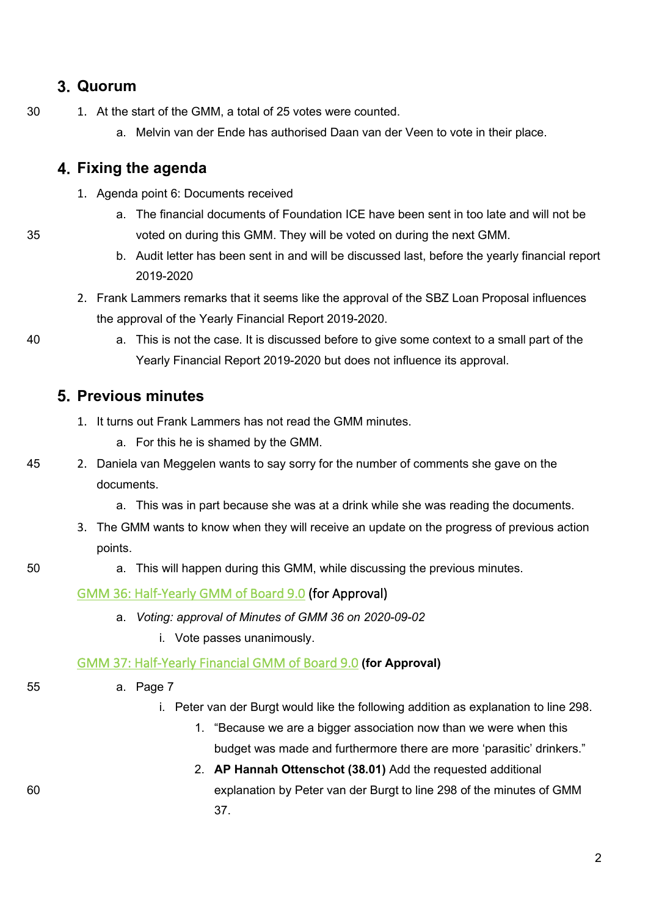## **Quorum**

- 30 1. At the start of the GMM, a total of 25 votes were counted.
	- a. Melvin van der Ende has authorised Daan van der Veen to vote in their place.

#### **Fixing the agenda**

- 1. Agenda point 6: Documents received
- a. The financial documents of Foundation ICE have been sent in too late and will not be 35 voted on during this GMM. They will be voted on during the next GMM.
	- b. Audit letter has been sent in and will be discussed last, before the yearly financial report 2019-2020
	- 2. Frank Lammers remarks that it seems like the approval of the SBZ Loan Proposal influences the approval of the Yearly Financial Report 2019-2020.
- 

40 a. This is not the case. It is discussed before to give some context to a small part of the Yearly Financial Report 2019-2020 but does not influence its approval.

#### **Previous minutes**

- 1. It turns out Frank Lammers has not read the GMM minutes.
	- a. For this he is shamed by the GMM.
- 45 2. Daniela van Meggelen wants to say sorry for the number of comments she gave on the documents.
	- a. This was in part because she was at a drink while she was reading the documents.
	- 3. The GMM wants to know when they will receive an update on the progress of previous action points.
- 50 a. This will happen during this GMM, while discussing the previous minutes.

#### [GMM 36: Half-Yearly GMM of Board 9.0](https://wiki.proto.utwente.nl/_media/proto/gmmdocs/minutes_gmm_36.pdf) (for Approval)

- a. *Voting: approval of Minutes of GMM 36 on 2020-09-02*
	- i. Vote passes unanimously.

#### [GMM 37: Half-Yearly Financial GMM of Board 9.0](https://wiki.proto.utwente.nl/_media/proto/gmmdocs/notulen_gmm_37_-_final.pdf) **(for Approval)**

- 55 a. Page 7
	- i. Peter van der Burgt would like the following addition as explanation to line 298.
		- 1. "Because we are a bigger association now than we were when this budget was made and furthermore there are more 'parasitic' drinkers."
- 2. **AP Hannah Ottenschot (38.01)** Add the requested additional 60 explanation by Peter van der Burgt to line 298 of the minutes of GMM 37.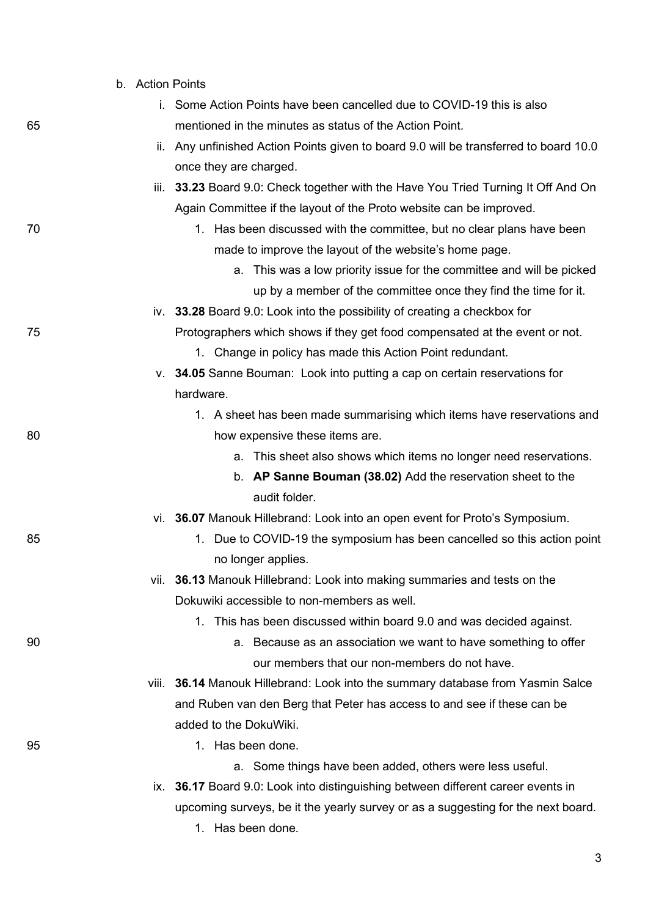|    | b. Action Points |                                                                                       |
|----|------------------|---------------------------------------------------------------------------------------|
|    |                  | i. Some Action Points have been cancelled due to COVID-19 this is also                |
| 65 |                  | mentioned in the minutes as status of the Action Point.                               |
|    |                  | ii. Any unfinished Action Points given to board 9.0 will be transferred to board 10.0 |
|    |                  | once they are charged.                                                                |
|    |                  | iii. 33.23 Board 9.0: Check together with the Have You Tried Turning It Off And On    |
|    |                  | Again Committee if the layout of the Proto website can be improved.                   |
| 70 |                  | 1. Has been discussed with the committee, but no clear plans have been                |
|    |                  | made to improve the layout of the website's home page.                                |
|    |                  | a. This was a low priority issue for the committee and will be picked                 |
|    |                  | up by a member of the committee once they find the time for it.                       |
|    |                  | iv. 33.28 Board 9.0: Look into the possibility of creating a checkbox for             |
| 75 |                  | Protographers which shows if they get food compensated at the event or not.           |
|    |                  | 1. Change in policy has made this Action Point redundant.                             |
|    |                  | v. 34.05 Sanne Bouman: Look into putting a cap on certain reservations for            |
|    |                  | hardware.                                                                             |
|    |                  | 1. A sheet has been made summarising which items have reservations and                |
| 80 |                  | how expensive these items are.                                                        |
|    |                  | a. This sheet also shows which items no longer need reservations.                     |
|    |                  | b. AP Sanne Bouman (38.02) Add the reservation sheet to the                           |
|    |                  | audit folder.                                                                         |
|    |                  | vi. 36.07 Manouk Hillebrand: Look into an open event for Proto's Symposium.           |
| 85 |                  | Due to COVID-19 the symposium has been cancelled so this action point<br>1.           |
|    |                  | no longer applies.                                                                    |
|    |                  | vii. 36.13 Manouk Hillebrand: Look into making summaries and tests on the             |
|    |                  | Dokuwiki accessible to non-members as well.                                           |
|    |                  | 1. This has been discussed within board 9.0 and was decided against.                  |
| 90 |                  | a. Because as an association we want to have something to offer                       |
|    |                  | our members that our non-members do not have.                                         |
|    |                  | viii. 36.14 Manouk Hillebrand: Look into the summary database from Yasmin Salce       |
|    |                  | and Ruben van den Berg that Peter has access to and see if these can be               |
|    |                  | added to the DokuWiki.                                                                |
| 95 |                  | 1. Has been done.                                                                     |
|    |                  | a. Some things have been added, others were less useful.                              |
|    |                  | ix. 36.17 Board 9.0: Look into distinguishing between different career events in      |
|    |                  | upcoming surveys, be it the yearly survey or as a suggesting for the next board.      |
|    |                  | 1. Has been done.                                                                     |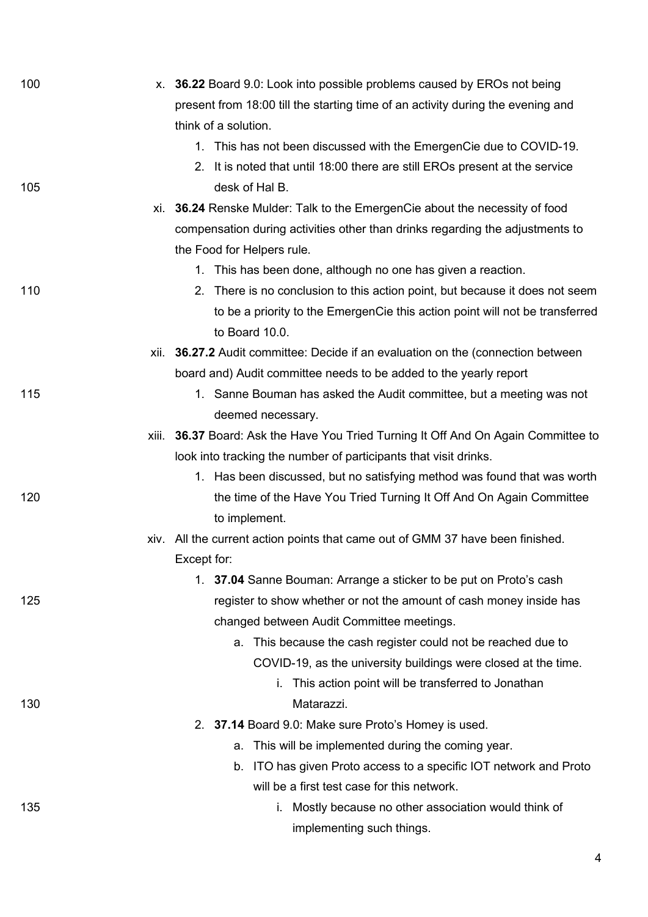| 100 | x. 36.22 Board 9.0: Look into possible problems caused by EROs not being              |
|-----|---------------------------------------------------------------------------------------|
|     | present from 18:00 till the starting time of an activity during the evening and       |
|     | think of a solution.                                                                  |
|     | 1. This has not been discussed with the EmergenCie due to COVID-19.                   |
|     | 2. It is noted that until 18:00 there are still EROs present at the service           |
| 105 | desk of Hal B.                                                                        |
|     | xi. 36.24 Renske Mulder: Talk to the EmergenCie about the necessity of food           |
|     | compensation during activities other than drinks regarding the adjustments to         |
|     | the Food for Helpers rule.                                                            |
|     | 1. This has been done, although no one has given a reaction.                          |
| 110 | 2. There is no conclusion to this action point, but because it does not seem          |
|     | to be a priority to the EmergenCie this action point will not be transferred          |
|     | to Board 10.0.                                                                        |
|     | xii. 36.27.2 Audit committee: Decide if an evaluation on the (connection between      |
|     | board and) Audit committee needs to be added to the yearly report                     |
| 115 | 1. Sanne Bouman has asked the Audit committee, but a meeting was not                  |
|     | deemed necessary.                                                                     |
|     | 36.37 Board: Ask the Have You Tried Turning It Off And On Again Committee to<br>xiii. |
|     | look into tracking the number of participants that visit drinks.                      |
|     | 1. Has been discussed, but no satisfying method was found that was worth              |
| 120 | the time of the Have You Tried Turning It Off And On Again Committee                  |
|     | to implement.                                                                         |
|     | xiv. All the current action points that came out of GMM 37 have been finished.        |
|     | Except for:                                                                           |
|     | 1. 37.04 Sanne Bouman: Arrange a sticker to be put on Proto's cash                    |
| 125 | register to show whether or not the amount of cash money inside has                   |
|     | changed between Audit Committee meetings.                                             |
|     | This because the cash register could not be reached due to<br>a.                      |
|     | COVID-19, as the university buildings were closed at the time.                        |
|     | i. This action point will be transferred to Jonathan                                  |
| 130 | Matarazzi.                                                                            |
|     | 2. 37.14 Board 9.0: Make sure Proto's Homey is used.                                  |
|     | This will be implemented during the coming year.<br>a.                                |
|     | ITO has given Proto access to a specific IOT network and Proto<br>b.                  |
|     | will be a first test case for this network.                                           |
| 135 | i. Mostly because no other association would think of                                 |
|     | implementing such things.                                                             |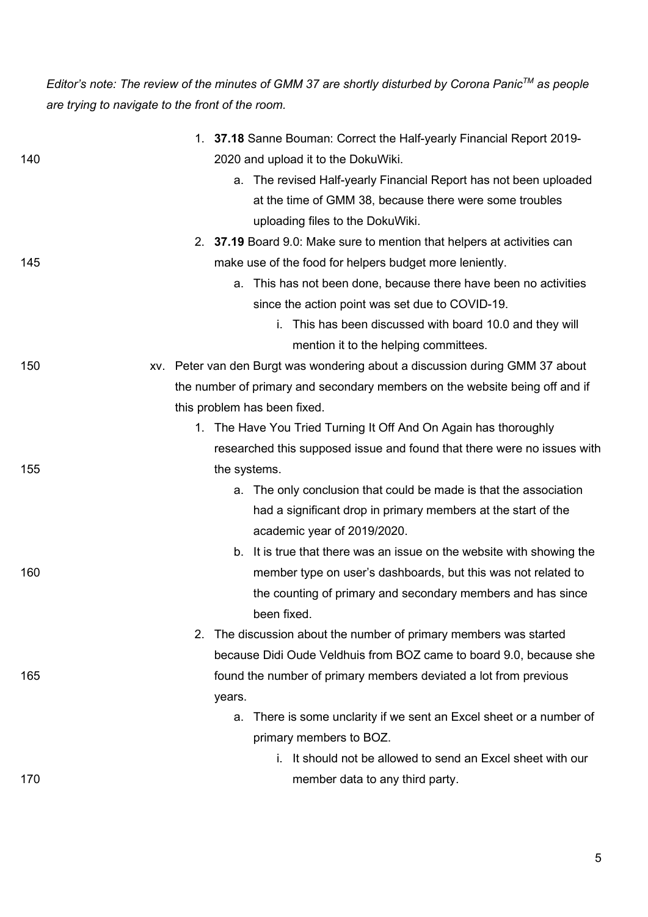*Editor's note: The review of the minutes of GMM 37 are shortly disturbed by Corona PanicTM as people are trying to navigate to the front of the room.*

|     | 1. 37.18 Sanne Bouman: Correct the Half-yearly Financial Report 2019-        |
|-----|------------------------------------------------------------------------------|
| 140 | 2020 and upload it to the DokuWiki.                                          |
|     | a. The revised Half-yearly Financial Report has not been uploaded            |
|     | at the time of GMM 38, because there were some troubles                      |
|     | uploading files to the DokuWiki.                                             |
|     | 2. 37.19 Board 9.0: Make sure to mention that helpers at activities can      |
| 145 | make use of the food for helpers budget more leniently.                      |
|     | a. This has not been done, because there have been no activities             |
|     | since the action point was set due to COVID-19.                              |
|     | This has been discussed with board 10.0 and they will                        |
|     | mention it to the helping committees.                                        |
| 150 | xv. Peter van den Burgt was wondering about a discussion during GMM 37 about |
|     | the number of primary and secondary members on the website being off and if  |
|     | this problem has been fixed.                                                 |
|     | 1. The Have You Tried Turning It Off And On Again has thoroughly             |
|     | researched this supposed issue and found that there were no issues with      |
| 155 | the systems.                                                                 |
|     | a. The only conclusion that could be made is that the association            |
|     | had a significant drop in primary members at the start of the                |
|     | academic year of 2019/2020.                                                  |
|     | b. It is true that there was an issue on the website with showing the        |
| 160 | member type on user's dashboards, but this was not related to                |
|     | the counting of primary and secondary members and has since                  |
|     | been fixed.                                                                  |
|     | The discussion about the number of primary members was started<br>2.         |
|     | because Didi Oude Veldhuis from BOZ came to board 9.0, because she           |
| 165 | found the number of primary members deviated a lot from previous             |
|     | years.                                                                       |
|     | There is some unclarity if we sent an Excel sheet or a number of<br>a.       |
|     | primary members to BOZ.                                                      |
|     | i. It should not be allowed to send an Excel sheet with our                  |
| 170 | member data to any third party.                                              |
|     |                                                                              |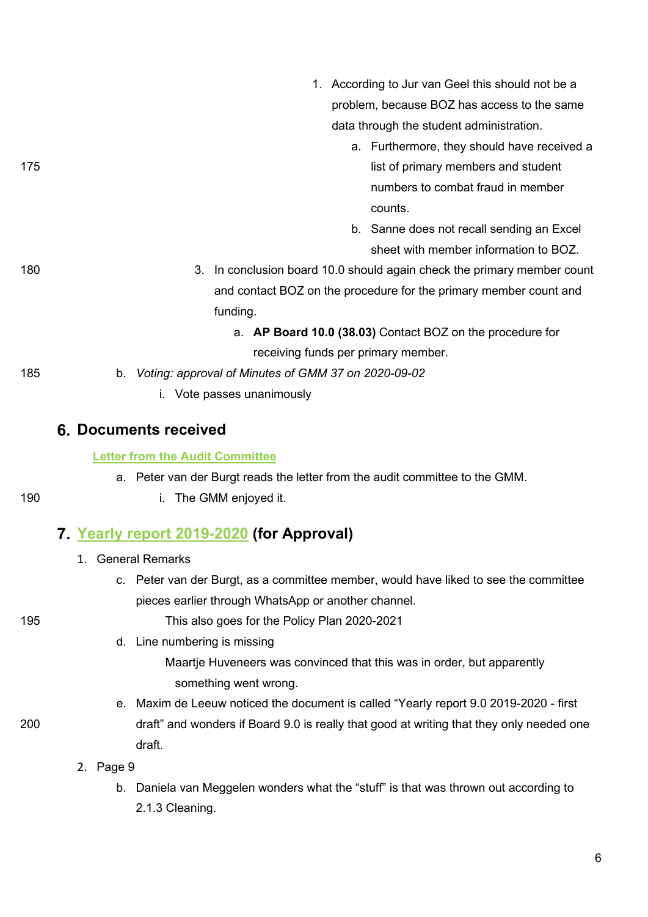|     | 1. According to Jur van Geel this should not be a                       |
|-----|-------------------------------------------------------------------------|
|     | problem, because BOZ has access to the same                             |
|     | data through the student administration.                                |
|     | a. Furthermore, they should have received a                             |
| 175 | list of primary members and student                                     |
|     | numbers to combat fraud in member                                       |
|     | counts.                                                                 |
|     | b. Sanne does not recall sending an Excel                               |
|     | sheet with member information to BOZ.                                   |
| 180 | 3. In conclusion board 10.0 should again check the primary member count |
|     | and contact BOZ on the procedure for the primary member count and       |
|     | funding.                                                                |
|     | a. AP Board 10.0 (38.03) Contact BOZ on the procedure for               |
|     | receiving funds per primary member.                                     |
| 185 | Voting: approval of Minutes of GMM 37 on 2020-09-02<br>b.               |
|     | Vote passes unanimously                                                 |
|     |                                                                         |

#### **Documents received**

#### **[Letter from the Audit Committee](https://wiki.proto.utwente.nl/_media/proto/gmmdocs/audit_letter_gmm_38_.pdf)**

a. Peter van der Burgt reads the letter from the audit committee to the GMM.

#### 190 i. The GMM enjoyed it.

## **[Yearly report 2019-2020](https://wiki.proto.utwente.nl/_media/proto/gmmdocs/yearly_report_9.0_2019-2020_-_first_draft.pdf) (for Approval)**

- 1. General Remarks
	- c. Peter van der Burgt, as a committee member, would have liked to see the committee pieces earlier through WhatsApp or another channel.

195 This also goes for the Policy Plan 2020-2021

- d. Line numbering is missing
	- Maartje Huveneers was convinced that this was in order, but apparently something went wrong.
- e. Maxim de Leeuw noticed the document is called "Yearly report 9.0 2019-2020 first 200 draft" and wonders if Board 9.0 is really that good at writing that they only needed one draft.
	- 2. Page 9
		- b. Daniela van Meggelen wonders what the "stuff" is that was thrown out according to 2.1.3 Cleaning.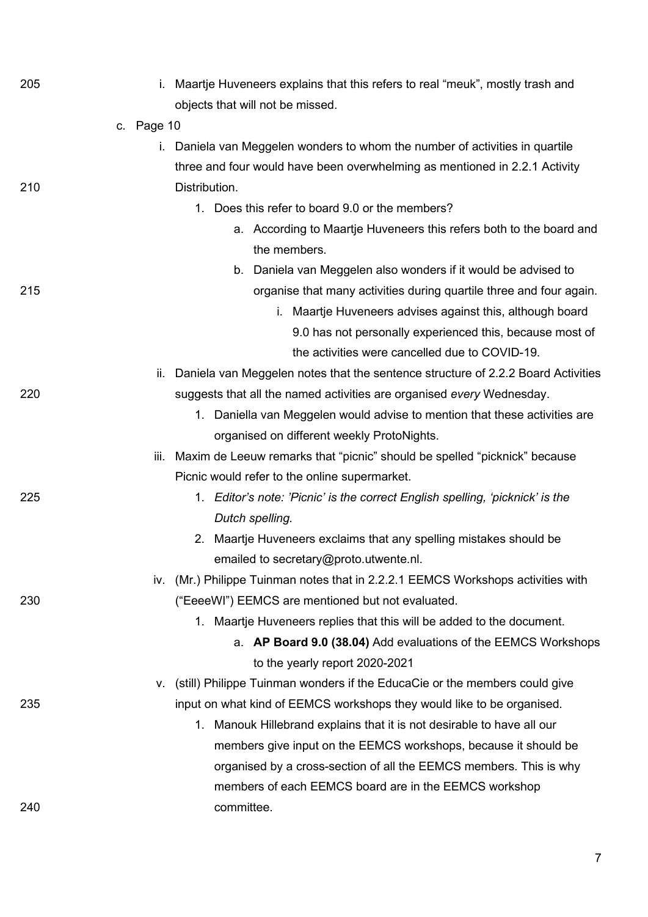| 205 | i.         | Maartje Huveneers explains that this refers to real "meuk", mostly trash and     |
|-----|------------|----------------------------------------------------------------------------------|
|     |            | objects that will not be missed.                                                 |
|     | c. Page 10 |                                                                                  |
|     | L.         | Daniela van Meggelen wonders to whom the number of activities in quartile        |
|     |            | three and four would have been overwhelming as mentioned in 2.2.1 Activity       |
| 210 |            | Distribution.                                                                    |
|     |            | Does this refer to board 9.0 or the members?<br>1.                               |
|     |            | a. According to Maartje Huveneers this refers both to the board and              |
|     |            | the members.                                                                     |
|     |            | b. Daniela van Meggelen also wonders if it would be advised to                   |
| 215 |            | organise that many activities during quartile three and four again.              |
|     |            | i. Maartje Huveneers advises against this, although board                        |
|     |            | 9.0 has not personally experienced this, because most of                         |
|     |            | the activities were cancelled due to COVID-19.                                   |
|     | ii.        | Daniela van Meggelen notes that the sentence structure of 2.2.2 Board Activities |
| 220 |            | suggests that all the named activities are organised every Wednesday.            |
|     |            | 1. Daniella van Meggelen would advise to mention that these activities are       |
|     |            | organised on different weekly ProtoNights.                                       |
|     | iii.       | Maxim de Leeuw remarks that "picnic" should be spelled "picknick" because        |
|     |            | Picnic would refer to the online supermarket.                                    |
| 225 |            | 1. Editor's note: 'Picnic' is the correct English spelling, 'picknick' is the    |
|     |            | Dutch spelling.                                                                  |
|     |            | 2. Maartje Huveneers exclaims that any spelling mistakes should be               |
|     |            | emailed to secretary@proto.utwente.nl.                                           |
|     |            | iv. (Mr.) Philippe Tuinman notes that in 2.2.2.1 EEMCS Workshops activities with |
| 230 |            | ("EeeeWI") EEMCS are mentioned but not evaluated.                                |
|     |            | 1. Maartje Huveneers replies that this will be added to the document.            |
|     |            | a. AP Board 9.0 (38.04) Add evaluations of the EEMCS Workshops                   |
|     |            | to the yearly report 2020-2021                                                   |
|     | ۷.         | (still) Philippe Tuinman wonders if the EducaCie or the members could give       |
| 235 |            | input on what kind of EEMCS workshops they would like to be organised.           |
|     |            | Manouk Hillebrand explains that it is not desirable to have all our<br>1.        |
|     |            | members give input on the EEMCS workshops, because it should be                  |
|     |            | organised by a cross-section of all the EEMCS members. This is why               |
|     |            | members of each EEMCS board are in the EEMCS workshop                            |
| 240 |            | committee.                                                                       |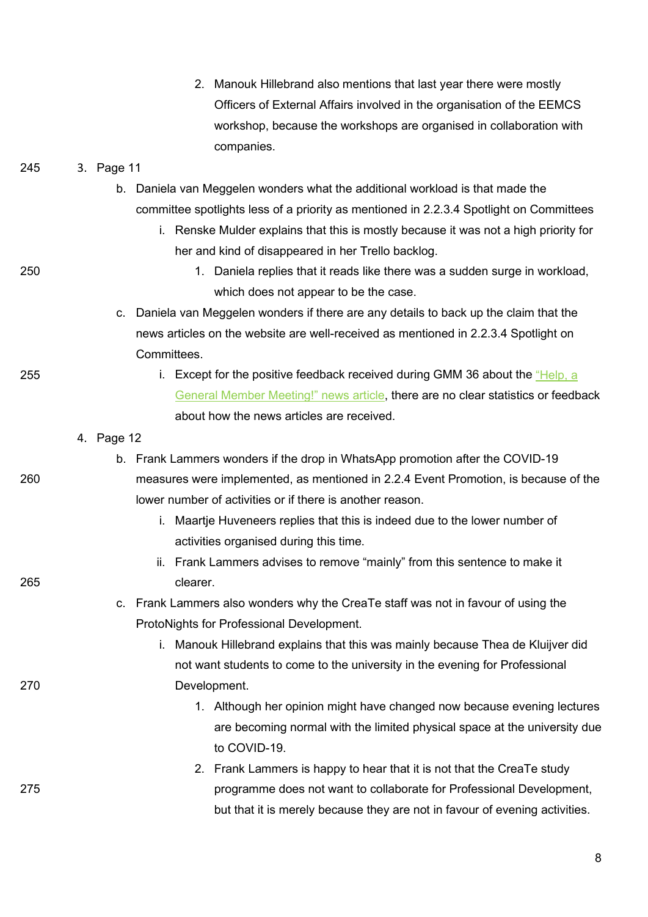|     | 2. Manouk Hillebrand also mentions that last year there were mostly                     |
|-----|-----------------------------------------------------------------------------------------|
|     | Officers of External Affairs involved in the organisation of the EEMCS                  |
|     | workshop, because the workshops are organised in collaboration with                     |
|     | companies.                                                                              |
| 245 | 3. Page 11                                                                              |
|     | b. Daniela van Meggelen wonders what the additional workload is that made the           |
|     | committee spotlights less of a priority as mentioned in 2.2.3.4 Spotlight on Committees |
|     | i. Renske Mulder explains that this is mostly because it was not a high priority for    |
|     | her and kind of disappeared in her Trello backlog.                                      |
| 250 | 1. Daniela replies that it reads like there was a sudden surge in workload,             |
|     | which does not appear to be the case.                                                   |
|     | c. Daniela van Meggelen wonders if there are any details to back up the claim that the  |
|     | news articles on the website are well-received as mentioned in 2.2.3.4 Spotlight on     |
|     | Committees.                                                                             |
| 255 | i. Except for the positive feedback received during GMM 36 about the "Help, a           |
|     | General Member Meeting!" news article, there are no clear statistics or feedback        |
|     | about how the news articles are received.                                               |
|     | 4. Page 12                                                                              |
|     | b. Frank Lammers wonders if the drop in WhatsApp promotion after the COVID-19           |
| 260 | measures were implemented, as mentioned in 2.2.4 Event Promotion, is because of the     |
|     | lower number of activities or if there is another reason.                               |
|     | i. Maartje Huveneers replies that this is indeed due to the lower number of             |
|     | activities organised during this time.                                                  |
|     | ii. Frank Lammers advises to remove "mainly" from this sentence to make it              |
| 265 | clearer.                                                                                |
|     | c. Frank Lammers also wonders why the CreaTe staff was not in favour of using the       |
|     | ProtoNights for Professional Development.                                               |
|     | i. Manouk Hillebrand explains that this was mainly because Thea de Kluijver did         |
|     | not want students to come to the university in the evening for Professional             |
| 270 | Development.                                                                            |
|     | 1. Although her opinion might have changed now because evening lectures                 |
|     | are becoming normal with the limited physical space at the university due               |
|     | to COVID-19.                                                                            |
|     | 2. Frank Lammers is happy to hear that it is not that the CreaTe study                  |
| 275 | programme does not want to collaborate for Professional Development,                    |
|     | but that it is merely because they are not in favour of evening activities.             |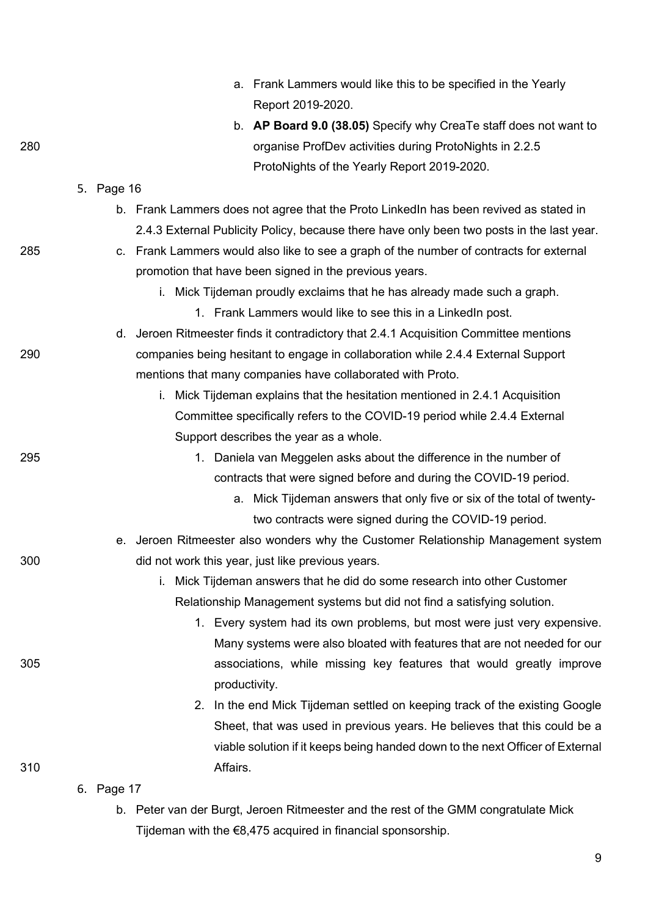|     |            | a. Frank Lammers would like this to be specified in the Yearly<br>Report 2019-2020.       |
|-----|------------|-------------------------------------------------------------------------------------------|
|     |            | b. AP Board 9.0 (38.05) Specify why CreaTe staff does not want to                         |
| 280 |            | organise ProfDev activities during ProtoNights in 2.2.5                                   |
|     |            | ProtoNights of the Yearly Report 2019-2020.                                               |
|     | 5. Page 16 |                                                                                           |
|     |            | b. Frank Lammers does not agree that the Proto LinkedIn has been revived as stated in     |
|     |            | 2.4.3 External Publicity Policy, because there have only been two posts in the last year. |
| 285 |            | c. Frank Lammers would also like to see a graph of the number of contracts for external   |
|     |            | promotion that have been signed in the previous years.                                    |
|     |            | i. Mick Tijdeman proudly exclaims that he has already made such a graph.                  |
|     |            | 1. Frank Lammers would like to see this in a Linked n post.                               |
|     |            | d. Jeroen Ritmeester finds it contradictory that 2.4.1 Acquisition Committee mentions     |
| 290 |            | companies being hesitant to engage in collaboration while 2.4.4 External Support          |
|     |            | mentions that many companies have collaborated with Proto.                                |
|     |            | Mick Tijdeman explains that the hesitation mentioned in 2.4.1 Acquisition<br>i.           |
|     |            | Committee specifically refers to the COVID-19 period while 2.4.4 External                 |
|     |            | Support describes the year as a whole.                                                    |
| 295 |            | Daniela van Meggelen asks about the difference in the number of<br>1.                     |
|     |            | contracts that were signed before and during the COVID-19 period.                         |
|     |            | a. Mick Tijdeman answers that only five or six of the total of twenty-                    |
|     |            | two contracts were signed during the COVID-19 period.                                     |
|     | е.         | Jeroen Ritmeester also wonders why the Customer Relationship Management system            |
| 300 |            | did not work this year, just like previous years.                                         |
|     |            | Mick Tijdeman answers that he did do some research into other Customer<br>Ť.              |
|     |            | Relationship Management systems but did not find a satisfying solution.                   |
|     |            | Every system had its own problems, but most were just very expensive.<br>1.               |
|     |            | Many systems were also bloated with features that are not needed for our                  |
| 305 |            | associations, while missing key features that would greatly improve                       |
|     |            | productivity.                                                                             |
|     |            | In the end Mick Tijdeman settled on keeping track of the existing Google<br>2.            |
|     |            | Sheet, that was used in previous years. He believes that this could be a                  |
|     |            | viable solution if it keeps being handed down to the next Officer of External             |
| 310 |            | Affairs.                                                                                  |
|     | 6. Page 17 |                                                                                           |
|     |            | b. Peter van der Burgt, Jeroen Ritmeester and the rest of the GMM congratulate Mick       |

Tijdeman with the €8,475 acquired in financial sponsorship.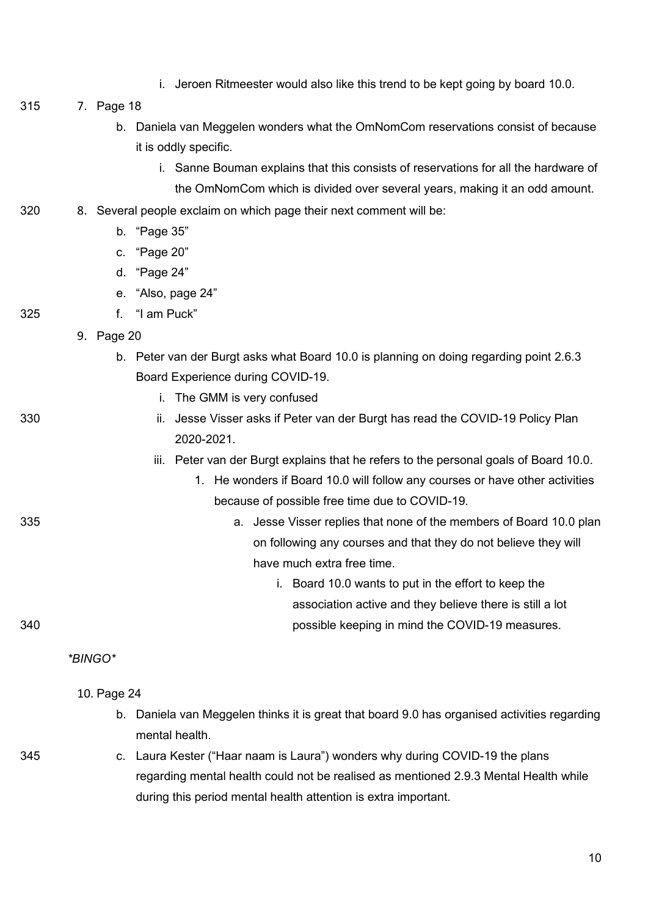- i. Jeroen Ritmeester would also like this trend to be kept going by board 10.0.
- 315 7. Page 18
	- b. Daniela van Meggelen wonders what the OmNomCom reservations consist of because it is oddly specific.
		- i. Sanne Bouman explains that this consists of reservations for all the hardware of
	- the OmNomCom which is divided over several years, making it an odd amount.
- 320 8. Several people exclaim on which page their next comment will be:
	- b. "Page 35"
	- c. "Page 20"
	- d. "Page 24"
	- e. "Also, page 24"
- 325 f. "I am Puck"
	- 9. Page 20
		- b. Peter van der Burgt asks what Board 10.0 is planning on doing regarding point 2.6.3 Board Experience during COVID-19.
	-
- 
- i. The GMM is very confused
- 330 ii. Jesse Visser asks if Peter van der Burgt has read the COVID-19 Policy Plan 2020-2021.
	- iii. Peter van der Burgt explains that he refers to the personal goals of Board 10.0.
		- 1. He wonders if Board 10.0 will follow any courses or have other activities because of possible free time due to COVID-19.
- 335 a. Jesse Visser replies that none of the members of Board 10.0 plan on following any courses and that they do not believe they will have much extra free time.
- i. Board 10.0 wants to put in the effort to keep the association active and they believe there is still a lot 340 possible keeping in mind the COVID-19 measures.

*\*BINGO\**

10. Page 24

- b. Daniela van Meggelen thinks it is great that board 9.0 has organised activities regarding mental health
- 
- 345 c. Laura Kester ("Haar naam is Laura") wonders why during COVID-19 the plans regarding mental health could not be realised as mentioned 2.9.3 Mental Health while during this period mental health attention is extra important.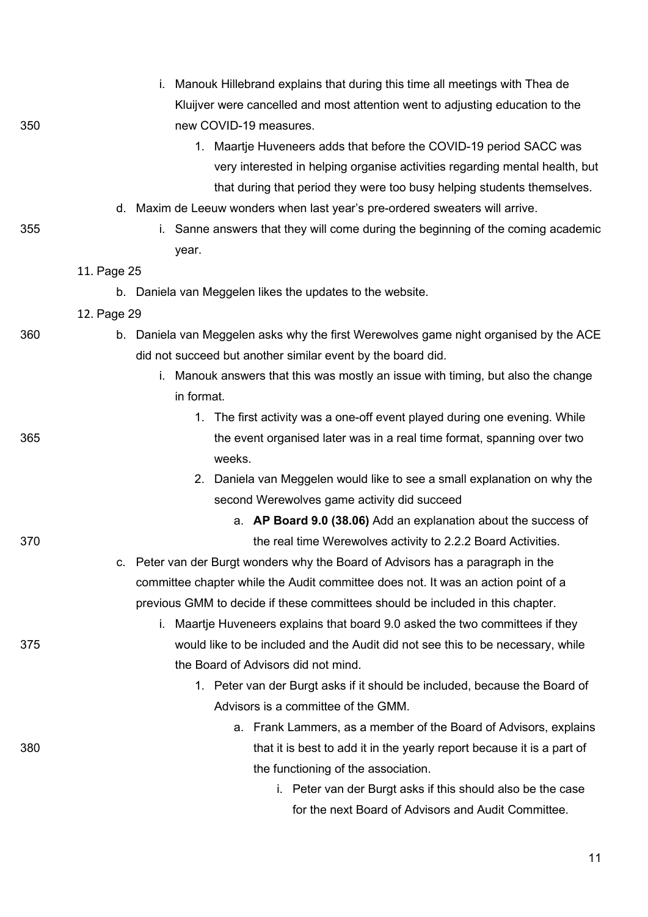|     | i. Manouk Hillebrand explains that during this time all meetings with Thea de                                 |
|-----|---------------------------------------------------------------------------------------------------------------|
|     | Kluijver were cancelled and most attention went to adjusting education to the                                 |
| 350 | new COVID-19 measures.                                                                                        |
|     | 1. Maartje Huveneers adds that before the COVID-19 period SACC was                                            |
|     | very interested in helping organise activities regarding mental health, but                                   |
|     | that during that period they were too busy helping students themselves.                                       |
|     | d. Maxim de Leeuw wonders when last year's pre-ordered sweaters will arrive.                                  |
| 355 | i. Sanne answers that they will come during the beginning of the coming academic                              |
|     | year.                                                                                                         |
|     | 11. Page 25                                                                                                   |
|     | b. Daniela van Meggelen likes the updates to the website.                                                     |
|     | 12. Page 29                                                                                                   |
| 360 | b. Daniela van Meggelen asks why the first Werewolves game night organised by the ACE                         |
|     | did not succeed but another similar event by the board did.                                                   |
|     | i. Manouk answers that this was mostly an issue with timing, but also the change                              |
|     | in format.                                                                                                    |
|     | 1. The first activity was a one-off event played during one evening. While                                    |
| 365 | the event organised later was in a real time format, spanning over two                                        |
|     | weeks.                                                                                                        |
|     | 2. Daniela van Meggelen would like to see a small explanation on why the                                      |
|     | second Werewolves game activity did succeed                                                                   |
|     | a. AP Board 9.0 (38.06) Add an explanation about the success of                                               |
| 370 | the real time Werewolves activity to 2.2.2 Board Activities.                                                  |
|     | Peter van der Burgt wonders why the Board of Advisors has a paragraph in the<br>C.                            |
|     | committee chapter while the Audit committee does not. It was an action point of a                             |
|     | previous GMM to decide if these committees should be included in this chapter.                                |
|     | Maartje Huveneers explains that board 9.0 asked the two committees if they<br>i.                              |
| 375 | would like to be included and the Audit did not see this to be necessary, while                               |
|     | the Board of Advisors did not mind.                                                                           |
|     | 1. Peter van der Burgt asks if it should be included, because the Board of                                    |
|     | Advisors is a committee of the GMM.                                                                           |
| 380 | a. Frank Lammers, as a member of the Board of Advisors, explains                                              |
|     | that it is best to add it in the yearly report because it is a part of<br>the functioning of the association. |
|     | i. Peter van der Burgt asks if this should also be the case                                                   |
|     | for the next Board of Advisors and Audit Committee.                                                           |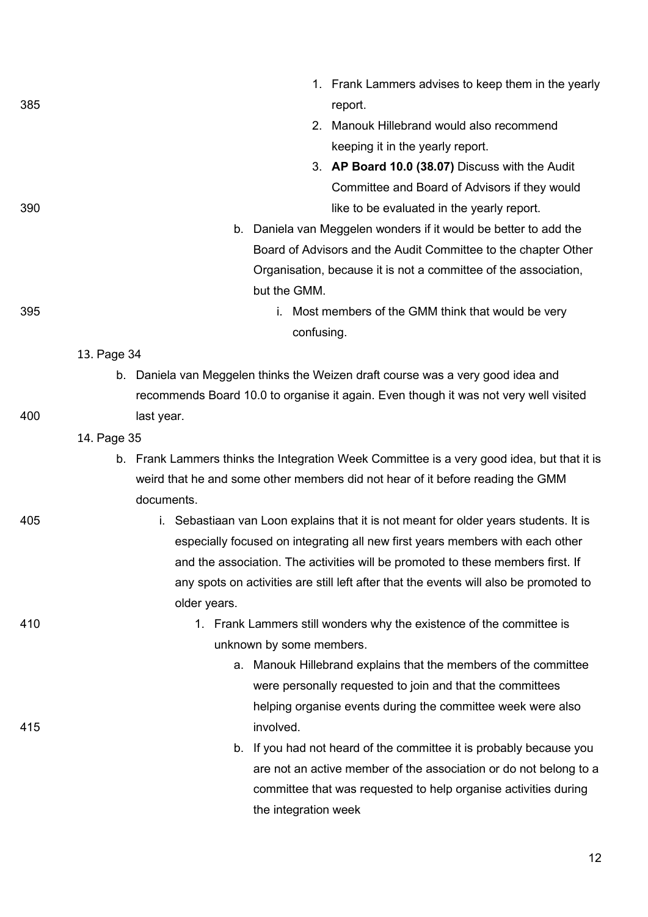| 385 |             | 1. Frank Lammers advises to keep them in the yearly<br>report.                             |
|-----|-------------|--------------------------------------------------------------------------------------------|
|     |             | 2. Manouk Hillebrand would also recommend                                                  |
|     |             | keeping it in the yearly report.                                                           |
|     |             | 3. AP Board 10.0 (38.07) Discuss with the Audit                                            |
|     |             | Committee and Board of Advisors if they would                                              |
| 390 |             | like to be evaluated in the yearly report.                                                 |
|     |             | b. Daniela van Meggelen wonders if it would be better to add the                           |
|     |             | Board of Advisors and the Audit Committee to the chapter Other                             |
|     |             | Organisation, because it is not a committee of the association,                            |
|     |             | but the GMM.                                                                               |
| 395 |             | i. Most members of the GMM think that would be very                                        |
|     |             | confusing.                                                                                 |
|     | 13. Page 34 |                                                                                            |
|     |             | b. Daniela van Meggelen thinks the Weizen draft course was a very good idea and            |
|     |             | recommends Board 10.0 to organise it again. Even though it was not very well visited       |
| 400 |             | last year.                                                                                 |
|     | 14. Page 35 |                                                                                            |
|     |             | b. Frank Lammers thinks the Integration Week Committee is a very good idea, but that it is |
|     |             | weird that he and some other members did not hear of it before reading the GMM             |
|     |             | documents.                                                                                 |
| 405 |             | i. Sebastiaan van Loon explains that it is not meant for older years students. It is       |
|     |             | especially focused on integrating all new first years members with each other              |
|     |             | and the association. The activities will be promoted to these members first. If            |
|     |             | any spots on activities are still left after that the events will also be promoted to      |
| 410 |             | older years.<br>1. Frank Lammers still wonders why the existence of the committee is       |
|     |             | unknown by some members.                                                                   |
|     |             | a. Manouk Hillebrand explains that the members of the committee                            |
|     |             | were personally requested to join and that the committees                                  |
|     |             | helping organise events during the committee week were also                                |
| 415 |             | involved.                                                                                  |
|     |             | b. If you had not heard of the committee it is probably because you                        |
|     |             | are not an active member of the association or do not belong to a                          |
|     |             | committee that was requested to help organise activities during                            |
|     |             | the integration week                                                                       |
|     |             |                                                                                            |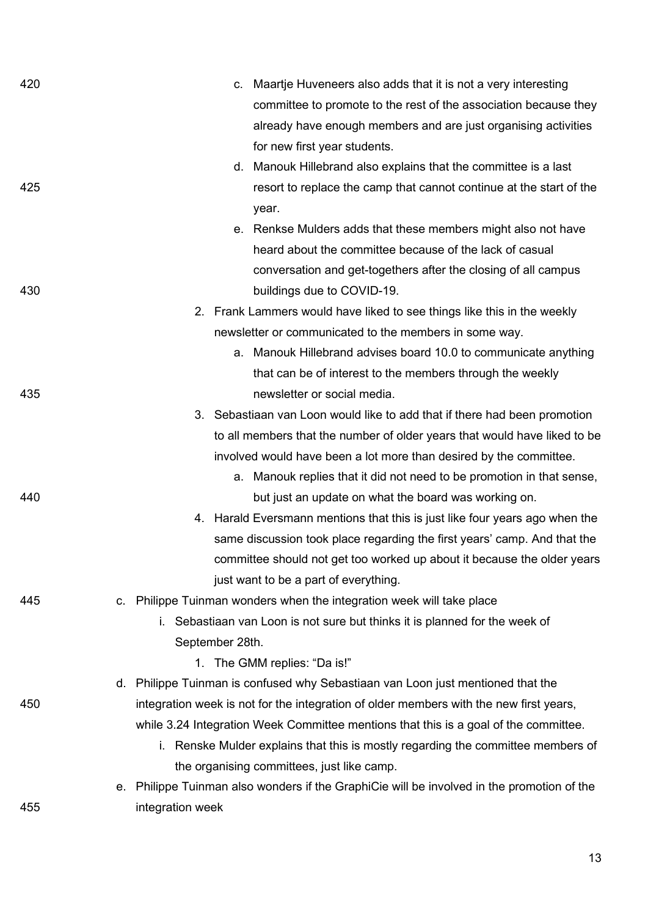| 420 | c. Maartje Huveneers also adds that it is not a very interesting                           |
|-----|--------------------------------------------------------------------------------------------|
|     | committee to promote to the rest of the association because they                           |
|     | already have enough members and are just organising activities                             |
|     | for new first year students.                                                               |
|     | d. Manouk Hillebrand also explains that the committee is a last                            |
| 425 | resort to replace the camp that cannot continue at the start of the                        |
|     | year.                                                                                      |
|     | e. Renkse Mulders adds that these members might also not have                              |
|     | heard about the committee because of the lack of casual                                    |
|     | conversation and get-togethers after the closing of all campus                             |
| 430 | buildings due to COVID-19.                                                                 |
|     | 2. Frank Lammers would have liked to see things like this in the weekly                    |
|     | newsletter or communicated to the members in some way.                                     |
|     | a. Manouk Hillebrand advises board 10.0 to communicate anything                            |
|     | that can be of interest to the members through the weekly                                  |
| 435 | newsletter or social media.                                                                |
|     | 3. Sebastiaan van Loon would like to add that if there had been promotion                  |
|     | to all members that the number of older years that would have liked to be                  |
|     | involved would have been a lot more than desired by the committee.                         |
|     | a. Manouk replies that it did not need to be promotion in that sense,                      |
| 440 | but just an update on what the board was working on.                                       |
|     | 4. Harald Eversmann mentions that this is just like four years ago when the                |
|     | same discussion took place regarding the first years' camp. And that the                   |
|     | committee should not get too worked up about it because the older years                    |
|     | just want to be a part of everything.                                                      |
| 445 | c. Philippe Tuinman wonders when the integration week will take place                      |
|     | Sebastiaan van Loon is not sure but thinks it is planned for the week of<br>i.             |
|     | September 28th.                                                                            |
|     | 1. The GMM replies: "Da is!"                                                               |
|     | d. Philippe Tuinman is confused why Sebastiaan van Loon just mentioned that the            |
| 450 | integration week is not for the integration of older members with the new first years,     |
|     | while 3.24 Integration Week Committee mentions that this is a goal of the committee.       |
|     | i. Renske Mulder explains that this is mostly regarding the committee members of           |
|     | the organising committees, just like camp.                                                 |
|     | e. Philippe Tuinman also wonders if the GraphiCie will be involved in the promotion of the |
| 455 | integration week                                                                           |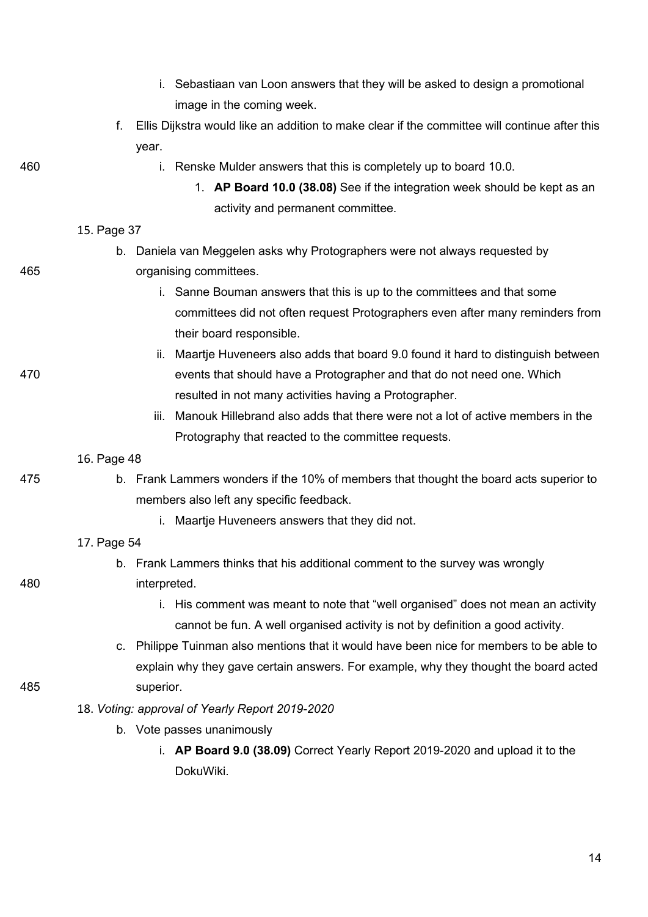|     |             | i. Sebastiaan van Loon answers that they will be asked to design a promotional                |
|-----|-------------|-----------------------------------------------------------------------------------------------|
|     |             | image in the coming week.                                                                     |
|     | f.          | Ellis Dijkstra would like an addition to make clear if the committee will continue after this |
|     |             | year.                                                                                         |
| 460 |             | i. Renske Mulder answers that this is completely up to board 10.0.                            |
|     |             | 1. AP Board 10.0 (38.08) See if the integration week should be kept as an                     |
|     |             | activity and permanent committee.                                                             |
|     | 15. Page 37 |                                                                                               |
|     |             | b. Daniela van Meggelen asks why Protographers were not always requested by                   |
| 465 |             | organising committees.                                                                        |
|     |             | i. Sanne Bouman answers that this is up to the committees and that some                       |
|     |             | committees did not often request Protographers even after many reminders from                 |
|     |             | their board responsible.                                                                      |
|     |             | Maartje Huveneers also adds that board 9.0 found it hard to distinguish between<br>ii.        |
| 470 |             | events that should have a Protographer and that do not need one. Which                        |
|     |             | resulted in not many activities having a Protographer.                                        |
|     |             | Manouk Hillebrand also adds that there were not a lot of active members in the<br>iii.        |
|     |             | Protography that reacted to the committee requests.                                           |
|     | 16. Page 48 |                                                                                               |
| 475 |             | b. Frank Lammers wonders if the 10% of members that thought the board acts superior to        |
|     |             | members also left any specific feedback.                                                      |
|     |             | i. Maartje Huveneers answers that they did not.                                               |
|     | 17. Page 54 |                                                                                               |
|     |             | b. Frank Lammers thinks that his additional comment to the survey was wrongly                 |
| 480 |             | interpreted.                                                                                  |
|     |             | i. His comment was meant to note that "well organised" does not mean an activity              |
|     |             | cannot be fun. A well organised activity is not by definition a good activity.                |
|     | C.          | Philippe Tuinman also mentions that it would have been nice for members to be able to         |
|     |             | explain why they gave certain answers. For example, why they thought the board acted          |
| 485 |             | superior.                                                                                     |
|     |             | 18. Voting: approval of Yearly Report 2019-2020                                               |
|     |             | b. Vote passes unanimously                                                                    |
|     |             | i. AP Board 9.0 (38.09) Correct Yearly Report 2019-2020 and upload it to the                  |
|     |             | DokuWiki.                                                                                     |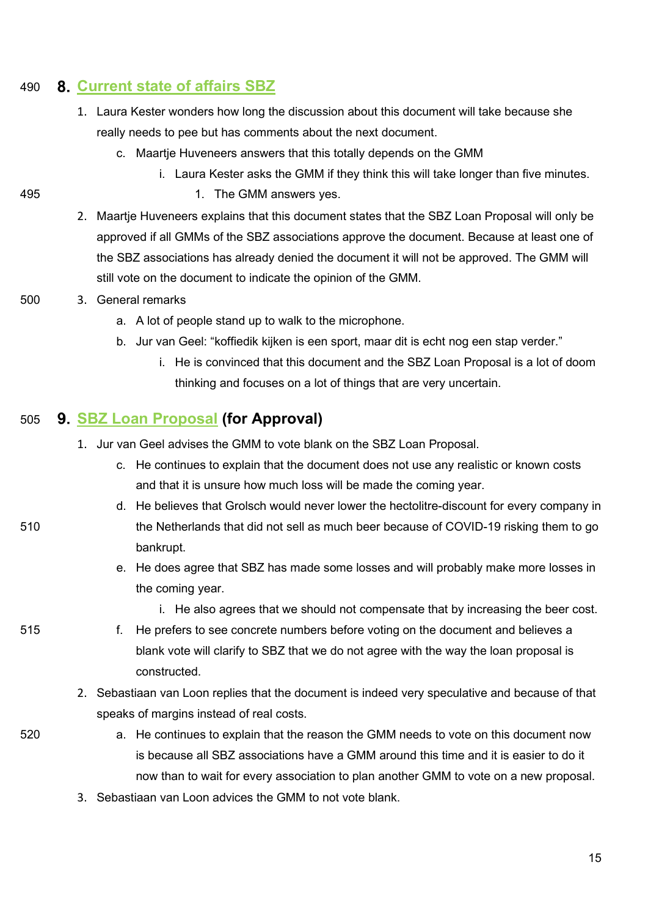#### 490 **[Current state of affairs SBZ](https://wiki.proto.utwente.nl/_media/proto/gmmdocs/gmm_-_current_state_of_affairs_sbz_1_.pdf)**

- 1. Laura Kester wonders how long the discussion about this document will take because she really needs to pee but has comments about the next document.
	- c. Maartje Huveneers answers that this totally depends on the GMM
		- i. Laura Kester asks the GMM if they think this will take longer than five minutes.
- 
- 495 **1.** The GMM answers yes.
	- 2. Maartje Huveneers explains that this document states that the SBZ Loan Proposal will only be approved if all GMMs of the SBZ associations approve the document. Because at least one of the SBZ associations has already denied the document it will not be approved. The GMM will still vote on the document to indicate the opinion of the GMM.
- 500 3. General remarks
	- a. A lot of people stand up to walk to the microphone.
	- b. Jur van Geel: "koffiedik kijken is een sport, maar dit is echt nog een stap verder."
		- i. He is convinced that this document and the SBZ Loan Proposal is a lot of doom thinking and focuses on a lot of things that are very uncertain.

#### 505 **[SBZ Loan Proposal](https://wiki.proto.utwente.nl/_media/proto/gmmdocs/sbz_loan_proposal.pdf) (for Approval)**

- 1. Jur van Geel advises the GMM to vote blank on the SBZ Loan Proposal.
	- c. He continues to explain that the document does not use any realistic or known costs and that it is unsure how much loss will be made the coming year.
- d. He believes that Grolsch would never lower the hectolitre-discount for every company in 510 the Netherlands that did not sell as much beer because of COVID-19 risking them to go bankrupt.
	- e. He does agree that SBZ has made some losses and will probably make more losses in the coming year.
		- i. He also agrees that we should not compensate that by increasing the beer cost.
- 515 f. He prefers to see concrete numbers before voting on the document and believes a blank vote will clarify to SBZ that we do not agree with the way the loan proposal is constructed.
	- 2. Sebastiaan van Loon replies that the document is indeed very speculative and because of that speaks of margins instead of real costs.
- 520 a. He continues to explain that the reason the GMM needs to vote on this document now is because all SBZ associations have a GMM around this time and it is easier to do it now than to wait for every association to plan another GMM to vote on a new proposal.
	- 3. Sebastiaan van Loon advices the GMM to not vote blank.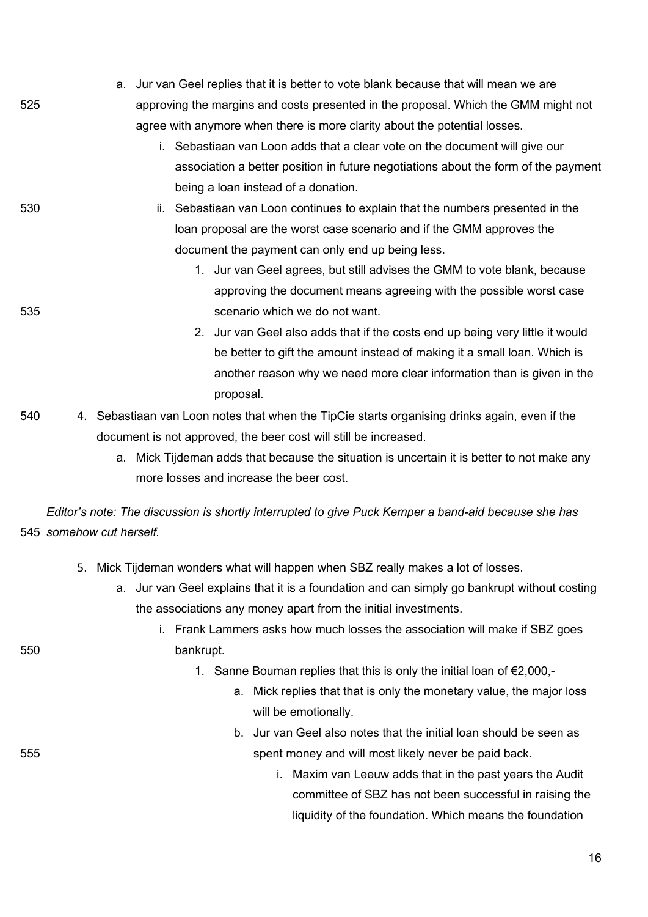|     | a. Jur van Geel replies that it is better to vote blank because that will mean we are |
|-----|---------------------------------------------------------------------------------------|
| 525 | approving the margins and costs presented in the proposal. Which the GMM might not    |
|     | agree with anymore when there is more clarity about the potential losses.             |
|     | i. Sebastiaan van Loon adds that a clear vote on the document will give our           |
|     | association a better position in future negotiations about the form of the payment    |
|     | being a loan instead of a donation.                                                   |
| 530 | Sebastiaan van Loon continues to explain that the numbers presented in the<br>Ш.      |
|     | loan proposal are the worst case scenario and if the GMM approves the                 |
|     | document the payment can only end up being less.                                      |
|     | 1. Jur van Geel agrees, but still advises the GMM to vote blank, because              |
|     | approving the document means agreeing with the possible worst case                    |
| 535 | scenario which we do not want.                                                        |
|     | 2. Jur van Geel also adds that if the costs end up being very little it would         |
|     | be better to gift the amount instead of making it a small loan. Which is              |
|     | another reason why we need more clear information than is given in the                |

proposal.

- 540 4. Sebastiaan van Loon notes that when the TipCie starts organising drinks again, even if the document is not approved, the beer cost will still be increased.
	- a. Mick Tijdeman adds that because the situation is uncertain it is better to not make any more losses and increase the beer cost.

*Editor's note: The discussion is shortly interrupted to give Puck Kemper a band-aid because she has*  545 *somehow cut herself.*

- 5. Mick Tijdeman wonders what will happen when SBZ really makes a lot of losses.
	- a. Jur van Geel explains that it is a foundation and can simply go bankrupt without costing the associations any money apart from the initial investments.

|     | i. Frank Lammers asks how much losses the association will make if SBZ goes |
|-----|-----------------------------------------------------------------------------|
| 550 | bankrupt.                                                                   |

- 1. Sanne Bouman replies that this is only the initial loan of €2,000,
	- a. Mick replies that that is only the monetary value, the major loss will be emotionally.
- b. Jur van Geel also notes that the initial loan should be seen as 555 spent money and will most likely never be paid back.
	- i. Maxim van Leeuw adds that in the past years the Audit committee of SBZ has not been successful in raising the liquidity of the foundation. Which means the foundation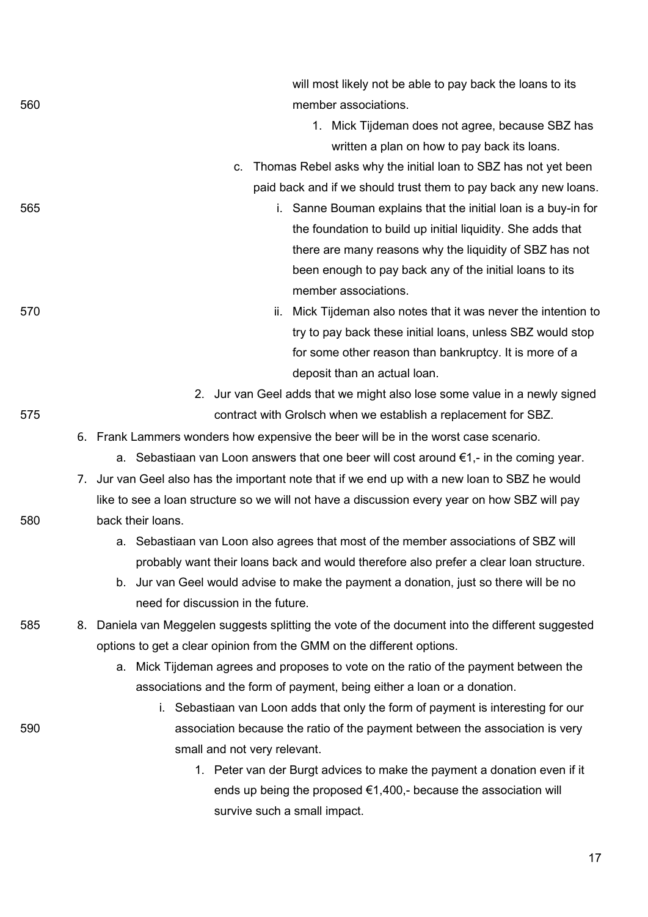|     |    | 1. Mick Tijdeman does not agree, because SBZ has                                                 |
|-----|----|--------------------------------------------------------------------------------------------------|
|     |    | written a plan on how to pay back its loans.                                                     |
|     |    | Thomas Rebel asks why the initial loan to SBZ has not yet been<br>C.                             |
|     |    | paid back and if we should trust them to pay back any new loans.                                 |
| 565 |    | i. Sanne Bouman explains that the initial loan is a buy-in for                                   |
|     |    | the foundation to build up initial liquidity. She adds that                                      |
|     |    | there are many reasons why the liquidity of SBZ has not                                          |
|     |    | been enough to pay back any of the initial loans to its                                          |
|     |    | member associations.                                                                             |
| 570 |    | ii. Mick Tijdeman also notes that it was never the intention to                                  |
|     |    | try to pay back these initial loans, unless SBZ would stop                                       |
|     |    | for some other reason than bankruptcy. It is more of a                                           |
|     |    | deposit than an actual loan.                                                                     |
|     |    | 2.<br>Jur van Geel adds that we might also lose some value in a newly signed                     |
| 575 |    | contract with Grolsch when we establish a replacement for SBZ.                                   |
|     |    | 6. Frank Lammers wonders how expensive the beer will be in the worst case scenario.              |
|     |    | a. Sebastiaan van Loon answers that one beer will cost around $\epsilon_1$ , in the coming year. |
|     |    | 7. Jur van Geel also has the important note that if we end up with a new loan to SBZ he would    |
|     |    | like to see a loan structure so we will not have a discussion every year on how SBZ will pay     |
| 580 |    | back their loans.                                                                                |
|     |    | a. Sebastiaan van Loon also agrees that most of the member associations of SBZ will              |
|     |    | probably want their loans back and would therefore also prefer a clear loan structure.           |
|     |    | b. Jur van Geel would advise to make the payment a donation, just so there will be no            |
|     |    | need for discussion in the future.                                                               |
| 585 | 8. | Daniela van Meggelen suggests splitting the vote of the document into the different suggested    |
|     |    | options to get a clear opinion from the GMM on the different options.                            |
|     |    | a. Mick Tijdeman agrees and proposes to vote on the ratio of the payment between the             |
|     |    | associations and the form of payment, being either a loan or a donation.                         |
|     |    | i. Sebastiaan van Loon adds that only the form of payment is interesting for our                 |
| 590 |    | association because the ratio of the payment between the association is very                     |
|     |    | small and not very relevant.                                                                     |
|     |    | 1. Peter van der Burgt advices to make the payment a donation even if it                         |
|     |    | ends up being the proposed $\epsilon$ 1,400,- because the association will                       |
|     |    | survive such a small impact.                                                                     |
|     |    |                                                                                                  |
|     |    | 17                                                                                               |

560 member associations.

will most likely not be able to pay back the loans to its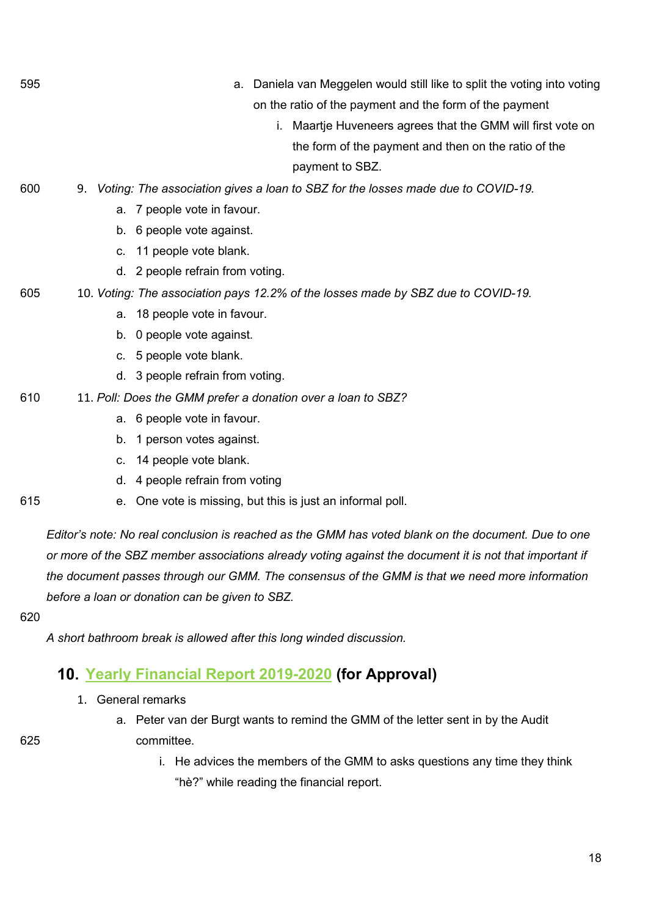- 595 a. Daniela van Meggelen would still like to split the voting into voting on the ratio of the payment and the form of the payment
	- i. Maartje Huveneers agrees that the GMM will first vote on the form of the payment and then on the ratio of the payment to SBZ.
- 600 9. *Voting: The association gives a loan to SBZ for the losses made due to COVID-19.*
	- a. 7 people vote in favour.
	- b. 6 people vote against.
	- c. 11 people vote blank.
	- d. 2 people refrain from voting.
- 605 10. *Voting: The association pays 12.2% of the losses made by SBZ due to COVID-19.*
	- a. 18 people vote in favour.
	- b. 0 people vote against.
	- c. 5 people vote blank.
	- d. 3 people refrain from voting.
- 610 11. *Poll: Does the GMM prefer a donation over a loan to SBZ?*
	- a. 6 people vote in favour.
	- b. 1 person votes against.
	- c. 14 people vote blank.
	- d. 4 people refrain from voting
- 615 e. One vote is missing, but this is just an informal poll.

*Editor's note: No real conclusion is reached as the GMM has voted blank on the document. Due to one or more of the SBZ member associations already voting against the document it is not that important if the document passes through our GMM. The consensus of the GMM is that we need more information before a loan or donation can be given to SBZ.*

620

*A short bathroom break is allowed after this long winded discussion.*

## **[Yearly Financial Report 2019-2020](https://wiki.proto.utwente.nl/_media/proto/gmmdocs/annual_financial_report_19_20.pdf) (for Approval)**

- 1. General remarks
- a. Peter van der Burgt wants to remind the GMM of the letter sent in by the Audit 625 committee.

i. He advices the members of the GMM to asks questions any time they think "hè?" while reading the financial report.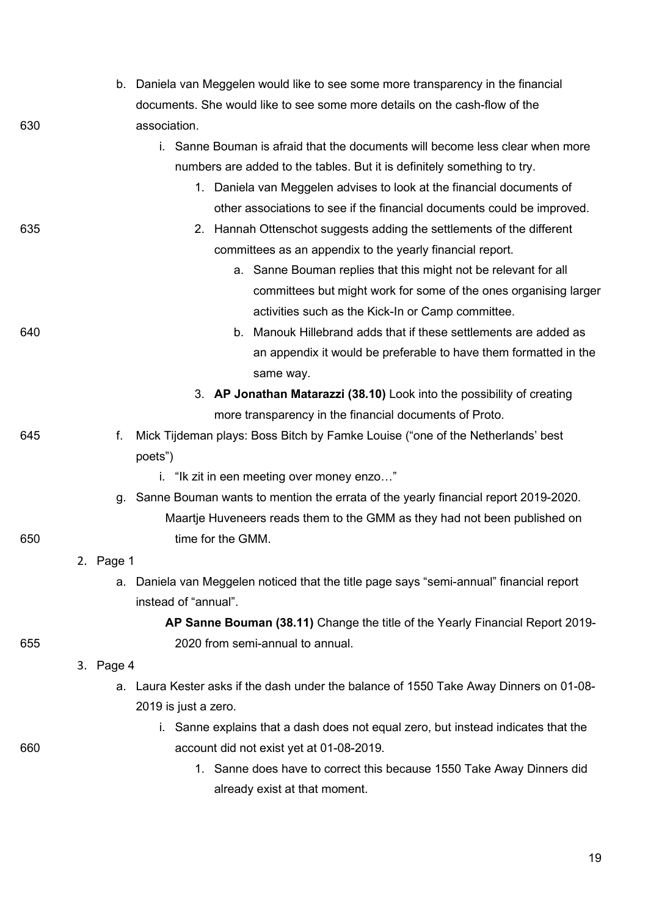|     |           | b. Daniela van Meggelen would like to see some more transparency in the financial       |
|-----|-----------|-----------------------------------------------------------------------------------------|
|     |           | documents. She would like to see some more details on the cash-flow of the              |
| 630 |           | association.                                                                            |
|     |           | i. Sanne Bouman is afraid that the documents will become less clear when more           |
|     |           | numbers are added to the tables. But it is definitely something to try.                 |
|     |           | 1. Daniela van Meggelen advises to look at the financial documents of                   |
|     |           | other associations to see if the financial documents could be improved.                 |
| 635 |           | 2. Hannah Ottenschot suggests adding the settlements of the different                   |
|     |           | committees as an appendix to the yearly financial report.                               |
|     |           | a. Sanne Bouman replies that this might not be relevant for all                         |
|     |           | committees but might work for some of the ones organising larger                        |
|     |           | activities such as the Kick-In or Camp committee.                                       |
| 640 |           | b. Manouk Hillebrand adds that if these settlements are added as                        |
|     |           | an appendix it would be preferable to have them formatted in the                        |
|     |           | same way.                                                                               |
|     |           | 3. AP Jonathan Matarazzi (38.10) Look into the possibility of creating                  |
|     |           | more transparency in the financial documents of Proto.                                  |
| 645 | f.        | Mick Tijdeman plays: Boss Bitch by Famke Louise ("one of the Netherlands' best          |
|     |           | poets")                                                                                 |
|     |           | i. "Ik zit in een meeting over money enzo"                                              |
|     |           | g. Sanne Bouman wants to mention the errata of the yearly financial report 2019-2020.   |
|     |           | Maartje Huveneers reads them to the GMM as they had not been published on               |
| 650 |           | time for the GMM.                                                                       |
|     | 2. Page 1 |                                                                                         |
|     |           | a. Daniela van Meggelen noticed that the title page says "semi-annual" financial report |
|     |           | instead of "annual".                                                                    |
|     |           | AP Sanne Bouman (38.11) Change the title of the Yearly Financial Report 2019-           |
| 655 |           | 2020 from semi-annual to annual.                                                        |
|     | 3. Page 4 |                                                                                         |
|     |           | a. Laura Kester asks if the dash under the balance of 1550 Take Away Dinners on 01-08-  |
|     |           | 2019 is just a zero.                                                                    |
|     |           | i. Sanne explains that a dash does not equal zero, but instead indicates that the       |
| 660 |           | account did not exist yet at 01-08-2019.                                                |
|     |           | 1. Sanne does have to correct this because 1550 Take Away Dinners did                   |
|     |           | already exist at that moment.                                                           |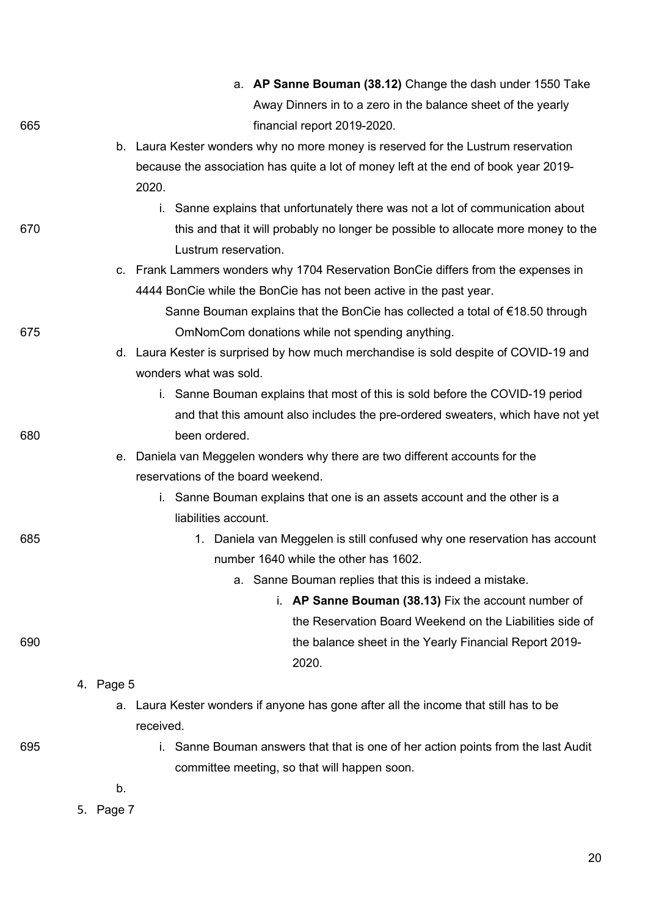|     |           | a. AP Sanne Bouman (38.12) Change the dash under 1550 Take                              |
|-----|-----------|-----------------------------------------------------------------------------------------|
|     |           | Away Dinners in to a zero in the balance sheet of the yearly                            |
| 665 |           | financial report 2019-2020.                                                             |
|     |           | b. Laura Kester wonders why no more money is reserved for the Lustrum reservation       |
|     |           | because the association has quite a lot of money left at the end of book year 2019-     |
|     |           | 2020.                                                                                   |
|     |           | i. Sanne explains that unfortunately there was not a lot of communication about         |
| 670 |           | this and that it will probably no longer be possible to allocate more money to the      |
|     |           | Lustrum reservation.                                                                    |
|     |           | c. Frank Lammers wonders why 1704 Reservation BonCie differs from the expenses in       |
|     |           | 4444 BonCie while the BonCie has not been active in the past year.                      |
|     |           | Sanne Bouman explains that the BonCie has collected a total of $\epsilon$ 18.50 through |
| 675 |           | OmNomCom donations while not spending anything.                                         |
|     |           | d. Laura Kester is surprised by how much merchandise is sold despite of COVID-19 and    |
|     |           | wonders what was sold.                                                                  |
|     |           | i. Sanne Bouman explains that most of this is sold before the COVID-19 period           |
|     |           | and that this amount also includes the pre-ordered sweaters, which have not yet         |
| 680 |           | been ordered.                                                                           |
|     |           | e. Daniela van Meggelen wonders why there are two different accounts for the            |
|     |           | reservations of the board weekend.                                                      |
|     |           | i. Sanne Bouman explains that one is an assets account and the other is a               |
|     |           | liabilities account.                                                                    |
| 685 |           | 1. Daniela van Meggelen is still confused why one reservation has account               |
|     |           | number 1640 while the other has 1602.                                                   |
|     |           | a. Sanne Bouman replies that this is indeed a mistake.                                  |
|     |           | i. AP Sanne Bouman (38.13) Fix the account number of                                    |
|     |           | the Reservation Board Weekend on the Liabilities side of                                |
| 690 |           | the balance sheet in the Yearly Financial Report 2019-                                  |
|     |           | 2020.                                                                                   |
|     | 4. Page 5 |                                                                                         |
|     | a.        | Laura Kester wonders if anyone has gone after all the income that still has to be       |
|     |           | received.                                                                               |
| 695 |           | i. Sanne Bouman answers that that is one of her action points from the last Audit       |
|     |           | committee meeting, so that will happen soon.                                            |
|     | b.        |                                                                                         |
|     | 5. Page 7 |                                                                                         |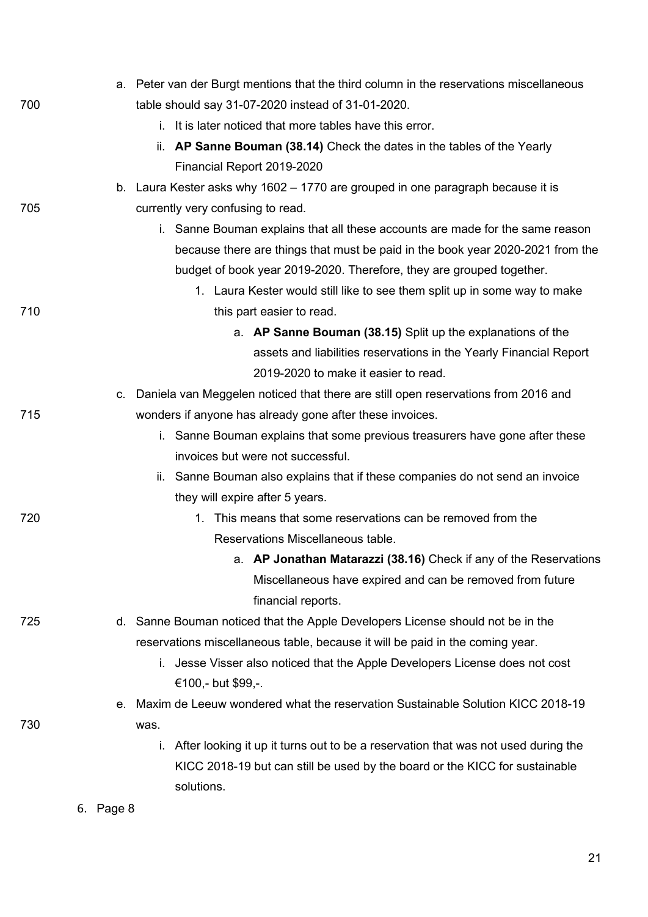|     |           | a. Peter van der Burgt mentions that the third column in the reservations miscellaneous |
|-----|-----------|-----------------------------------------------------------------------------------------|
| 700 |           | table should say 31-07-2020 instead of 31-01-2020.                                      |
|     |           | i. It is later noticed that more tables have this error.                                |
|     |           | ii. AP Sanne Bouman (38.14) Check the dates in the tables of the Yearly                 |
|     |           | Financial Report 2019-2020                                                              |
|     |           | b. Laura Kester asks why 1602 – 1770 are grouped in one paragraph because it is         |
| 705 |           | currently very confusing to read.                                                       |
|     |           | i. Sanne Bouman explains that all these accounts are made for the same reason           |
|     |           | because there are things that must be paid in the book year 2020-2021 from the          |
|     |           | budget of book year 2019-2020. Therefore, they are grouped together.                    |
|     |           | 1. Laura Kester would still like to see them split up in some way to make               |
| 710 |           | this part easier to read.                                                               |
|     |           | a. AP Sanne Bouman (38.15) Split up the explanations of the                             |
|     |           | assets and liabilities reservations in the Yearly Financial Report                      |
|     |           | 2019-2020 to make it easier to read.                                                    |
|     |           | c. Daniela van Meggelen noticed that there are still open reservations from 2016 and    |
| 715 |           | wonders if anyone has already gone after these invoices.                                |
|     |           | i. Sanne Bouman explains that some previous treasurers have gone after these            |
|     |           | invoices but were not successful.                                                       |
|     |           | ii. Sanne Bouman also explains that if these companies do not send an invoice           |
|     |           | they will expire after 5 years.                                                         |
| 720 |           | 1. This means that some reservations can be removed from the                            |
|     |           | Reservations Miscellaneous table.                                                       |
|     |           | a. AP Jonathan Matarazzi (38.16) Check if any of the Reservations                       |
|     |           | Miscellaneous have expired and can be removed from future                               |
|     |           | financial reports.                                                                      |
| 725 |           | d. Sanne Bouman noticed that the Apple Developers License should not be in the          |
|     |           | reservations miscellaneous table, because it will be paid in the coming year.           |
|     |           | Jesse Visser also noticed that the Apple Developers License does not cost<br>i.         |
|     |           | €100,- but \$99,-.                                                                      |
|     |           | e. Maxim de Leeuw wondered what the reservation Sustainable Solution KICC 2018-19       |
| 730 |           | was.                                                                                    |
|     |           | After looking it up it turns out to be a reservation that was not used during the<br>İ. |
|     |           | KICC 2018-19 but can still be used by the board or the KICC for sustainable             |
|     |           | solutions.                                                                              |
|     | 6. Page 8 |                                                                                         |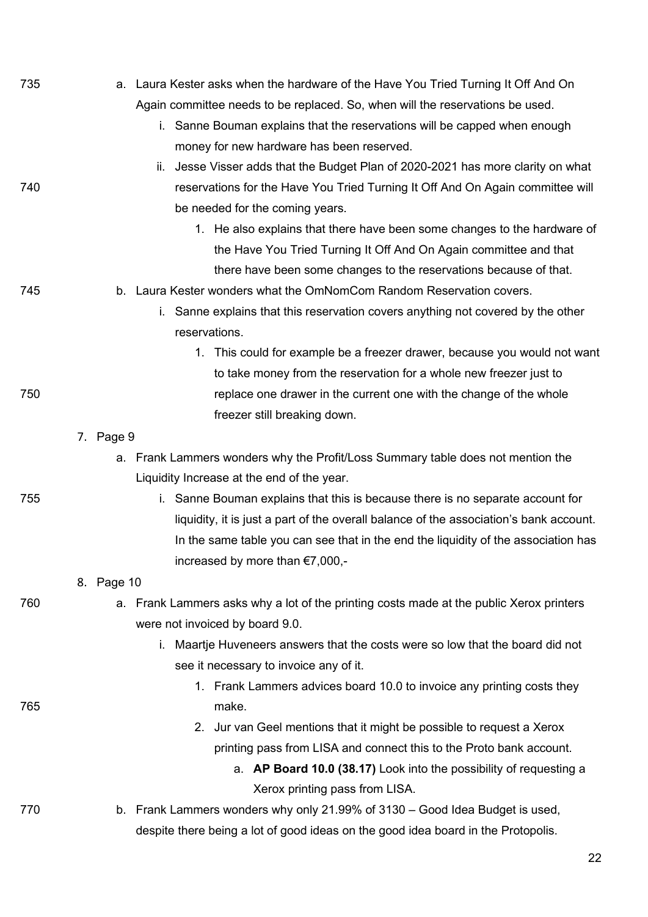| 735 |            | a. Laura Kester asks when the hardware of the Have You Tried Turning It Off And On      |
|-----|------------|-----------------------------------------------------------------------------------------|
|     |            | Again committee needs to be replaced. So, when will the reservations be used.           |
|     |            | i. Sanne Bouman explains that the reservations will be capped when enough               |
|     |            | money for new hardware has been reserved.                                               |
|     |            | ii. Jesse Visser adds that the Budget Plan of 2020-2021 has more clarity on what        |
| 740 |            | reservations for the Have You Tried Turning It Off And On Again committee will          |
|     |            | be needed for the coming years.                                                         |
|     |            | 1. He also explains that there have been some changes to the hardware of                |
|     |            | the Have You Tried Turning It Off And On Again committee and that                       |
|     |            | there have been some changes to the reservations because of that.                       |
| 745 |            | b. Laura Kester wonders what the OmNomCom Random Reservation covers.                    |
|     |            | i. Sanne explains that this reservation covers anything not covered by the other        |
|     |            | reservations.                                                                           |
|     |            | 1. This could for example be a freezer drawer, because you would not want               |
|     |            | to take money from the reservation for a whole new freezer just to                      |
| 750 |            | replace one drawer in the current one with the change of the whole                      |
|     |            | freezer still breaking down.                                                            |
|     | 7. Page 9  |                                                                                         |
|     |            | a. Frank Lammers wonders why the Profit/Loss Summary table does not mention the         |
|     |            | Liquidity Increase at the end of the year.                                              |
| 755 |            | i. Sanne Bouman explains that this is because there is no separate account for          |
|     |            | liquidity, it is just a part of the overall balance of the association's bank account.  |
|     |            | In the same table you can see that in the end the liquidity of the association has      |
|     |            | increased by more than €7,000,-                                                         |
|     | 8. Page 10 |                                                                                         |
| 760 |            | a. Frank Lammers asks why a lot of the printing costs made at the public Xerox printers |
|     |            | were not invoiced by board 9.0.                                                         |
|     |            | Maartje Huveneers answers that the costs were so low that the board did not<br>i.       |
|     |            | see it necessary to invoice any of it.                                                  |
|     |            | 1. Frank Lammers advices board 10.0 to invoice any printing costs they                  |
| 765 |            | make.                                                                                   |
|     |            | 2. Jur van Geel mentions that it might be possible to request a Xerox                   |
|     |            | printing pass from LISA and connect this to the Proto bank account.                     |
|     |            | a. AP Board 10.0 (38.17) Look into the possibility of requesting a                      |
|     |            | Xerox printing pass from LISA.                                                          |
| 770 |            | b. Frank Lammers wonders why only 21.99% of 3130 – Good Idea Budget is used,            |
|     |            | despite there being a lot of good ideas on the good idea board in the Protopolis.       |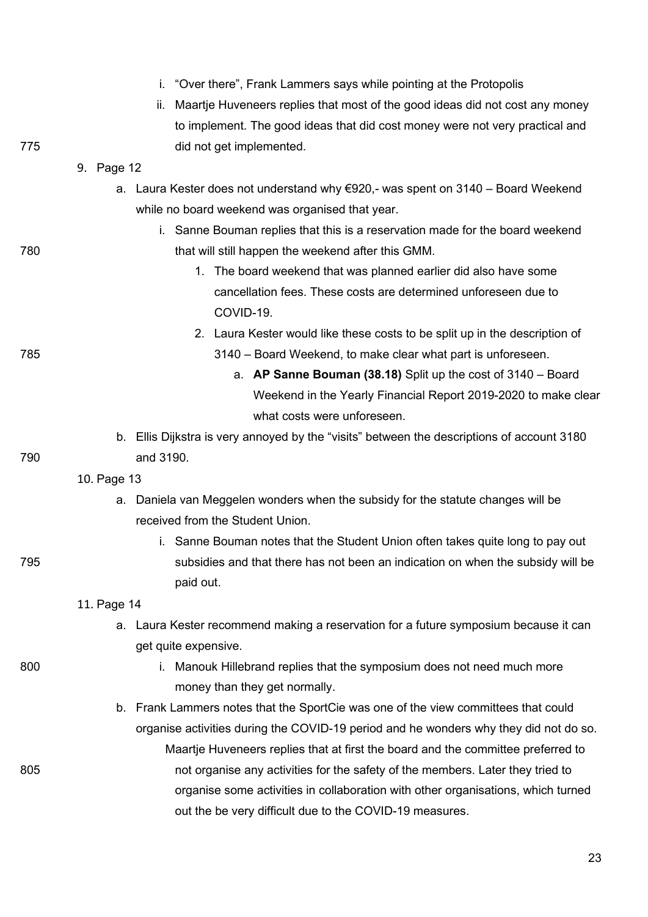|     | "Over there", Frank Lammers says while pointing at the Protopolis<br>i.                       |
|-----|-----------------------------------------------------------------------------------------------|
|     | ii.<br>Maartje Huveneers replies that most of the good ideas did not cost any money           |
|     | to implement. The good ideas that did cost money were not very practical and                  |
| 775 | did not get implemented.                                                                      |
|     | 9. Page 12                                                                                    |
|     | Laura Kester does not understand why $\epsilon$ 920,- was spent on 3140 – Board Weekend<br>a. |
|     | while no board weekend was organised that year.                                               |
|     | i. Sanne Bouman replies that this is a reservation made for the board weekend                 |
| 780 | that will still happen the weekend after this GMM.                                            |
|     | 1. The board weekend that was planned earlier did also have some                              |
|     | cancellation fees. These costs are determined unforeseen due to                               |
|     | COVID-19.                                                                                     |
|     | 2. Laura Kester would like these costs to be split up in the description of                   |
| 785 | 3140 – Board Weekend, to make clear what part is unforeseen.                                  |
|     | a. AP Sanne Bouman (38.18) Split up the cost of $3140 -$ Board                                |
|     | Weekend in the Yearly Financial Report 2019-2020 to make clear                                |
|     | what costs were unforeseen.                                                                   |
|     | b. Ellis Dijkstra is very annoyed by the "visits" between the descriptions of account 3180    |
| 790 | and 3190.                                                                                     |
|     | 10. Page 13                                                                                   |
|     | a. Daniela van Meggelen wonders when the subsidy for the statute changes will be              |
|     | received from the Student Union.                                                              |
|     | i. Sanne Bouman notes that the Student Union often takes quite long to pay out                |
| 795 | subsidies and that there has not been an indication on when the subsidy will be               |
|     | paid out.                                                                                     |
|     | 11. Page 14                                                                                   |
|     | a. Laura Kester recommend making a reservation for a future symposium because it can          |
|     | get quite expensive.                                                                          |
| 800 | i. Manouk Hillebrand replies that the symposium does not need much more                       |
|     | money than they get normally.                                                                 |
|     | b. Frank Lammers notes that the SportCie was one of the view committees that could            |
|     | organise activities during the COVID-19 period and he wonders why they did not do so.         |
|     | Maartje Huveneers replies that at first the board and the committee preferred to              |
| 805 | not organise any activities for the safety of the members. Later they tried to                |
|     | organise some activities in collaboration with other organisations, which turned              |
|     | out the be very difficult due to the COVID-19 measures.                                       |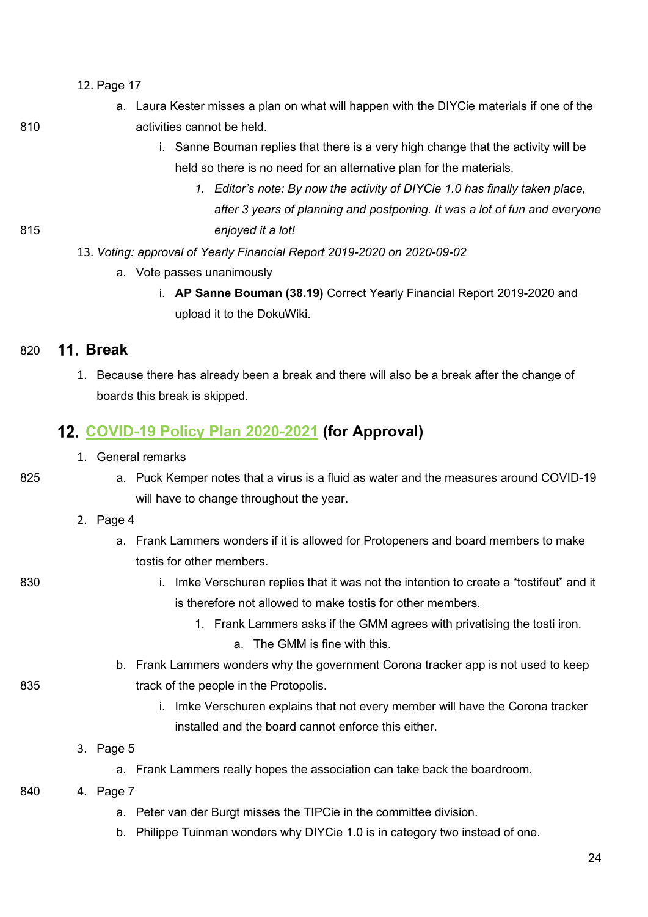- 12. Page 17
- a. Laura Kester misses a plan on what will happen with the DIYCie materials if one of the 810 activities cannot be held.
- 

- i. Sanne Bouman replies that there is a very high change that the activity will be held so there is no need for an alternative plan for the materials.
- *1. Editor's note: By now the activity of DIYCie 1.0 has finally taken place, after 3 years of planning and postponing. It was a lot of fun and everyone*  815 *enjoyed it a lot!*
	- 13. *Voting: approval of Yearly Financial Report 2019-2020 on 2020-09-02*
		- a. Vote passes unanimously
			- i. **AP Sanne Bouman (38.19)** Correct Yearly Financial Report 2019-2020 and upload it to the DokuWiki.

#### 820 **Break**

1. Because there has already been a break and there will also be a break after the change of boards this break is skipped.

#### **[COVID-19 Policy Plan 2020-2021](https://wiki.proto.utwente.nl/_media/proto/gmmdocs/covid19_policy_plan_2020-2021.pdf) (for Approval)**

- 1. General remarks
- 825 a. Puck Kemper notes that a virus is a fluid as water and the measures around COVID-19 will have to change throughout the year.

#### 2. Page 4

- a. Frank Lammers wonders if it is allowed for Protopeners and board members to make tostis for other members.
- 

830 i. Imke Verschuren replies that it was not the intention to create a "tostifeut" and it is therefore not allowed to make tostis for other members.

- 1. Frank Lammers asks if the GMM agrees with privatising the tosti iron.
	- a. The GMM is fine with this.
- b. Frank Lammers wonders why the government Corona tracker app is not used to keep 835 **track of the people in the Protopolis.** 
	- i. Imke Verschuren explains that not every member will have the Corona tracker installed and the board cannot enforce this either.
	- 3. Page 5
		- a. Frank Lammers really hopes the association can take back the boardroom.
- 840 4. Page 7
	- a. Peter van der Burgt misses the TIPCie in the committee division.
	- b. Philippe Tuinman wonders why DIYCie 1.0 is in category two instead of one.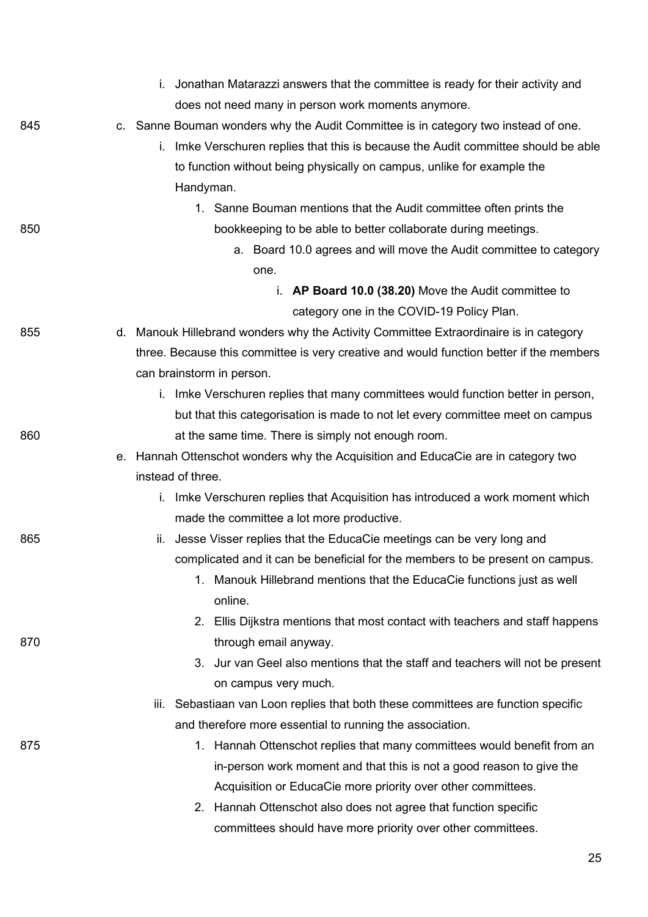|     | i. Jonathan Matarazzi answers that the committee is ready for their activity and        |
|-----|-----------------------------------------------------------------------------------------|
|     | does not need many in person work moments anymore.                                      |
| 845 | c. Sanne Bouman wonders why the Audit Committee is in category two instead of one.      |
|     | i. Imke Verschuren replies that this is because the Audit committee should be able      |
|     | to function without being physically on campus, unlike for example the                  |
|     | Handyman.                                                                               |
|     | 1. Sanne Bouman mentions that the Audit committee often prints the                      |
| 850 | bookkeeping to be able to better collaborate during meetings.                           |
|     | a. Board 10.0 agrees and will move the Audit committee to category                      |
|     | one.                                                                                    |
|     | i. AP Board 10.0 (38.20) Move the Audit committee to                                    |
|     | category one in the COVID-19 Policy Plan.                                               |
| 855 | d. Manouk Hillebrand wonders why the Activity Committee Extraordinaire is in category   |
|     | three. Because this committee is very creative and would function better if the members |
|     | can brainstorm in person.                                                               |
|     | i. Imke Verschuren replies that many committees would function better in person,        |
|     | but that this categorisation is made to not let every committee meet on campus          |
| 860 | at the same time. There is simply not enough room.                                      |
|     | e. Hannah Ottenschot wonders why the Acquisition and EducaCie are in category two       |
|     | instead of three.                                                                       |
|     | i. Imke Verschuren replies that Acquisition has introduced a work moment which          |
|     | made the committee a lot more productive.                                               |
| 865 | Jesse Visser replies that the EducaCie meetings can be very long and<br>ii.             |
|     | complicated and it can be beneficial for the members to be present on campus.           |
|     | 1. Manouk Hillebrand mentions that the EducaCie functions just as well                  |
|     | online.                                                                                 |
|     | 2. Ellis Dijkstra mentions that most contact with teachers and staff happens            |
| 870 | through email anyway.                                                                   |
|     | 3. Jur van Geel also mentions that the staff and teachers will not be present           |
|     | on campus very much.                                                                    |
|     | Sebastiaan van Loon replies that both these committees are function specific<br>iii.    |
|     | and therefore more essential to running the association.                                |
| 875 | 1. Hannah Ottenschot replies that many committees would benefit from an                 |
|     | in-person work moment and that this is not a good reason to give the                    |
|     | Acquisition or EducaCie more priority over other committees.                            |
|     | 2. Hannah Ottenschot also does not agree that function specific                         |
|     | committees should have more priority over other committees.                             |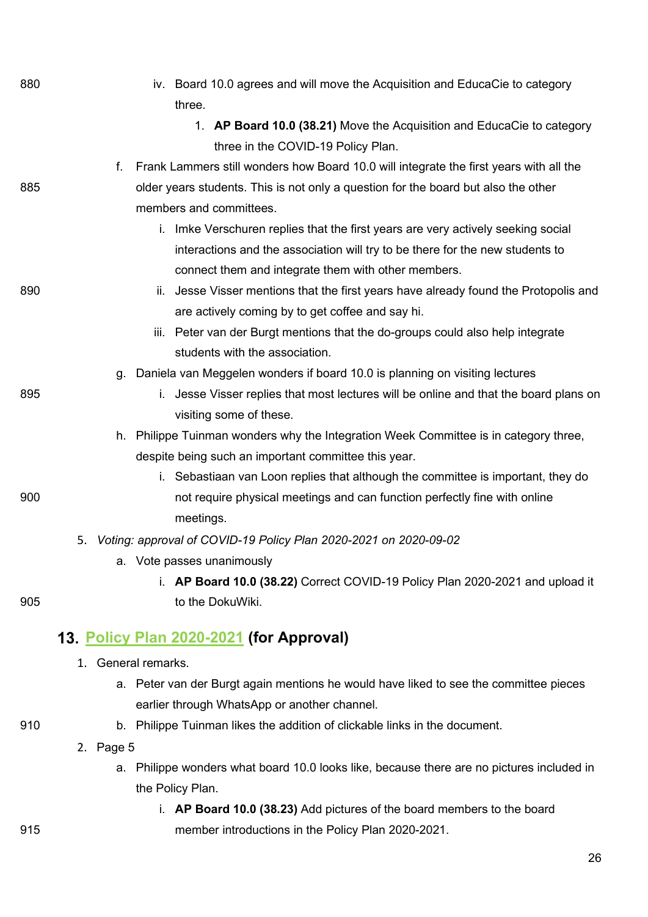| 880 | iv. Board 10.0 agrees and will move the Acquisition and EducaCie to category                 |
|-----|----------------------------------------------------------------------------------------------|
|     | three.                                                                                       |
|     | 1. AP Board 10.0 (38.21) Move the Acquisition and EducaCie to category                       |
|     | three in the COVID-19 Policy Plan.                                                           |
|     | Frank Lammers still wonders how Board 10.0 will integrate the first years with all the<br>f. |
| 885 | older years students. This is not only a question for the board but also the other           |
|     | members and committees.                                                                      |
|     | i. Imke Verschuren replies that the first years are very actively seeking social             |
|     | interactions and the association will try to be there for the new students to                |
|     | connect them and integrate them with other members.                                          |
| 890 | ii. Jesse Visser mentions that the first years have already found the Protopolis and         |
|     | are actively coming by to get coffee and say hi.                                             |
|     | Peter van der Burgt mentions that the do-groups could also help integrate<br>iii.            |
|     | students with the association.                                                               |
|     | g. Daniela van Meggelen wonders if board 10.0 is planning on visiting lectures               |
| 895 | i. Jesse Visser replies that most lectures will be online and that the board plans on        |
|     | visiting some of these.                                                                      |
|     | h. Philippe Tuinman wonders why the Integration Week Committee is in category three,         |
|     | despite being such an important committee this year.                                         |
|     | i. Sebastiaan van Loon replies that although the committee is important, they do             |
| 900 | not require physical meetings and can function perfectly fine with online                    |
|     | meetings.                                                                                    |
|     | Voting: approval of COVID-19 Policy Plan 2020-2021 on 2020-09-02<br>5.                       |
|     | a. Vote passes unanimously                                                                   |
|     | i. AP Board 10.0 (38.22) Correct COVID-19 Policy Plan 2020-2021 and upload it                |
| 905 | to the DokuWiki.                                                                             |
|     |                                                                                              |
|     | 13. Policy Plan 2020-2021 (for Approval)                                                     |
|     | 1. General remarks.                                                                          |
|     | a. Peter van der Burgt again mentions he would have liked to see the committee pieces        |
|     | earlier through WhatsApp or another channel.                                                 |
| 910 | b. Philippe Tuinman likes the addition of clickable links in the document.                   |
|     | 2. Page 5                                                                                    |
|     | a. Philippe wonders what board 10.0 looks like, because there are no pictures included in    |
|     | the Policy Plan.                                                                             |
|     | i. AP Board 10.0 (38.23) Add pictures of the board members to the board                      |
| 915 | member introductions in the Policy Plan 2020-2021.                                           |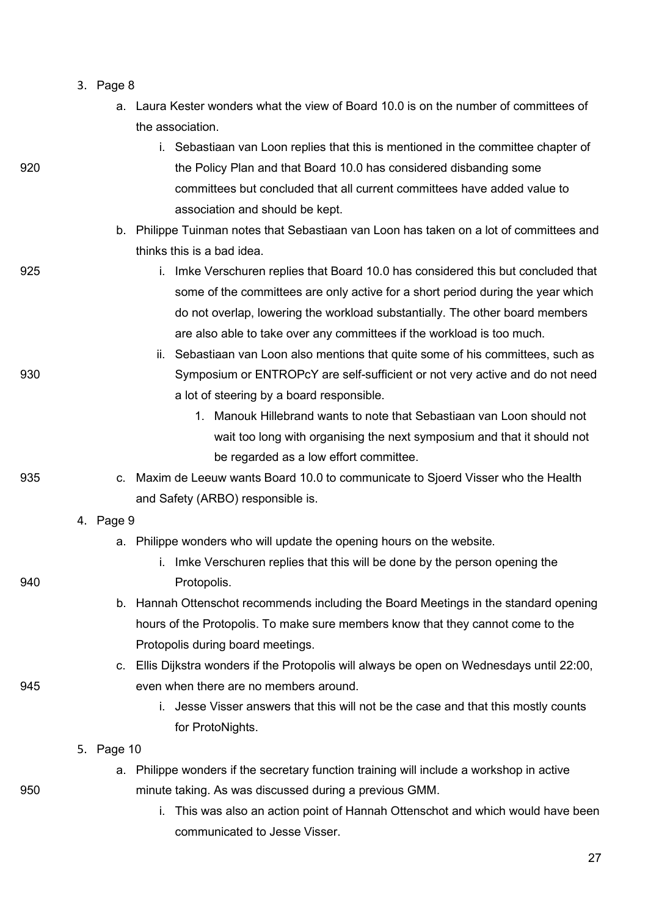- 3. Page 8
	- a. Laura Kester wonders what the view of Board 10.0 is on the number of committees of the association.
- i. Sebastiaan van Loon replies that this is mentioned in the committee chapter of 920 the Policy Plan and that Board 10.0 has considered disbanding some committees but concluded that all current committees have added value to association and should be kept. b. Philippe Tuinman notes that Sebastiaan van Loon has taken on a lot of committees and thinks this is a bad idea. 925 i. Imke Verschuren replies that Board 10.0 has considered this but concluded that some of the committees are only active for a short period during the year which do not overlap, lowering the workload substantially. The other board members are also able to take over any committees if the workload is too much. ii. Sebastiaan van Loon also mentions that quite some of his committees, such as 930 Symposium or ENTROPcY are self-sufficient or not very active and do not need a lot of steering by a board responsible. 1. Manouk Hillebrand wants to note that Sebastiaan van Loon should not wait too long with organising the next symposium and that it should not be regarded as a low effort committee. 935 c. Maxim de Leeuw wants Board 10.0 to communicate to Sjoerd Visser who the Health and Safety (ARBO) responsible is. 4. Page 9 a. Philippe wonders who will update the opening hours on the website. i. Imke Verschuren replies that this will be done by the person opening the 940 **Protopolis.** b. Hannah Ottenschot recommends including the Board Meetings in the standard opening hours of the Protopolis. To make sure members know that they cannot come to the Protopolis during board meetings. c. Ellis Dijkstra wonders if the Protopolis will always be open on Wednesdays until 22:00, 945 even when there are no members around. i. Jesse Visser answers that this will not be the case and that this mostly counts for ProtoNights. 5. Page 10 a. Philippe wonders if the secretary function training will include a workshop in active 950 minute taking. As was discussed during a previous GMM. i. This was also an action point of Hannah Ottenschot and which would have been
	- communicated to Jesse Visser.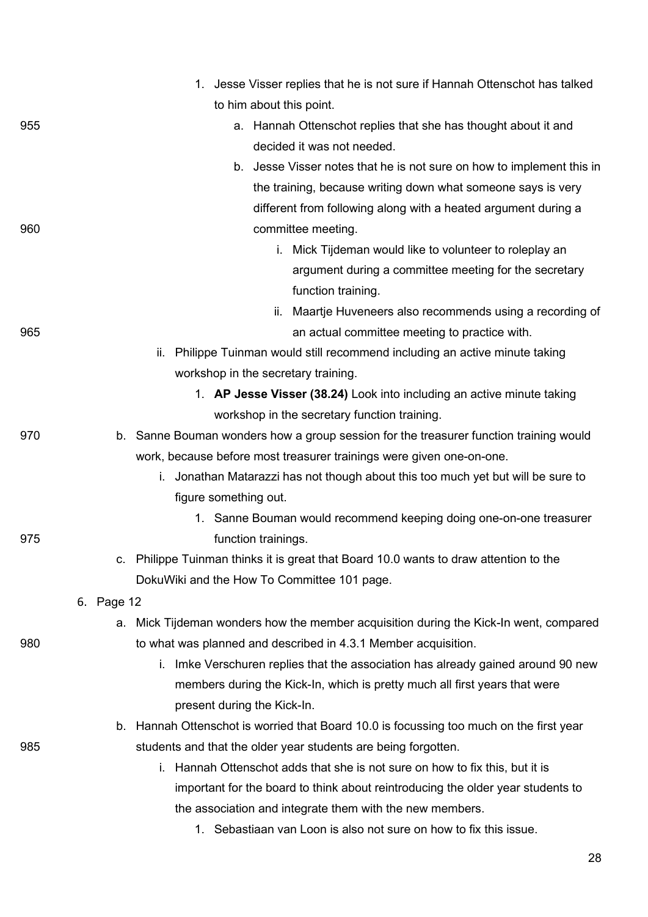|     | 1. Jesse Visser replies that he is not sure if Hannah Ottenschot has talked             |  |
|-----|-----------------------------------------------------------------------------------------|--|
|     | to him about this point.                                                                |  |
| 955 | a. Hannah Ottenschot replies that she has thought about it and                          |  |
|     | decided it was not needed.                                                              |  |
|     | b. Jesse Visser notes that he is not sure on how to implement this in                   |  |
|     | the training, because writing down what someone says is very                            |  |
|     | different from following along with a heated argument during a                          |  |
| 960 | committee meeting.                                                                      |  |
|     | i. Mick Tijdeman would like to volunteer to roleplay an                                 |  |
|     | argument during a committee meeting for the secretary                                   |  |
|     | function training.                                                                      |  |
|     | ii. Maartje Huveneers also recommends using a recording of                              |  |
| 965 | an actual committee meeting to practice with.                                           |  |
|     | ii. Philippe Tuinman would still recommend including an active minute taking            |  |
|     | workshop in the secretary training.                                                     |  |
|     | 1. AP Jesse Visser (38.24) Look into including an active minute taking                  |  |
|     | workshop in the secretary function training.                                            |  |
| 970 | b. Sanne Bouman wonders how a group session for the treasurer function training would   |  |
|     | work, because before most treasurer trainings were given one-on-one.                    |  |
|     | i. Jonathan Matarazzi has not though about this too much yet but will be sure to        |  |
|     | figure something out.                                                                   |  |
|     | 1. Sanne Bouman would recommend keeping doing one-on-one treasurer                      |  |
| 975 | function trainings.                                                                     |  |
|     | c. Philippe Tuinman thinks it is great that Board 10.0 wants to draw attention to the   |  |
|     | DokuWiki and the How To Committee 101 page.                                             |  |
|     | 6. Page 12                                                                              |  |
|     | a. Mick Tijdeman wonders how the member acquisition during the Kick-In went, compared   |  |
| 980 | to what was planned and described in 4.3.1 Member acquisition.                          |  |
|     | Imke Verschuren replies that the association has already gained around 90 new<br>i.     |  |
|     | members during the Kick-In, which is pretty much all first years that were              |  |
|     | present during the Kick-In.                                                             |  |
|     | b. Hannah Ottenschot is worried that Board 10.0 is focussing too much on the first year |  |
| 985 | students and that the older year students are being forgotten.                          |  |
|     | Hannah Ottenschot adds that she is not sure on how to fix this, but it is<br>i.         |  |
|     | important for the board to think about reintroducing the older year students to         |  |
|     | the association and integrate them with the new members.                                |  |
|     | 1. Sebastiaan van Loon is also not sure on how to fix this issue.                       |  |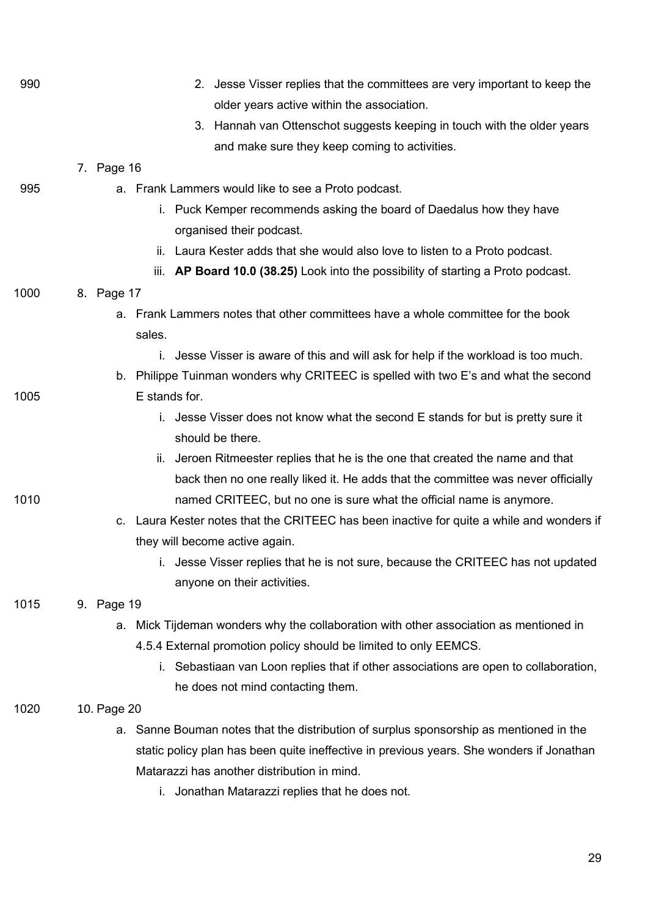| 990  | 2. Jesse Visser replies that the committees are very important to keep the                |
|------|-------------------------------------------------------------------------------------------|
|      | older years active within the association.                                                |
|      | 3. Hannah van Ottenschot suggests keeping in touch with the older years                   |
|      | and make sure they keep coming to activities.                                             |
|      | 7. Page 16                                                                                |
| 995  | a. Frank Lammers would like to see a Proto podcast.                                       |
|      | i. Puck Kemper recommends asking the board of Daedalus how they have                      |
|      | organised their podcast.                                                                  |
|      | Laura Kester adds that she would also love to listen to a Proto podcast.<br>ii.           |
|      | iii. AP Board 10.0 (38.25) Look into the possibility of starting a Proto podcast.         |
| 1000 | 8. Page 17                                                                                |
|      | a. Frank Lammers notes that other committees have a whole committee for the book          |
|      | sales.                                                                                    |
|      | i. Jesse Visser is aware of this and will ask for help if the workload is too much.       |
|      | b. Philippe Tuinman wonders why CRITEEC is spelled with two E's and what the second       |
| 1005 | E stands for.                                                                             |
|      | i. Jesse Visser does not know what the second E stands for but is pretty sure it          |
|      | should be there.                                                                          |
|      | Jeroen Ritmeester replies that he is the one that created the name and that<br>II.        |
|      | back then no one really liked it. He adds that the committee was never officially         |
| 1010 | named CRITEEC, but no one is sure what the official name is anymore.                      |
|      | c. Laura Kester notes that the CRITEEC has been inactive for quite a while and wonders if |
|      | they will become active again.                                                            |
|      | i. Jesse Visser replies that he is not sure, because the CRITEEC has not updated          |
|      | anyone on their activities.                                                               |
| 1015 | 9. Page 19                                                                                |
|      | Mick Tijdeman wonders why the collaboration with other association as mentioned in<br>а.  |
|      | 4.5.4 External promotion policy should be limited to only EEMCS.                          |
|      | Sebastiaan van Loon replies that if other associations are open to collaboration,<br>ı.   |
|      | he does not mind contacting them.                                                         |
| 1020 | 10. Page 20                                                                               |
|      | a. Sanne Bouman notes that the distribution of surplus sponsorship as mentioned in the    |
|      | static policy plan has been quite ineffective in previous years. She wonders if Jonathan  |
|      | Matarazzi has another distribution in mind.                                               |
|      | Jonathan Matarazzi replies that he does not.<br>Ĺ.                                        |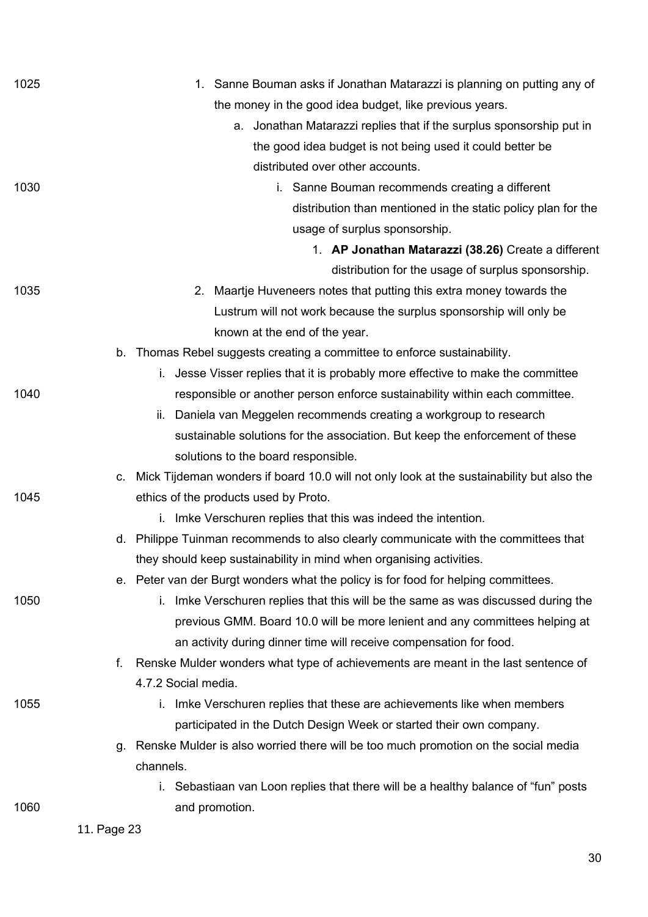| 1025 | 1. Sanne Bouman asks if Jonathan Matarazzi is planning on putting any of                     |
|------|----------------------------------------------------------------------------------------------|
|      | the money in the good idea budget, like previous years.                                      |
|      | a. Jonathan Matarazzi replies that if the surplus sponsorship put in                         |
|      | the good idea budget is not being used it could better be                                    |
|      | distributed over other accounts.                                                             |
| 1030 | i. Sanne Bouman recommends creating a different                                              |
|      | distribution than mentioned in the static policy plan for the                                |
|      | usage of surplus sponsorship.                                                                |
|      | 1. AP Jonathan Matarazzi (38.26) Create a different                                          |
|      | distribution for the usage of surplus sponsorship.                                           |
| 1035 | 2. Maartje Huveneers notes that putting this extra money towards the                         |
|      | Lustrum will not work because the surplus sponsorship will only be                           |
|      | known at the end of the year.                                                                |
|      | b. Thomas Rebel suggests creating a committee to enforce sustainability.                     |
|      | i. Jesse Visser replies that it is probably more effective to make the committee             |
| 1040 | responsible or another person enforce sustainability within each committee.                  |
|      | ii. Daniela van Meggelen recommends creating a workgroup to research                         |
|      | sustainable solutions for the association. But keep the enforcement of these                 |
|      | solutions to the board responsible.                                                          |
|      | c. Mick Tijdeman wonders if board 10.0 will not only look at the sustainability but also the |
| 1045 | ethics of the products used by Proto.                                                        |
|      | i. Imke Verschuren replies that this was indeed the intention.                               |
|      | d. Philippe Tuinman recommends to also clearly communicate with the committees that          |
|      | they should keep sustainability in mind when organising activities.                          |
|      | e. Peter van der Burgt wonders what the policy is for food for helping committees.           |
| 1050 | i. Imke Verschuren replies that this will be the same as was discussed during the            |
|      | previous GMM. Board 10.0 will be more lenient and any committees helping at                  |
|      | an activity during dinner time will receive compensation for food.                           |
|      | Renske Mulder wonders what type of achievements are meant in the last sentence of<br>f.      |
|      | 4.7.2 Social media.                                                                          |
| 1055 | i. Imke Verschuren replies that these are achievements like when members                     |
|      | participated in the Dutch Design Week or started their own company.                          |
|      | g. Renske Mulder is also worried there will be too much promotion on the social media        |
|      | channels.                                                                                    |
|      | i. Sebastiaan van Loon replies that there will be a healthy balance of "fun" posts           |
| 1060 | and promotion.                                                                               |
|      | 11. Page 23                                                                                  |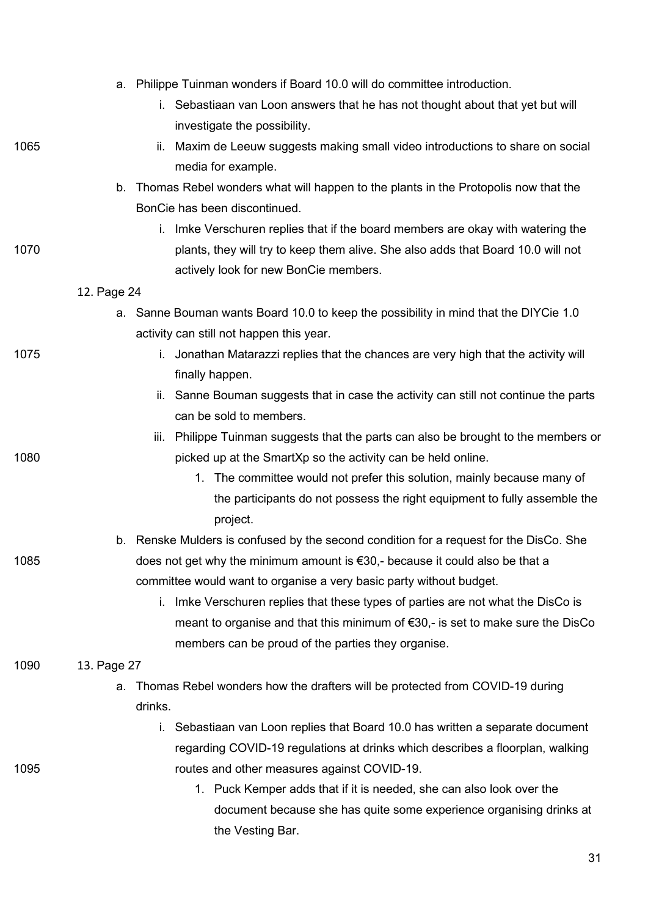|      |             | a. Philippe Tuinman wonders if Board 10.0 will do committee introduction.               |
|------|-------------|-----------------------------------------------------------------------------------------|
|      |             | i. Sebastiaan van Loon answers that he has not thought about that yet but will          |
|      |             | investigate the possibility.                                                            |
| 1065 |             | Maxim de Leeuw suggests making small video introductions to share on social<br>ii.      |
|      |             | media for example.                                                                      |
|      | b.          | Thomas Rebel wonders what will happen to the plants in the Protopolis now that the      |
|      |             | BonCie has been discontinued.                                                           |
|      |             | i. Imke Verschuren replies that if the board members are okay with watering the         |
| 1070 |             | plants, they will try to keep them alive. She also adds that Board 10.0 will not        |
|      |             | actively look for new BonCie members.                                                   |
|      | 12. Page 24 |                                                                                         |
|      |             | a. Sanne Bouman wants Board 10.0 to keep the possibility in mind that the DIYCie 1.0    |
|      |             | activity can still not happen this year.                                                |
| 1075 |             | Jonathan Matarazzi replies that the chances are very high that the activity will<br>L.  |
|      |             | finally happen.                                                                         |
|      |             | Sanne Bouman suggests that in case the activity can still not continue the parts<br>ii. |
|      |             | can be sold to members.                                                                 |
|      |             | Philippe Tuinman suggests that the parts can also be brought to the members or<br>iii.  |
| 1080 |             | picked up at the SmartXp so the activity can be held online.                            |
|      |             | 1. The committee would not prefer this solution, mainly because many of                 |
|      |             | the participants do not possess the right equipment to fully assemble the               |
|      |             | project.                                                                                |
|      |             | b. Renske Mulders is confused by the second condition for a request for the DisCo. She  |
| 1085 |             | does not get why the minimum amount is €30,- because it could also be that a            |
|      |             | committee would want to organise a very basic party without budget.                     |
|      |             | Imke Verschuren replies that these types of parties are not what the DisCo is<br>i.     |
|      |             | meant to organise and that this minimum of €30,- is set to make sure the DisCo          |
|      |             | members can be proud of the parties they organise.                                      |
| 1090 | 13. Page 27 |                                                                                         |
|      | a.          | Thomas Rebel wonders how the drafters will be protected from COVID-19 during            |
|      |             | drinks.                                                                                 |
|      |             | Sebastiaan van Loon replies that Board 10.0 has written a separate document<br>i.       |
|      |             | regarding COVID-19 regulations at drinks which describes a floorplan, walking           |
| 1095 |             | routes and other measures against COVID-19.                                             |
|      |             | 1. Puck Kemper adds that if it is needed, she can also look over the                    |
|      |             | document because she has quite some experience organising drinks at                     |
|      |             | the Vesting Bar.                                                                        |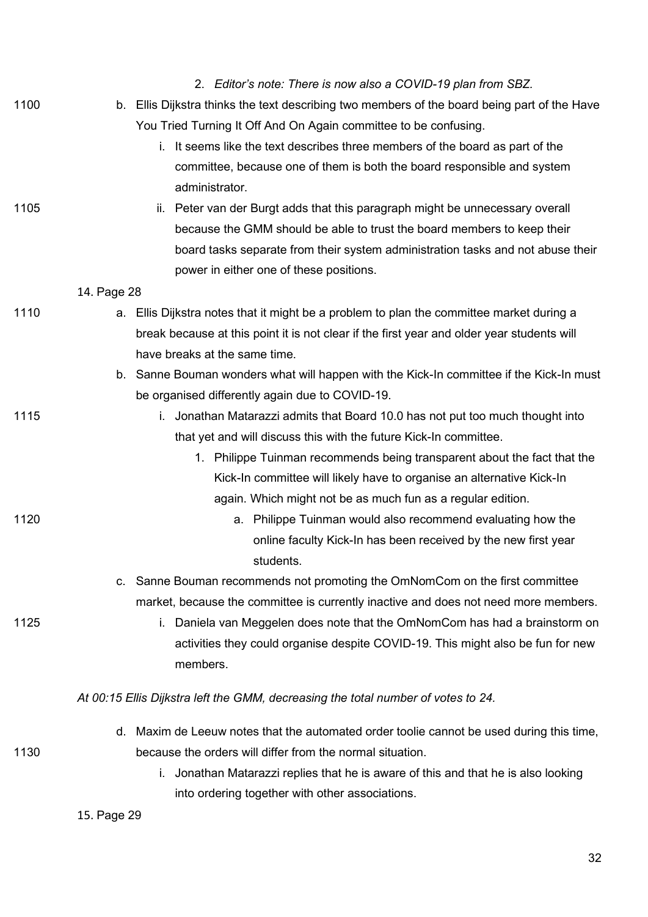|      | 2. Editor's note: There is now also a COVID-19 plan from SBZ.                                |
|------|----------------------------------------------------------------------------------------------|
| 1100 | b. Ellis Dijkstra thinks the text describing two members of the board being part of the Have |
|      | You Tried Turning It Off And On Again committee to be confusing.                             |
|      | i. It seems like the text describes three members of the board as part of the                |
|      | committee, because one of them is both the board responsible and system                      |
|      | administrator.                                                                               |
| 1105 | ii. Peter van der Burgt adds that this paragraph might be unnecessary overall                |
|      | because the GMM should be able to trust the board members to keep their                      |
|      | board tasks separate from their system administration tasks and not abuse their              |
|      | power in either one of these positions.                                                      |
|      | 14. Page 28                                                                                  |
| 1110 | a. Ellis Dijkstra notes that it might be a problem to plan the committee market during a     |
|      | break because at this point it is not clear if the first year and older year students will   |
|      | have breaks at the same time.                                                                |
|      | b. Sanne Bouman wonders what will happen with the Kick-In committee if the Kick-In must      |
|      | be organised differently again due to COVID-19.                                              |
| 1115 | i. Jonathan Matarazzi admits that Board 10.0 has not put too much thought into               |
|      | that yet and will discuss this with the future Kick-In committee.                            |
|      | 1. Philippe Tuinman recommends being transparent about the fact that the                     |
|      | Kick-In committee will likely have to organise an alternative Kick-In                        |
|      | again. Which might not be as much fun as a regular edition.                                  |
| 1120 | a. Philippe Tuinman would also recommend evaluating how the                                  |
|      | online faculty Kick-In has been received by the new first year                               |
|      | students.                                                                                    |
|      | c. Sanne Bouman recommends not promoting the OmNomCom on the first committee                 |
|      | market, because the committee is currently inactive and does not need more members.          |
| 1125 | i. Daniela van Meggelen does note that the OmNomCom has had a brainstorm on                  |
|      | activities they could organise despite COVID-19. This might also be fun for new              |
|      | members.                                                                                     |
|      | At 00:15 Ellis Dijkstra left the GMM, decreasing the total number of votes to 24.            |
|      | Maxim de Leeuw notes that the automated order toolie cannot be used during this time,<br>d.  |
| 1130 | because the orders will differ from the normal situation.                                    |
|      | Jonathan Matarazzi replies that he is aware of this and that he is also looking<br>L.        |
|      | into ordering together with other associations.                                              |
|      | 15. Page 29                                                                                  |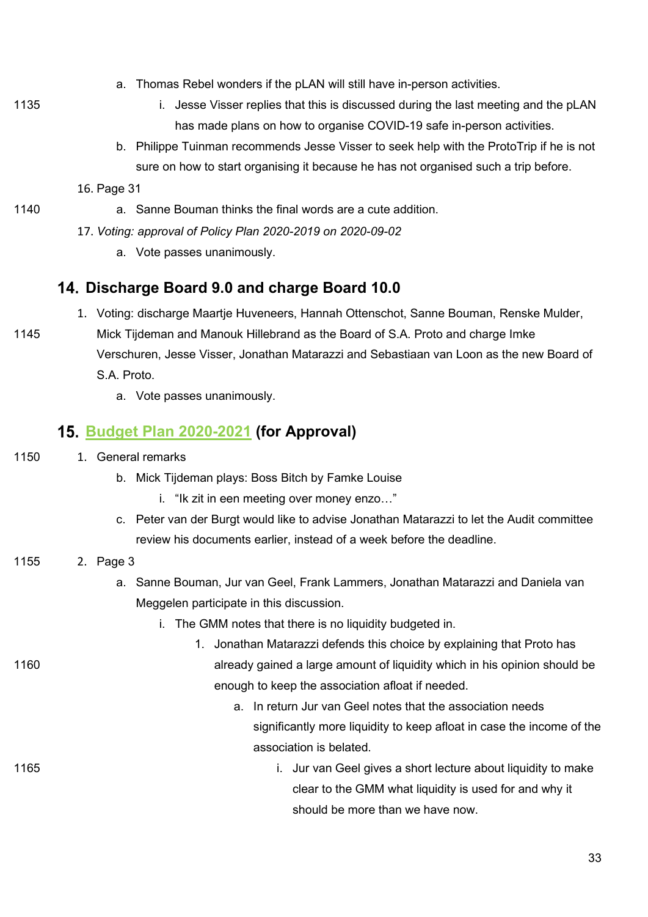- a. Thomas Rebel wonders if the pLAN will still have in-person activities.
- 
- 1135 **i.** Jesse Visser replies that this is discussed during the last meeting and the pLAN has made plans on how to organise COVID-19 safe in-person activities.
	- b. Philippe Tuinman recommends Jesse Visser to seek help with the ProtoTrip if he is not sure on how to start organising it because he has not organised such a trip before.

16. Page 31

- 1140 a. Sanne Bouman thinks the final words are a cute addition.
	- 17. *Voting: approval of Policy Plan 2020-2019 on 2020-09-02*
		- a. Vote passes unanimously.

#### **Discharge Board 9.0 and charge Board 10.0**

- 1. Voting: discharge Maartje Huveneers, Hannah Ottenschot, Sanne Bouman, Renske Mulder,
- 1145 Mick Tijdeman and Manouk Hillebrand as the Board of S.A. Proto and charge Imke Verschuren, Jesse Visser, Jonathan Matarazzi and Sebastiaan van Loon as the new Board of S.A. Proto.
	- a. Vote passes unanimously.

#### **[Budget Plan 2020-2021](https://wiki.proto.utwente.nl/_media/proto/gmmdocs/budget_plan_2020-2021_1_.pdf) (for Approval)**

- 1150 1. General remarks
	- b. Mick Tijdeman plays: Boss Bitch by Famke Louise
		- i. "Ik zit in een meeting over money enzo…"
	- c. Peter van der Burgt would like to advise Jonathan Matarazzi to let the Audit committee review his documents earlier, instead of a week before the deadline.

#### 1155 2. Page 3

- a. Sanne Bouman, Jur van Geel, Frank Lammers, Jonathan Matarazzi and Daniela van Meggelen participate in this discussion.
	- i. The GMM notes that there is no liquidity budgeted in.

1. Jonathan Matarazzi defends this choice by explaining that Proto has 1160 already gained a large amount of liquidity which in his opinion should be enough to keep the association afloat if needed.

- a. In return Jur van Geel notes that the association needs significantly more liquidity to keep afloat in case the income of the association is belated.
- 1165 i. Jur van Geel gives a short lecture about liquidity to make clear to the GMM what liquidity is used for and why it should be more than we have now.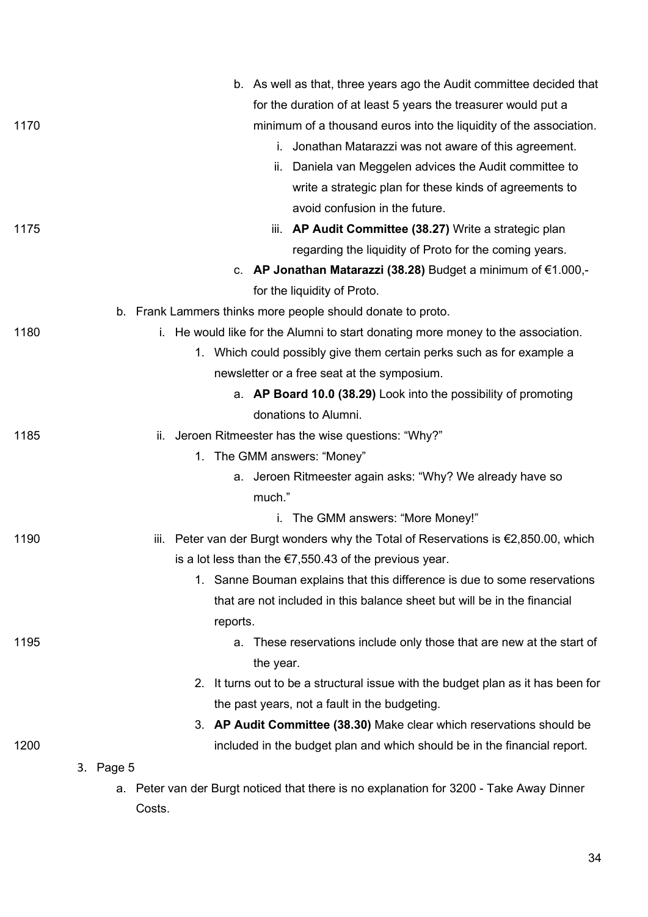|      | b. As well as that, three years ago the Audit committee decided that                    |
|------|-----------------------------------------------------------------------------------------|
|      | for the duration of at least 5 years the treasurer would put a                          |
| 1170 | minimum of a thousand euros into the liquidity of the association.                      |
|      | i. Jonathan Matarazzi was not aware of this agreement.                                  |
|      | ii. Daniela van Meggelen advices the Audit committee to                                 |
|      | write a strategic plan for these kinds of agreements to                                 |
|      | avoid confusion in the future.                                                          |
| 1175 | iii. AP Audit Committee (38.27) Write a strategic plan                                  |
|      | regarding the liquidity of Proto for the coming years.                                  |
|      | c. AP Jonathan Matarazzi (38.28) Budget a minimum of $€1.000, -$                        |
|      | for the liquidity of Proto.                                                             |
|      | b. Frank Lammers thinks more people should donate to proto.                             |
| 1180 | i. He would like for the Alumni to start donating more money to the association.        |
|      | 1. Which could possibly give them certain perks such as for example a                   |
|      | newsletter or a free seat at the symposium.                                             |
|      | a. AP Board 10.0 (38.29) Look into the possibility of promoting                         |
|      | donations to Alumni.                                                                    |
| 1185 | Jeroen Ritmeester has the wise questions: "Why?"<br>Ш.                                  |
|      | 1. The GMM answers: "Money"                                                             |
|      | a. Jeroen Ritmeester again asks: "Why? We already have so                               |
|      | much."                                                                                  |
|      | i. The GMM answers: "More Money!"                                                       |
| 1190 | iii. Peter van der Burgt wonders why the Total of Reservations is €2,850.00, which      |
|      | is a lot less than the $\epsilon$ 7,550.43 of the previous year.                        |
|      | 1. Sanne Bouman explains that this difference is due to some reservations               |
|      | that are not included in this balance sheet but will be in the financial                |
|      | reports.                                                                                |
| 1195 | These reservations include only those that are new at the start of<br>а.                |
|      | the year.                                                                               |
|      | 2. It turns out to be a structural issue with the budget plan as it has been for        |
|      | the past years, not a fault in the budgeting.                                           |
|      | 3. AP Audit Committee (38.30) Make clear which reservations should be                   |
| 1200 | included in the budget plan and which should be in the financial report.                |
|      | 3. Page 5                                                                               |
|      | a. Peter van der Burgt noticed that there is no explanation for 3200 - Take Away Dinner |
|      | Costs.                                                                                  |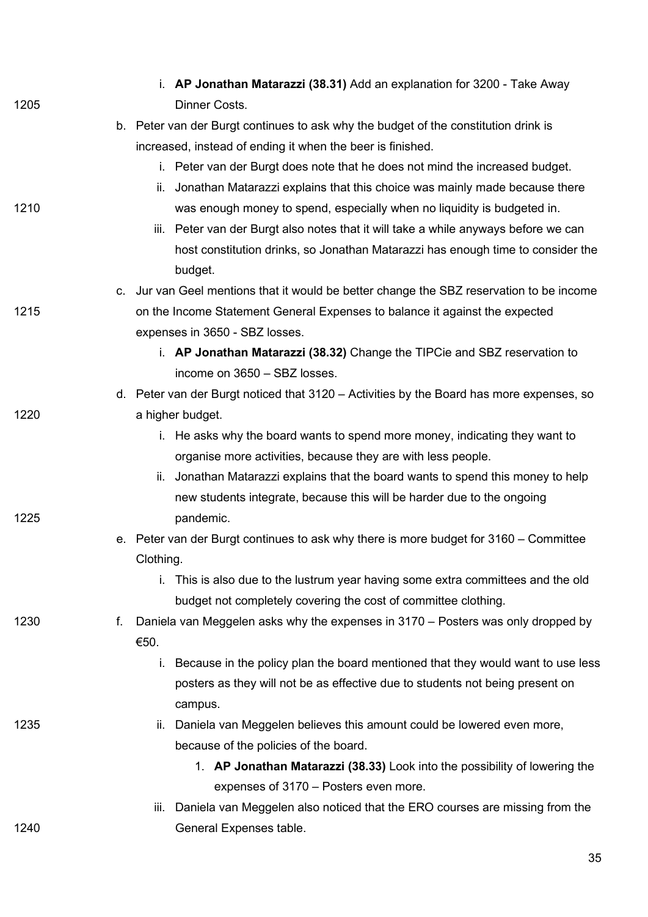|      |    | i. AP Jonathan Matarazzi (38.31) Add an explanation for 3200 - Take Away                 |
|------|----|------------------------------------------------------------------------------------------|
| 1205 |    | Dinner Costs.                                                                            |
|      |    | b. Peter van der Burgt continues to ask why the budget of the constitution drink is      |
|      |    | increased, instead of ending it when the beer is finished.                               |
|      |    | i. Peter van der Burgt does note that he does not mind the increased budget.             |
|      |    | Jonathan Matarazzi explains that this choice was mainly made because there<br>ii.        |
| 1210 |    | was enough money to spend, especially when no liquidity is budgeted in.                  |
|      |    | iii. Peter van der Burgt also notes that it will take a while anyways before we can      |
|      |    | host constitution drinks, so Jonathan Matarazzi has enough time to consider the          |
|      |    | budget.                                                                                  |
|      |    | c. Jur van Geel mentions that it would be better change the SBZ reservation to be income |
| 1215 |    | on the Income Statement General Expenses to balance it against the expected              |
|      |    | expenses in 3650 - SBZ losses.                                                           |
|      |    | i. AP Jonathan Matarazzi (38.32) Change the TIPCie and SBZ reservation to                |
|      |    | income on 3650 - SBZ losses.                                                             |
|      |    | d. Peter van der Burgt noticed that 3120 – Activities by the Board has more expenses, so |
| 1220 |    | a higher budget.                                                                         |
|      |    | i. He asks why the board wants to spend more money, indicating they want to              |
|      |    | organise more activities, because they are with less people.                             |
|      |    | Jonathan Matarazzi explains that the board wants to spend this money to help<br>ii.      |
|      |    | new students integrate, because this will be harder due to the ongoing                   |
| 1225 |    | pandemic.                                                                                |
|      |    | e. Peter van der Burgt continues to ask why there is more budget for 3160 – Committee    |
|      |    | Clothing.                                                                                |
|      |    | i. This is also due to the lustrum year having some extra committees and the old         |
|      |    | budget not completely covering the cost of committee clothing.                           |
| 1230 | f. | Daniela van Meggelen asks why the expenses in 3170 – Posters was only dropped by         |
|      |    | €50.                                                                                     |
|      |    | Because in the policy plan the board mentioned that they would want to use less<br>i.    |
|      |    | posters as they will not be as effective due to students not being present on            |
|      |    | campus.                                                                                  |
| 1235 |    | Daniela van Meggelen believes this amount could be lowered even more,<br>II.             |
|      |    | because of the policies of the board.                                                    |
|      |    | 1. AP Jonathan Matarazzi (38.33) Look into the possibility of lowering the               |
|      |    | expenses of 3170 – Posters even more.                                                    |
|      |    | Daniela van Meggelen also noticed that the ERO courses are missing from the<br>iii.      |
| 1240 |    | General Expenses table.                                                                  |
|      |    |                                                                                          |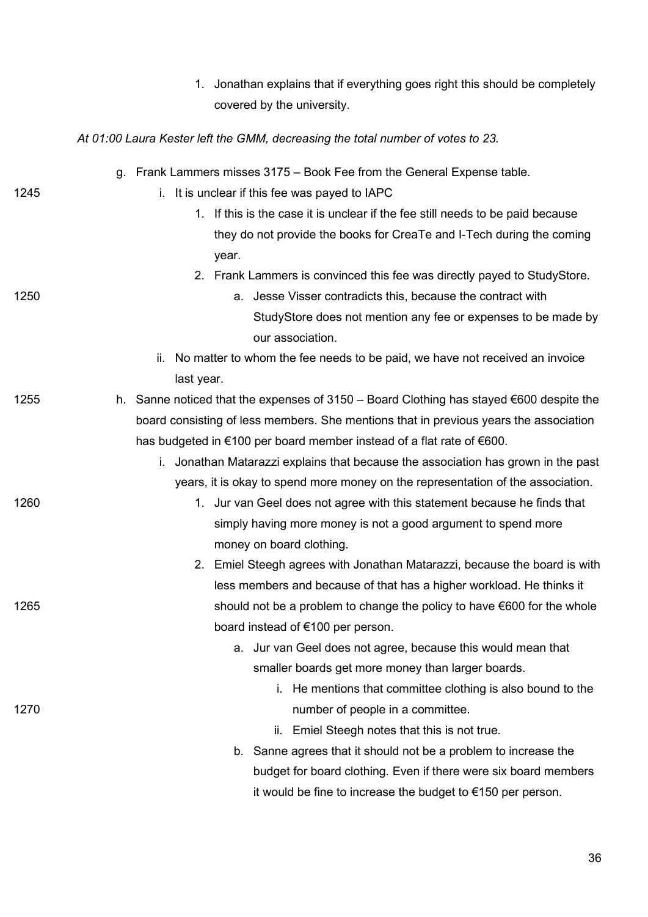|      | Jonathan explains that if everything goes right this should be completely<br>1.                   |
|------|---------------------------------------------------------------------------------------------------|
|      | covered by the university.                                                                        |
|      | At 01:00 Laura Kester left the GMM, decreasing the total number of votes to 23.                   |
|      | g. Frank Lammers misses 3175 – Book Fee from the General Expense table.                           |
| 1245 | It is unclear if this fee was payed to IAPC<br>i.                                                 |
|      | 1. If this is the case it is unclear if the fee still needs to be paid because                    |
|      | they do not provide the books for CreaTe and I-Tech during the coming                             |
|      | year.                                                                                             |
|      | 2. Frank Lammers is convinced this fee was directly payed to StudyStore.                          |
| 1250 | a. Jesse Visser contradicts this, because the contract with                                       |
|      | StudyStore does not mention any fee or expenses to be made by<br>our association.                 |
|      | No matter to whom the fee needs to be paid, we have not received an invoice<br>ii.                |
|      | last year.                                                                                        |
| 1255 | h. Sanne noticed that the expenses of 3150 – Board Clothing has stayed $\epsilon$ 600 despite the |
|      | board consisting of less members. She mentions that in previous years the association             |
|      | has budgeted in €100 per board member instead of a flat rate of €600.                             |
|      | i. Jonathan Matarazzi explains that because the association has grown in the past                 |
|      | years, it is okay to spend more money on the representation of the association.                   |
| 1260 | 1. Jur van Geel does not agree with this statement because he finds that                          |
|      | simply having more money is not a good argument to spend more                                     |
|      | money on board clothing.                                                                          |
|      | 2. Emiel Steegh agrees with Jonathan Matarazzi, because the board is with                         |
|      | less members and because of that has a higher workload. He thinks it                              |
| 1265 | should not be a problem to change the policy to have €600 for the whole                           |
|      | board instead of €100 per person.                                                                 |
|      | a. Jur van Geel does not agree, because this would mean that                                      |
|      | smaller boards get more money than larger boards.                                                 |
|      | i. He mentions that committee clothing is also bound to the                                       |
| 1270 | number of people in a committee.                                                                  |
|      | ii. Emiel Steegh notes that this is not true.                                                     |
|      | Sanne agrees that it should not be a problem to increase the<br>b.                                |
|      | budget for board clothing. Even if there were six board members                                   |
|      | it would be fine to increase the budget to $€150$ per person.                                     |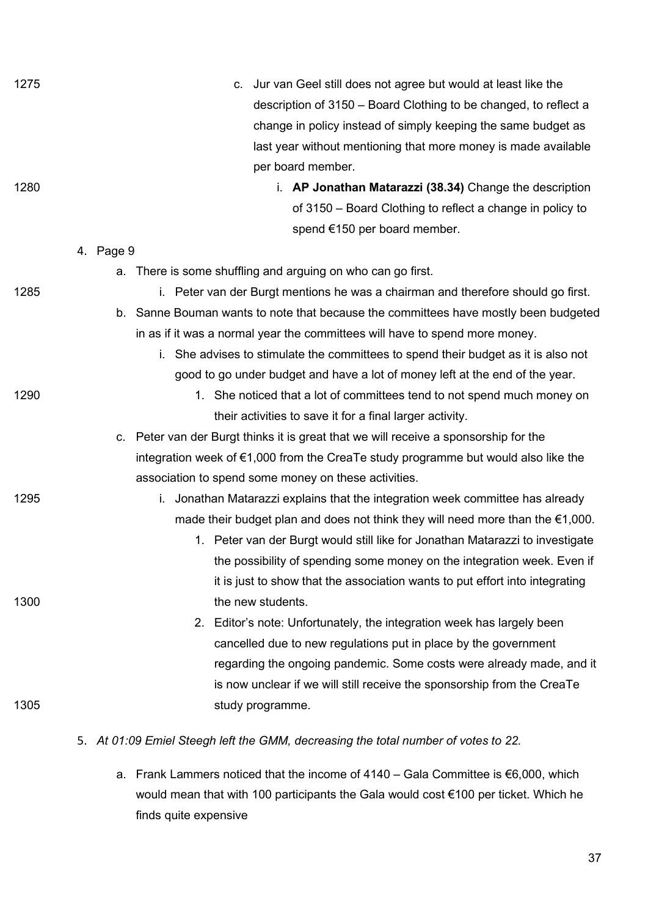| 1275 | Jur van Geel still does not agree but would at least like the<br>C.                      |
|------|------------------------------------------------------------------------------------------|
|      | description of 3150 – Board Clothing to be changed, to reflect a                         |
|      | change in policy instead of simply keeping the same budget as                            |
|      | last year without mentioning that more money is made available                           |
|      | per board member.                                                                        |
| 1280 | i. AP Jonathan Matarazzi (38.34) Change the description                                  |
|      | of 3150 – Board Clothing to reflect a change in policy to                                |
|      | spend €150 per board member.                                                             |
|      | 4. Page 9                                                                                |
|      | a. There is some shuffling and arguing on who can go first.                              |
| 1285 | i. Peter van der Burgt mentions he was a chairman and therefore should go first.         |
|      | b. Sanne Bouman wants to note that because the committees have mostly been budgeted      |
|      | in as if it was a normal year the committees will have to spend more money.              |
|      | She advises to stimulate the committees to spend their budget as it is also not<br>i.    |
|      | good to go under budget and have a lot of money left at the end of the year.             |
| 1290 | 1. She noticed that a lot of committees tend to not spend much money on                  |
|      | their activities to save it for a final larger activity.                                 |
|      | c. Peter van der Burgt thinks it is great that we will receive a sponsorship for the     |
|      | integration week of €1,000 from the CreaTe study programme but would also like the       |
|      | association to spend some money on these activities.                                     |
| 1295 | Jonathan Matarazzi explains that the integration week committee has already<br>i.        |
|      | made their budget plan and does not think they will need more than the $\epsilon$ 1,000. |
|      | 1. Peter van der Burgt would still like for Jonathan Matarazzi to investigate            |
|      | the possibility of spending some money on the integration week. Even if                  |
|      | it is just to show that the association wants to put effort into integrating             |
| 1300 | the new students.                                                                        |
|      | 2. Editor's note: Unfortunately, the integration week has largely been                   |
|      | cancelled due to new regulations put in place by the government                          |
|      | regarding the ongoing pandemic. Some costs were already made, and it                     |
|      | is now unclear if we will still receive the sponsorship from the CreaTe                  |
| 1305 | study programme.                                                                         |
|      | 5. At 01:09 Emiel Steegh left the GMM, decreasing the total number of votes to 22.       |

a. Frank Lammers noticed that the income of 4140 – Gala Committee is €6,000, which would mean that with 100 participants the Gala would cost €100 per ticket. Which he finds quite expensive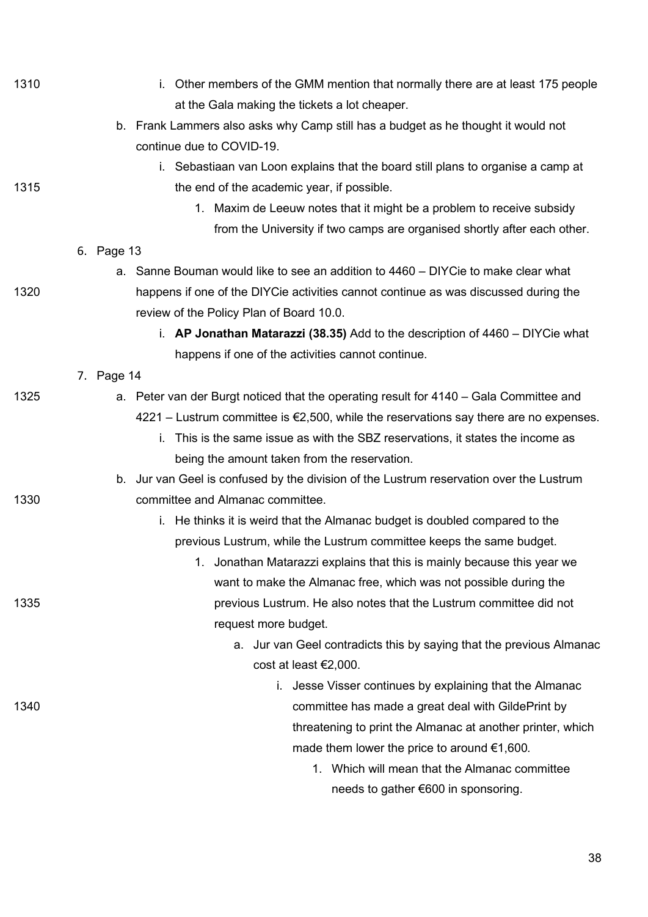| 1310 | i. Other members of the GMM mention that normally there are at least 175 people                   |
|------|---------------------------------------------------------------------------------------------------|
|      | at the Gala making the tickets a lot cheaper.                                                     |
|      | b. Frank Lammers also asks why Camp still has a budget as he thought it would not                 |
|      | continue due to COVID-19.                                                                         |
|      | i. Sebastiaan van Loon explains that the board still plans to organise a camp at                  |
| 1315 | the end of the academic year, if possible.                                                        |
|      | 1. Maxim de Leeuw notes that it might be a problem to receive subsidy                             |
|      | from the University if two camps are organised shortly after each other.                          |
|      | 6. Page 13                                                                                        |
|      | a. Sanne Bouman would like to see an addition to 4460 – DIYCie to make clear what                 |
| 1320 | happens if one of the DIYCie activities cannot continue as was discussed during the               |
|      | review of the Policy Plan of Board 10.0.                                                          |
|      | i. AP Jonathan Matarazzi (38.35) Add to the description of 4460 - DIYCie what                     |
|      | happens if one of the activities cannot continue.                                                 |
|      | 7. Page 14                                                                                        |
| 1325 | a. Peter van der Burgt noticed that the operating result for 4140 – Gala Committee and            |
|      | $4221$ – Lustrum committee is $\epsilon$ 2,500, while the reservations say there are no expenses. |
|      | This is the same issue as with the SBZ reservations, it states the income as<br>i.                |
|      | being the amount taken from the reservation.                                                      |
|      | b. Jur van Geel is confused by the division of the Lustrum reservation over the Lustrum           |
| 1330 | committee and Almanac committee.                                                                  |
|      | i. He thinks it is weird that the Almanac budget is doubled compared to the                       |
|      | previous Lustrum, while the Lustrum committee keeps the same budget.                              |
|      | 1. Jonathan Matarazzi explains that this is mainly because this year we                           |
|      | want to make the Almanac free, which was not possible during the                                  |
| 1335 | previous Lustrum. He also notes that the Lustrum committee did not                                |
|      | request more budget.                                                                              |
|      | a. Jur van Geel contradicts this by saying that the previous Almanac                              |
|      | cost at least €2,000.                                                                             |
|      | i. Jesse Visser continues by explaining that the Almanac                                          |
| 1340 | committee has made a great deal with GildePrint by                                                |
|      | threatening to print the Almanac at another printer, which                                        |
|      | made them lower the price to around $\epsilon$ 1,600.                                             |
|      | 1. Which will mean that the Almanac committee                                                     |
|      | needs to gather €600 in sponsoring.                                                               |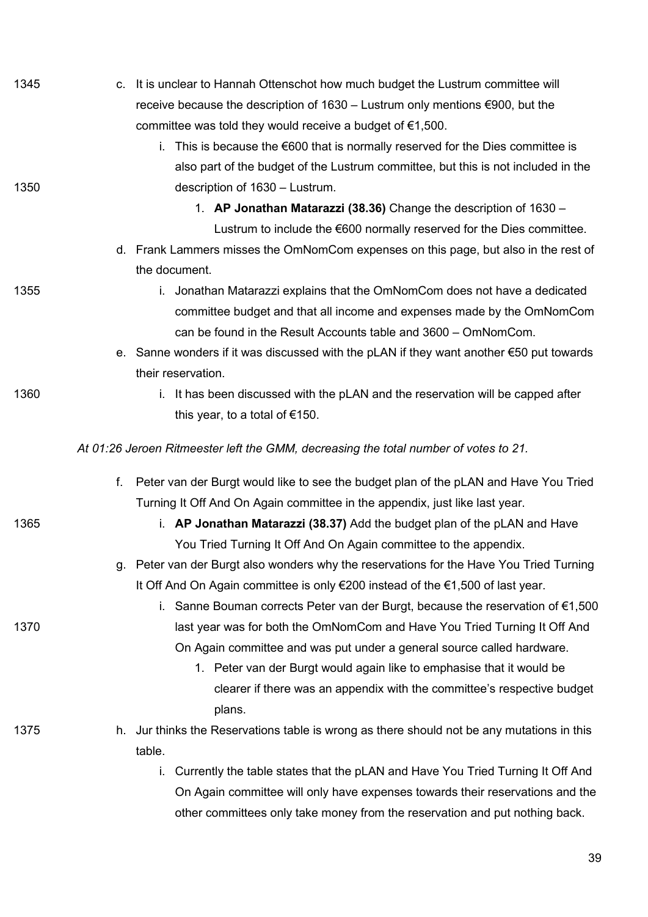| 1345 |                                                                                      | c. It is unclear to Hannah Ottenschot how much budget the Lustrum committee will                  |
|------|--------------------------------------------------------------------------------------|---------------------------------------------------------------------------------------------------|
|      |                                                                                      | receive because the description of $1630 -$ Lustrum only mentions $\epsilon$ 900, but the         |
|      | committee was told they would receive a budget of $\epsilon$ 1,500.                  |                                                                                                   |
|      |                                                                                      | i. This is because the $\epsilon$ 600 that is normally reserved for the Dies committee is         |
|      |                                                                                      | also part of the budget of the Lustrum committee, but this is not included in the                 |
| 1350 | description of 1630 - Lustrum.                                                       |                                                                                                   |
|      |                                                                                      | 1. AP Jonathan Matarazzi (38.36) Change the description of 1630 -                                 |
|      |                                                                                      | Lustrum to include the €600 normally reserved for the Dies committee.                             |
|      |                                                                                      | d. Frank Lammers misses the OmNomCom expenses on this page, but also in the rest of               |
|      | the document.                                                                        |                                                                                                   |
| 1355 |                                                                                      | i. Jonathan Matarazzi explains that the OmNomCom does not have a dedicated                        |
|      |                                                                                      | committee budget and that all income and expenses made by the OmNomCom                            |
|      |                                                                                      | can be found in the Result Accounts table and 3600 - OmNomCom.                                    |
|      |                                                                                      | e. Sanne wonders if it was discussed with the pLAN if they want another $\epsilon$ 50 put towards |
|      | their reservation.                                                                   |                                                                                                   |
| 1360 |                                                                                      | i. It has been discussed with the pLAN and the reservation will be capped after                   |
|      | this year, to a total of $€150$ .                                                    |                                                                                                   |
|      | At 01:26 Jeroen Ritmeester left the GMM, decreasing the total number of votes to 21. |                                                                                                   |
|      |                                                                                      | f. Peter van der Burgt would like to see the budget plan of the pLAN and Have You Tried           |
|      |                                                                                      | Turning It Off And On Again committee in the appendix, just like last year.                       |
| 1365 |                                                                                      | i. AP Jonathan Matarazzi (38.37) Add the budget plan of the pLAN and Have                         |
|      |                                                                                      | You Tried Turning It Off And On Again committee to the appendix.                                  |
|      |                                                                                      | g. Peter van der Burgt also wonders why the reservations for the Have You Tried Turning           |
|      |                                                                                      | It Off And On Again committee is only €200 instead of the €1,500 of last year.                    |
|      |                                                                                      | i. Sanne Bouman corrects Peter van der Burgt, because the reservation of $\epsilon$ 1,500         |
| 1370 |                                                                                      | last year was for both the OmNomCom and Have You Tried Turning It Off And                         |
|      |                                                                                      | On Again committee and was put under a general source called hardware.                            |
|      |                                                                                      | 1. Peter van der Burgt would again like to emphasise that it would be                             |
|      |                                                                                      | clearer if there was an appendix with the committee's respective budget                           |
|      | plans.                                                                               |                                                                                                   |
| 1375 |                                                                                      | h. Jur thinks the Reservations table is wrong as there should not be any mutations in this        |
|      | table.                                                                               |                                                                                                   |
|      | i.                                                                                   | Currently the table states that the pLAN and Have You Tried Turning It Off And                    |
|      |                                                                                      | On Again committee will only have expenses towards their reservations and the                     |
|      |                                                                                      | other committees only take money from the reservation and put nothing back.                       |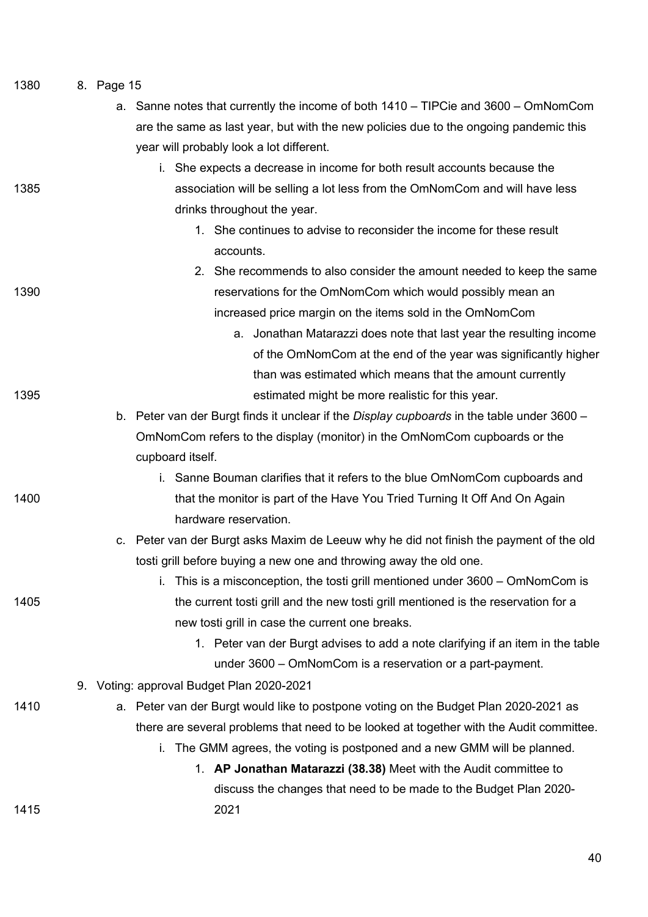|  | 1380 |  | 8. Page 15 |
|--|------|--|------------|
|--|------|--|------------|

|      | a. Sanne notes that currently the income of both 1410 – TIPCie and 3600 – OmNomCom                |
|------|---------------------------------------------------------------------------------------------------|
|      | are the same as last year, but with the new policies due to the ongoing pandemic this             |
|      | year will probably look a lot different.                                                          |
|      | i. She expects a decrease in income for both result accounts because the                          |
| 1385 | association will be selling a lot less from the OmNomCom and will have less                       |
|      | drinks throughout the year.                                                                       |
|      | 1. She continues to advise to reconsider the income for these result                              |
|      | accounts.                                                                                         |
|      | 2. She recommends to also consider the amount needed to keep the same                             |
| 1390 | reservations for the OmNomCom which would possibly mean an                                        |
|      | increased price margin on the items sold in the OmNomCom                                          |
|      | a. Jonathan Matarazzi does note that last year the resulting income                               |
|      | of the OmNomCom at the end of the year was significantly higher                                   |
|      | than was estimated which means that the amount currently                                          |
| 1395 | estimated might be more realistic for this year.                                                  |
|      | b. Peter van der Burgt finds it unclear if the <i>Display cupboards</i> in the table under 3600 – |
|      | OmNomCom refers to the display (monitor) in the OmNomCom cupboards or the                         |
|      | cupboard itself.                                                                                  |
|      | i. Sanne Bouman clarifies that it refers to the blue OmNomCom cupboards and                       |
| 1400 | that the monitor is part of the Have You Tried Turning It Off And On Again                        |
|      | hardware reservation.                                                                             |
|      | c. Peter van der Burgt asks Maxim de Leeuw why he did not finish the payment of the old           |
|      | tosti grill before buying a new one and throwing away the old one.                                |
|      | i. This is a misconception, the tosti grill mentioned under 3600 – OmNomCom is                    |
| 1405 | the current tosti grill and the new tosti grill mentioned is the reservation for a                |
|      | new tosti grill in case the current one breaks.                                                   |
|      | 1. Peter van der Burgt advises to add a note clarifying if an item in the table                   |
|      | under 3600 – OmNomCom is a reservation or a part-payment.                                         |
|      | 9. Voting: approval Budget Plan 2020-2021                                                         |
| 1410 | a. Peter van der Burgt would like to postpone voting on the Budget Plan 2020-2021 as              |
|      | there are several problems that need to be looked at together with the Audit committee.           |
|      | i. The GMM agrees, the voting is postponed and a new GMM will be planned.                         |
|      | 1. AP Jonathan Matarazzi (38.38) Meet with the Audit committee to                                 |
|      | discuss the changes that need to be made to the Budget Plan 2020-                                 |
| 1415 | 2021                                                                                              |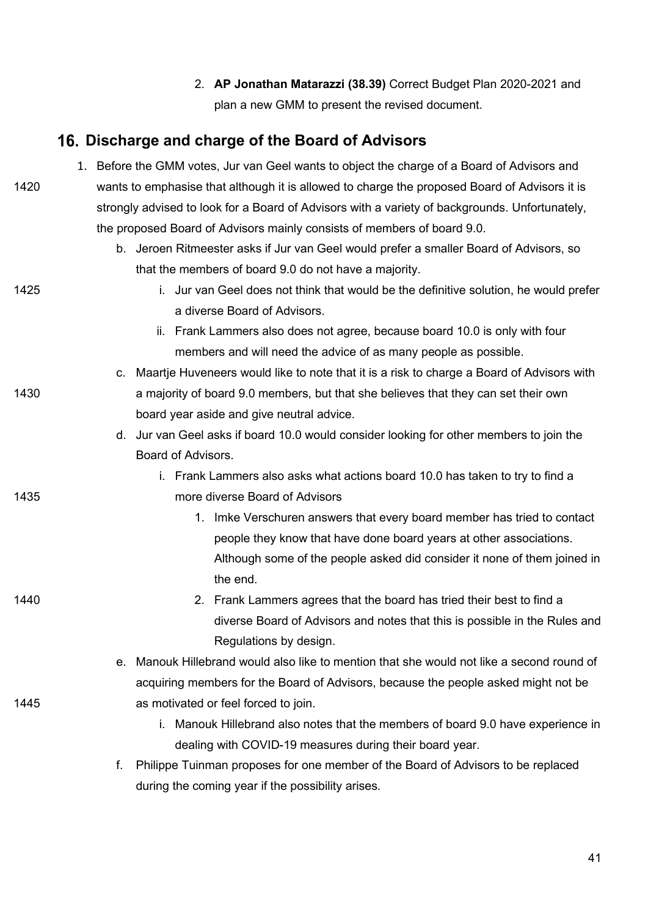2. **AP Jonathan Matarazzi (38.39)** Correct Budget Plan 2020-2021 and plan a new GMM to present the revised document.

# **Discharge and charge of the Board of Advisors**

|      |    | 1. Before the GMM votes, Jur van Geel wants to object the charge of a Board of Advisors and |                                                                                                |  |
|------|----|---------------------------------------------------------------------------------------------|------------------------------------------------------------------------------------------------|--|
| 1420 |    |                                                                                             | wants to emphasise that although it is allowed to charge the proposed Board of Advisors it is  |  |
|      |    |                                                                                             | strongly advised to look for a Board of Advisors with a variety of backgrounds. Unfortunately, |  |
|      |    |                                                                                             | the proposed Board of Advisors mainly consists of members of board 9.0.                        |  |
|      |    |                                                                                             | b. Jeroen Ritmeester asks if Jur van Geel would prefer a smaller Board of Advisors, so         |  |
|      |    |                                                                                             | that the members of board 9.0 do not have a majority.                                          |  |
| 1425 |    |                                                                                             | i. Jur van Geel does not think that would be the definitive solution, he would prefer          |  |
|      |    |                                                                                             | a diverse Board of Advisors.                                                                   |  |
|      |    |                                                                                             | ii. Frank Lammers also does not agree, because board 10.0 is only with four                    |  |
|      |    |                                                                                             | members and will need the advice of as many people as possible.                                |  |
|      |    |                                                                                             | c. Maartje Huveneers would like to note that it is a risk to charge a Board of Advisors with   |  |
| 1430 |    |                                                                                             | a majority of board 9.0 members, but that she believes that they can set their own             |  |
|      |    |                                                                                             | board year aside and give neutral advice.                                                      |  |
|      |    |                                                                                             | d. Jur van Geel asks if board 10.0 would consider looking for other members to join the        |  |
|      |    | Board of Advisors.                                                                          |                                                                                                |  |
|      |    |                                                                                             | i. Frank Lammers also asks what actions board 10.0 has taken to try to find a                  |  |
| 1435 |    |                                                                                             | more diverse Board of Advisors                                                                 |  |
|      |    |                                                                                             | 1. Imke Verschuren answers that every board member has tried to contact                        |  |
|      |    |                                                                                             | people they know that have done board years at other associations.                             |  |
|      |    |                                                                                             | Although some of the people asked did consider it none of them joined in                       |  |
|      |    |                                                                                             | the end.                                                                                       |  |
| 1440 |    |                                                                                             | 2. Frank Lammers agrees that the board has tried their best to find a                          |  |
|      |    |                                                                                             | diverse Board of Advisors and notes that this is possible in the Rules and                     |  |
|      |    |                                                                                             | Regulations by design.                                                                         |  |
|      |    |                                                                                             | e. Manouk Hillebrand would also like to mention that she would not like a second round of      |  |
|      |    |                                                                                             | acquiring members for the Board of Advisors, because the people asked might not be             |  |
| 1445 |    |                                                                                             | as motivated or feel forced to join.                                                           |  |
|      |    | i.                                                                                          | Manouk Hillebrand also notes that the members of board 9.0 have experience in                  |  |
|      |    |                                                                                             | dealing with COVID-19 measures during their board year.                                        |  |
|      | f. |                                                                                             | Philippe Tuinman proposes for one member of the Board of Advisors to be replaced               |  |

during the coming year if the possibility arises.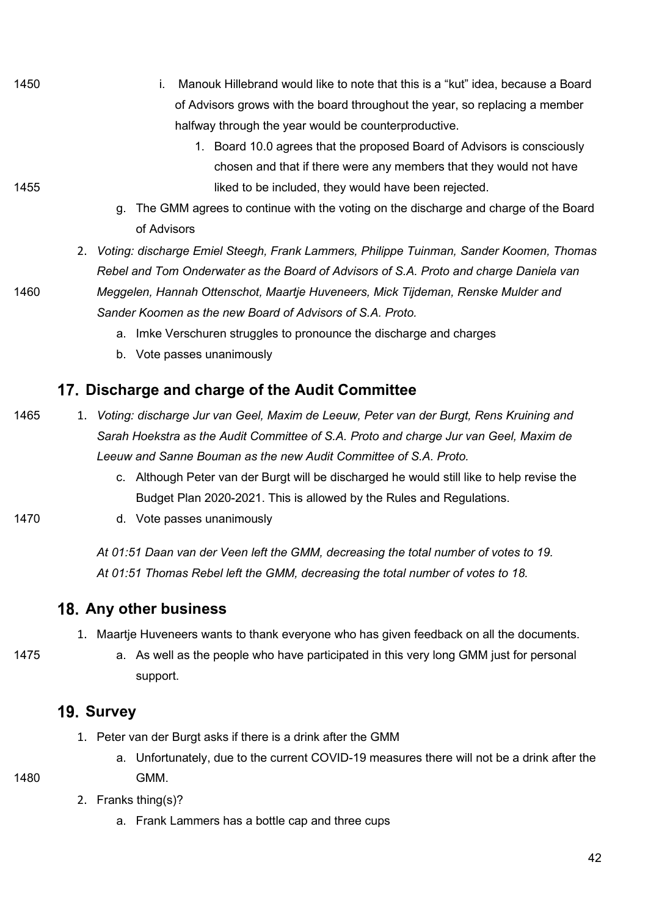- 1450 i. Manouk Hillebrand would like to note that this is a "kut" idea, because a Board of Advisors grows with the board throughout the year, so replacing a member halfway through the year would be counterproductive.
- 1. Board 10.0 agrees that the proposed Board of Advisors is consciously chosen and that if there were any members that they would not have 1455 **1455 I** and the included, they would have been rejected.
	- g. The GMM agrees to continue with the voting on the discharge and charge of the Board of Advisors
	- 2. *Voting: discharge Emiel Steegh, Frank Lammers, Philippe Tuinman, Sander Koomen, Thomas Rebel and Tom Onderwater as the Board of Advisors of S.A. Proto and charge Daniela van*
- 1460 *Meggelen, Hannah Ottenschot, Maartje Huveneers, Mick Tijdeman, Renske Mulder and Sander Koomen as the new Board of Advisors of S.A. Proto.* 
	- a. Imke Verschuren struggles to pronounce the discharge and charges
	- b. Vote passes unanimously

## **Discharge and charge of the Audit Committee**

- 1465 1. *Voting: discharge Jur van Geel, Maxim de Leeuw, Peter van der Burgt, Rens Kruining and Sarah Hoekstra as the Audit Committee of S.A. Proto and charge Jur van Geel, Maxim de Leeuw and Sanne Bouman as the new Audit Committee of S.A. Proto.*
	- c. Although Peter van der Burgt will be discharged he would still like to help revise the Budget Plan 2020-2021. This is allowed by the Rules and Regulations.
- 
- 1470 d. Vote passes unanimously

*At 01:51 Daan van der Veen left the GMM, decreasing the total number of votes to 19. At 01:51 Thomas Rebel left the GMM, decreasing the total number of votes to 18.*

#### **Any other business**

- 1. Maartje Huveneers wants to thank everyone who has given feedback on all the documents.
- 
- 1475 a. As well as the people who have participated in this very long GMM just for personal support.

#### **19. Survey**

- 1. Peter van der Burgt asks if there is a drink after the GMM
- a. Unfortunately, due to the current COVID-19 measures there will not be a drink after the 1480 GMM.
	- 2. Franks thing(s)?
		- a. Frank Lammers has a bottle cap and three cups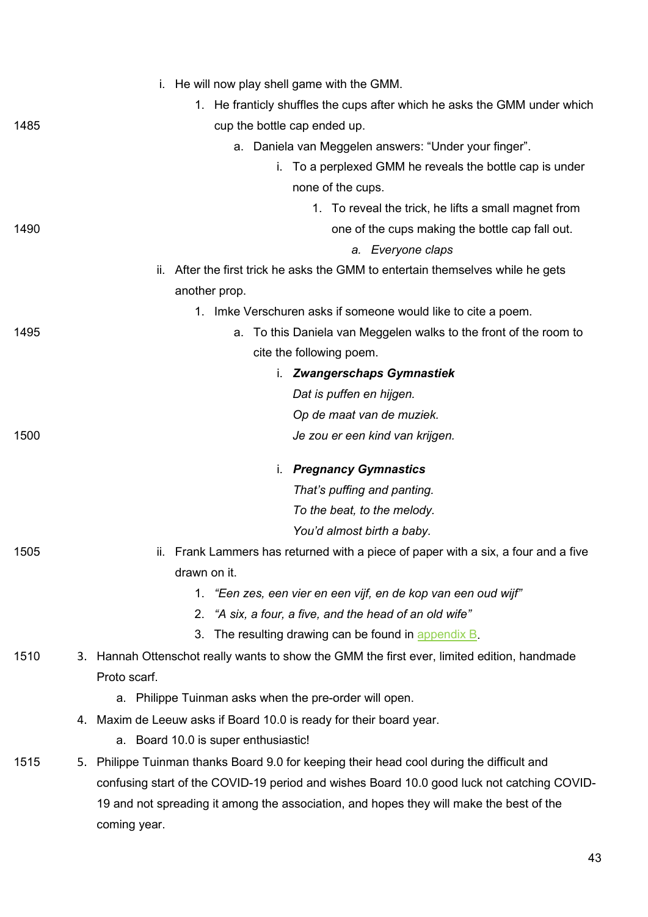|      | i. He will now play shell game with the GMM.                                                |
|------|---------------------------------------------------------------------------------------------|
|      | 1. He franticly shuffles the cups after which he asks the GMM under which                   |
| 1485 | cup the bottle cap ended up.                                                                |
|      | Daniela van Meggelen answers: "Under your finger".<br>а.                                    |
|      | i. To a perplexed GMM he reveals the bottle cap is under                                    |
|      | none of the cups.                                                                           |
|      | 1. To reveal the trick, he lifts a small magnet from                                        |
| 1490 | one of the cups making the bottle cap fall out.                                             |
|      | a. Everyone claps                                                                           |
|      | After the first trick he asks the GMM to entertain themselves while he gets<br>ii.          |
|      | another prop.                                                                               |
|      | 1. Imke Verschuren asks if someone would like to cite a poem.                               |
| 1495 | To this Daniela van Meggelen walks to the front of the room to<br>а.                        |
|      | cite the following poem.                                                                    |
|      | i. Zwangerschaps Gymnastiek                                                                 |
|      | Dat is puffen en hijgen.                                                                    |
|      | Op de maat van de muziek.                                                                   |
| 1500 | Je zou er een kind van krijgen.                                                             |
|      | i. Pregnancy Gymnastics                                                                     |
|      | That's puffing and panting.                                                                 |
|      | To the beat, to the melody.                                                                 |
|      | You'd almost birth a baby.                                                                  |
| 1505 | ii. Frank Lammers has returned with a piece of paper with a six, a four and a five          |
|      | drawn on it.                                                                                |
|      | 1. "Een zes, een vier en een vijf, en de kop van een oud wijf"                              |
|      | 2. "A six, a four, a five, and the head of an old wife"                                     |
|      | 3. The resulting drawing can be found in appendix B.                                        |
| 1510 | 3. Hannah Ottenschot really wants to show the GMM the first ever, limited edition, handmade |
|      | Proto scarf.                                                                                |
|      | a. Philippe Tuinman asks when the pre-order will open.                                      |
|      | 4. Maxim de Leeuw asks if Board 10.0 is ready for their board year.                         |
|      | a. Board 10.0 is super enthusiastic!                                                        |
| 1515 | 5. Philippe Tuinman thanks Board 9.0 for keeping their head cool during the difficult and   |
|      | confusing start of the COVID-19 period and wishes Board 10.0 good luck not catching COVID-  |
|      | 19 and not spreading it among the association, and hopes they will make the best of the     |
|      | coming year.                                                                                |
|      |                                                                                             |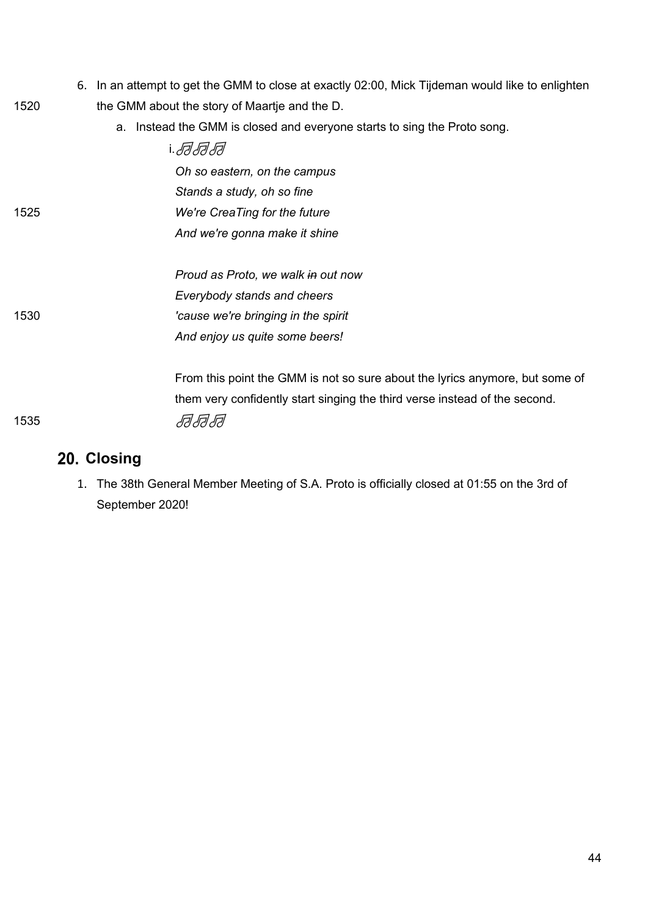- 6. In an attempt to get the GMM to close at exactly 02:00, Mick Tijdeman would like to enlighten 1520 the GMM about the story of Maartje and the D.
	- a. Instead the GMM is closed and everyone starts to sing the Proto song.

|      | Oh so eastern, on the campus                                                 |
|------|------------------------------------------------------------------------------|
|      | Stands a study, oh so fine                                                   |
| 1525 | We're CreaTing for the future                                                |
|      | And we're gonna make it shine                                                |
|      | Proud as Proto, we walk in out now                                           |
|      | Everybody stands and cheers                                                  |
| 1530 | 'cause we're bringing in the spirit                                          |
|      | And enjoy us quite some beers!                                               |
|      | From this point the GMM is not so sure about the lyrics anymore, but some of |
|      | them very confidently start singing the third verse instead of the second.   |
| 1535 |                                                                              |

## **Closing**

1. The 38th General Member Meeting of S.A. Proto is officially closed at 01:55 on the 3rd of September 2020!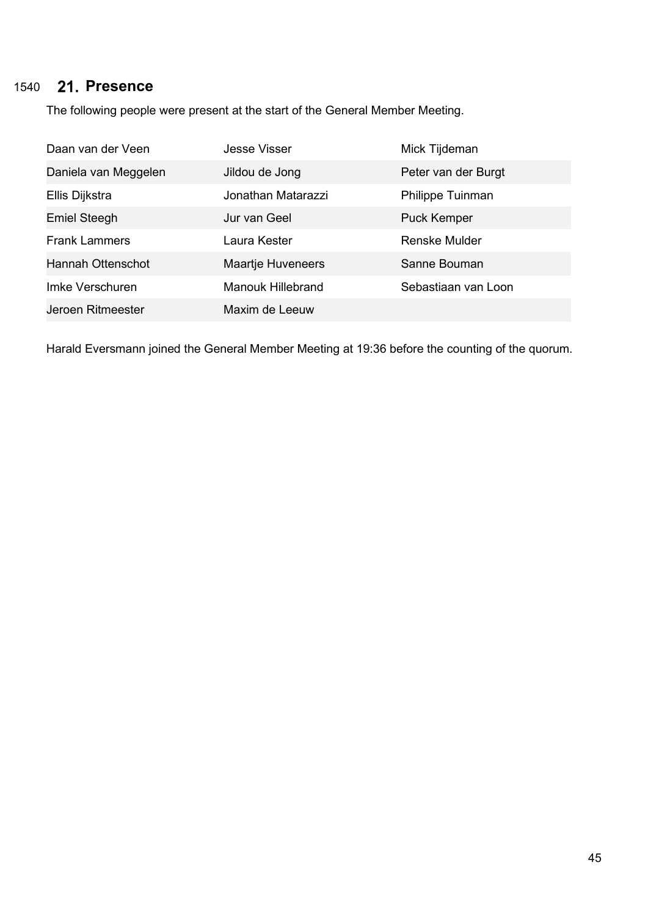## 1540 **Presence**

The following people were present at the start of the General Member Meeting.

| Daan van der Veen    | <b>Jesse Visser</b>      | Mick Tijdeman        |
|----------------------|--------------------------|----------------------|
| Daniela van Meggelen | Jildou de Jong           | Peter van der Burgt  |
| Ellis Dijkstra       | Jonathan Matarazzi       | Philippe Tuinman     |
| <b>Emiel Steegh</b>  | Jur van Geel             | <b>Puck Kemper</b>   |
| <b>Frank Lammers</b> | Laura Kester             | <b>Renske Mulder</b> |
| Hannah Ottenschot    | <b>Maartje Huveneers</b> | Sanne Bouman         |
| Imke Verschuren      | <b>Manouk Hillebrand</b> | Sebastiaan van Loon  |
| Jeroen Ritmeester    | Maxim de Leeuw           |                      |

Harald Eversmann joined the General Member Meeting at 19:36 before the counting of the quorum.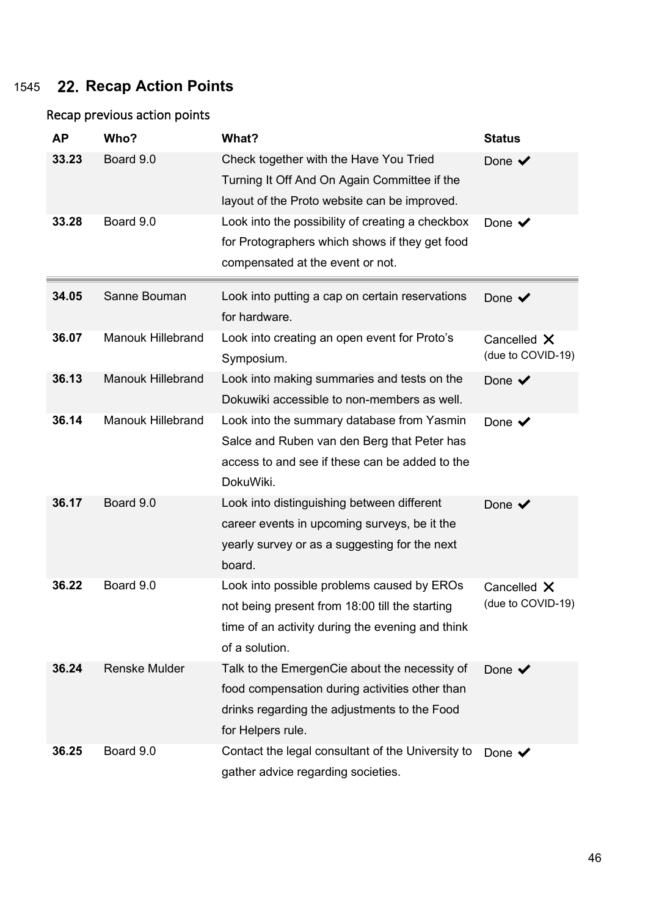## 1545 **Recap Action Points**

#### Recap previous action points

| <b>AP</b> | Who?                     | What?                                             | <b>Status</b>             |
|-----------|--------------------------|---------------------------------------------------|---------------------------|
| 33.23     | Board 9.0                | Check together with the Have You Tried            | Done $\blacktriangledown$ |
|           |                          | Turning It Off And On Again Committee if the      |                           |
|           |                          | layout of the Proto website can be improved.      |                           |
| 33.28     | Board 9.0                | Look into the possibility of creating a checkbox  | Done $\checkmark$         |
|           |                          | for Protographers which shows if they get food    |                           |
|           |                          | compensated at the event or not.                  |                           |
| 34.05     | Sanne Bouman             | Look into putting a cap on certain reservations   | Done $\checkmark$         |
|           |                          | for hardware.                                     |                           |
| 36.07     | <b>Manouk Hillebrand</b> | Look into creating an open event for Proto's      | Cancelled X               |
|           |                          | Symposium.                                        | (due to COVID-19)         |
| 36.13     | <b>Manouk Hillebrand</b> | Look into making summaries and tests on the       | Done $\checkmark$         |
|           |                          | Dokuwiki accessible to non-members as well.       |                           |
| 36.14     | <b>Manouk Hillebrand</b> | Look into the summary database from Yasmin        | Done $\checkmark$         |
|           |                          | Salce and Ruben van den Berg that Peter has       |                           |
|           |                          | access to and see if these can be added to the    |                           |
|           |                          | DokuWiki.                                         |                           |
| 36.17     | Board 9.0                | Look into distinguishing between different        | Done $\checkmark$         |
|           |                          | career events in upcoming surveys, be it the      |                           |
|           |                          | yearly survey or as a suggesting for the next     |                           |
|           |                          | board.                                            |                           |
| 36.22     | Board 9.0                | Look into possible problems caused by EROs        | Cancelled X               |
|           |                          | not being present from 18:00 till the starting    | (due to COVID-19)         |
|           |                          | time of an activity during the evening and think  |                           |
|           |                          | of a solution.                                    |                           |
| 36.24     | <b>Renske Mulder</b>     | Talk to the EmergenCie about the necessity of     | Done $\checkmark$         |
|           |                          | food compensation during activities other than    |                           |
|           |                          | drinks regarding the adjustments to the Food      |                           |
|           |                          | for Helpers rule.                                 |                           |
| 36.25     | Board 9.0                | Contact the legal consultant of the University to | Done $\checkmark$         |
|           |                          | gather advice regarding societies.                |                           |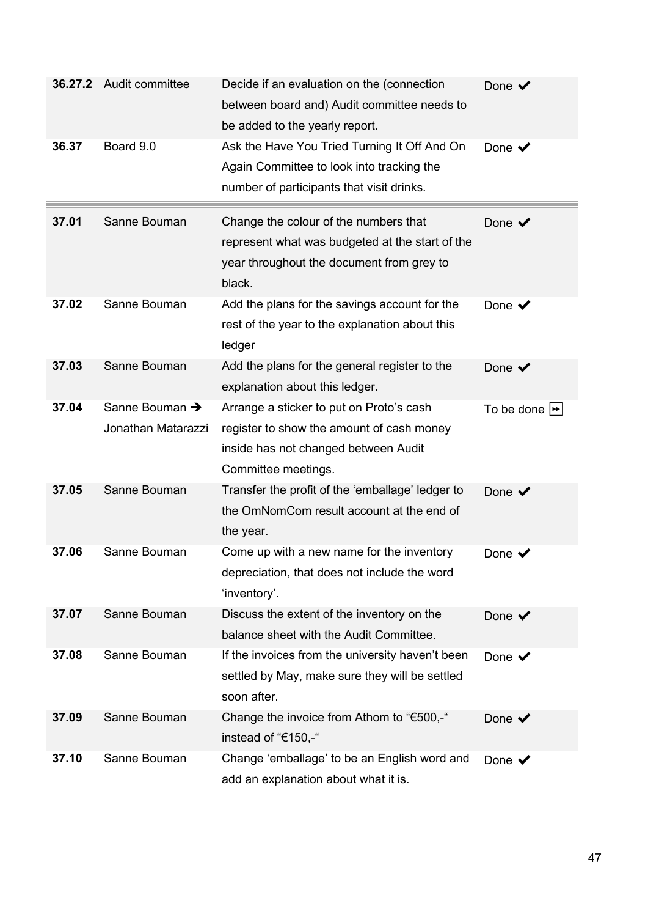| 36.27.2 | Audit committee                                  | Decide if an evaluation on the (connection<br>between board and) Audit committee needs to<br>be added to the yearly report.                          | Done $\checkmark$                |
|---------|--------------------------------------------------|------------------------------------------------------------------------------------------------------------------------------------------------------|----------------------------------|
| 36.37   | Board 9.0                                        | Ask the Have You Tried Turning It Off And On<br>Again Committee to look into tracking the<br>number of participants that visit drinks.               | Done $\checkmark$                |
| 37.01   | Sanne Bouman                                     | Change the colour of the numbers that<br>represent what was budgeted at the start of the<br>year throughout the document from grey to<br>black.      | Done $\checkmark$                |
| 37.02   | Sanne Bouman                                     | Add the plans for the savings account for the<br>rest of the year to the explanation about this<br>ledger                                            | Done $\checkmark$                |
| 37.03   | Sanne Bouman                                     | Add the plans for the general register to the<br>explanation about this ledger.                                                                      | Done $\checkmark$                |
| 37.04   | Sanne Bouman $\rightarrow$<br>Jonathan Matarazzi | Arrange a sticker to put on Proto's cash<br>register to show the amount of cash money<br>inside has not changed between Audit<br>Committee meetings. | To be done $\blacktriangleright$ |
| 37.05   | Sanne Bouman                                     | Transfer the profit of the 'emballage' ledger to<br>the OmNomCom result account at the end of<br>the year.                                           | Done $\checkmark$                |
| 37.06   | Sanne Bouman                                     | Come up with a new name for the inventory<br>depreciation, that does not include the word<br>'inventory'.                                            | Done $\checkmark$                |
| 37.07   | Sanne Bouman                                     | Discuss the extent of the inventory on the<br>balance sheet with the Audit Committee.                                                                | Done $\blacktriangledown$        |
| 37.08   | Sanne Bouman                                     | If the invoices from the university haven't been<br>settled by May, make sure they will be settled<br>soon after.                                    | Done $\checkmark$                |
| 37.09   | Sanne Bouman                                     | Change the invoice from Athom to "€500,-"<br>instead of "€150,-"                                                                                     | Done $\blacktriangledown$        |
| 37.10   | Sanne Bouman                                     | Change 'emballage' to be an English word and<br>add an explanation about what it is.                                                                 | Done $\blacktriangledown$        |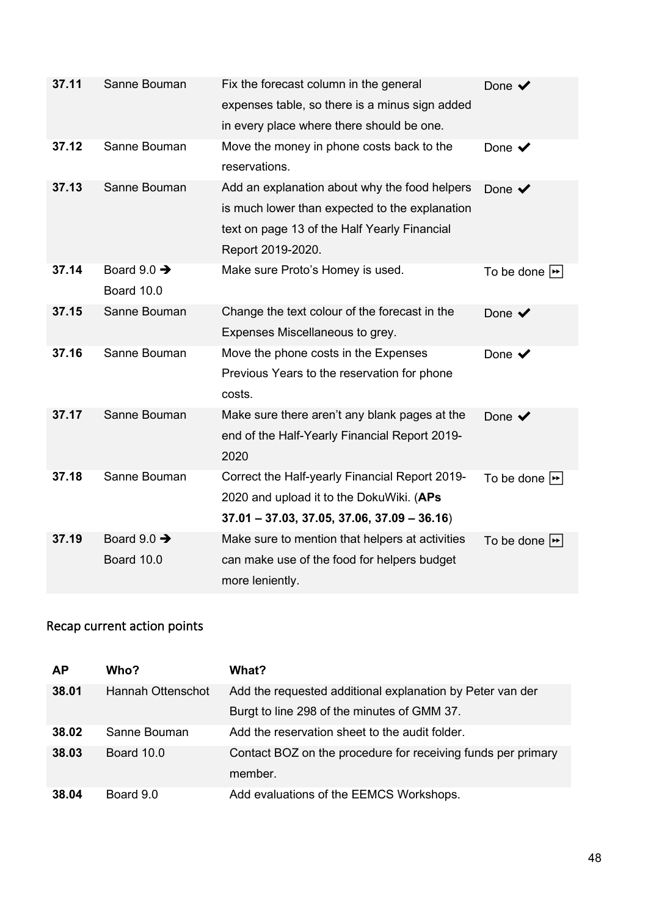| 37.11 | Sanne Bouman                          | Fix the forecast column in the general<br>expenses table, so there is a minus sign added<br>in every place where there should be one.                                | Done $\blacktriangledown$        |
|-------|---------------------------------------|----------------------------------------------------------------------------------------------------------------------------------------------------------------------|----------------------------------|
| 37.12 | Sanne Bouman                          | Move the money in phone costs back to the<br>reservations.                                                                                                           | Done $\checkmark$                |
| 37.13 | Sanne Bouman                          | Add an explanation about why the food helpers<br>is much lower than expected to the explanation<br>text on page 13 of the Half Yearly Financial<br>Report 2019-2020. | Done $\checkmark$                |
| 37.14 | Board $9.0 \rightarrow$<br>Board 10.0 | Make sure Proto's Homey is used.                                                                                                                                     | To be done $\blacktriangleright$ |
| 37.15 | Sanne Bouman                          | Change the text colour of the forecast in the<br>Expenses Miscellaneous to grey.                                                                                     | Done $\checkmark$                |
| 37.16 | Sanne Bouman                          | Move the phone costs in the Expenses<br>Previous Years to the reservation for phone<br>costs.                                                                        | Done $\checkmark$                |
| 37.17 | Sanne Bouman                          | Make sure there aren't any blank pages at the<br>end of the Half-Yearly Financial Report 2019-<br>2020                                                               | Done $\checkmark$                |
| 37.18 | Sanne Bouman                          | Correct the Half-yearly Financial Report 2019-<br>2020 and upload it to the DokuWiki. (APs<br>$37.01 - 37.03, 37.05, 37.06, 37.09 - 36.16$                           | To be done $\blacktriangleright$ |
| 37.19 | Board $9.0 \rightarrow$<br>Board 10.0 | Make sure to mention that helpers at activities<br>can make use of the food for helpers budget<br>more leniently.                                                    | To be done $\blacktriangleright$ |

## Recap current action points

| <b>AP</b> | Who?              | What?                                                        |
|-----------|-------------------|--------------------------------------------------------------|
| 38.01     | Hannah Ottenschot | Add the requested additional explanation by Peter van der    |
|           |                   | Burgt to line 298 of the minutes of GMM 37.                  |
| 38.02     | Sanne Bouman      | Add the reservation sheet to the audit folder.               |
| 38.03     | Board 10.0        | Contact BOZ on the procedure for receiving funds per primary |
|           |                   | member.                                                      |
| 38.04     | Board 9.0         | Add evaluations of the EEMCS Workshops.                      |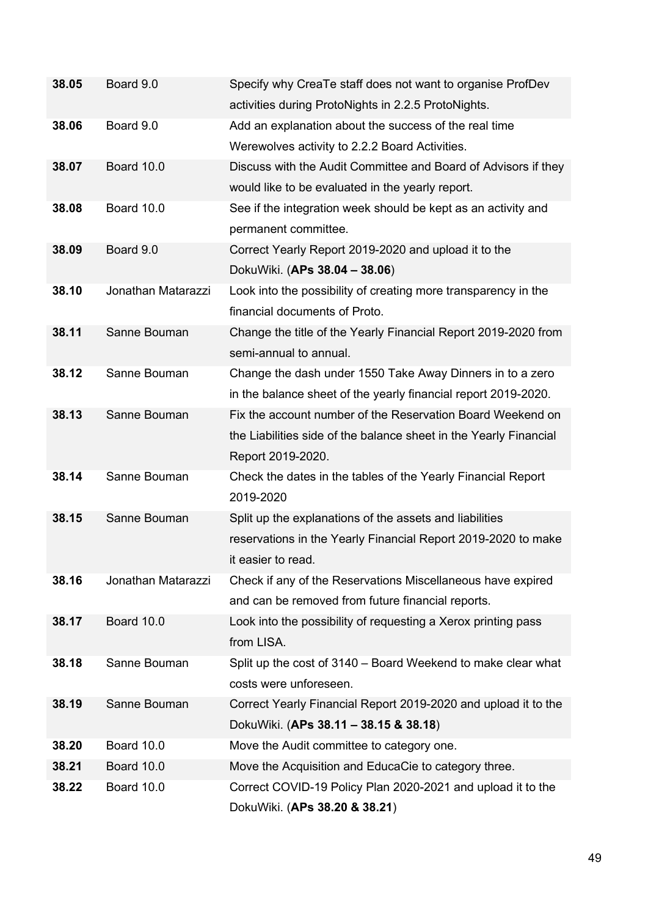| 38.05 | Board 9.0          | Specify why CreaTe staff does not want to organise ProfDev<br>activities during ProtoNights in 2.2.5 ProtoNights. |
|-------|--------------------|-------------------------------------------------------------------------------------------------------------------|
| 38.06 | Board 9.0          | Add an explanation about the success of the real time                                                             |
|       |                    | Werewolves activity to 2.2.2 Board Activities.                                                                    |
| 38.07 | Board 10.0         | Discuss with the Audit Committee and Board of Advisors if they                                                    |
|       |                    | would like to be evaluated in the yearly report.                                                                  |
| 38.08 | Board 10.0         | See if the integration week should be kept as an activity and                                                     |
|       |                    | permanent committee.                                                                                              |
| 38.09 | Board 9.0          | Correct Yearly Report 2019-2020 and upload it to the                                                              |
|       |                    | DokuWiki. (APs 38.04 - 38.06)                                                                                     |
| 38.10 | Jonathan Matarazzi | Look into the possibility of creating more transparency in the                                                    |
|       |                    | financial documents of Proto.                                                                                     |
| 38.11 | Sanne Bouman       | Change the title of the Yearly Financial Report 2019-2020 from                                                    |
|       |                    | semi-annual to annual.                                                                                            |
| 38.12 | Sanne Bouman       | Change the dash under 1550 Take Away Dinners in to a zero                                                         |
|       |                    | in the balance sheet of the yearly financial report 2019-2020.                                                    |
| 38.13 | Sanne Bouman       | Fix the account number of the Reservation Board Weekend on                                                        |
|       |                    | the Liabilities side of the balance sheet in the Yearly Financial                                                 |
|       |                    | Report 2019-2020.                                                                                                 |
| 38.14 | Sanne Bouman       | Check the dates in the tables of the Yearly Financial Report                                                      |
|       |                    | 2019-2020                                                                                                         |
| 38.15 | Sanne Bouman       | Split up the explanations of the assets and liabilities                                                           |
|       |                    | reservations in the Yearly Financial Report 2019-2020 to make                                                     |
|       |                    | it easier to read.                                                                                                |
| 38.16 | Jonathan Matarazzi | Check if any of the Reservations Miscellaneous have expired                                                       |
|       |                    | and can be removed from future financial reports.                                                                 |
| 38.17 | Board 10.0         | Look into the possibility of requesting a Xerox printing pass                                                     |
|       |                    | from LISA.                                                                                                        |
| 38.18 | Sanne Bouman       | Split up the cost of 3140 – Board Weekend to make clear what                                                      |
|       |                    | costs were unforeseen.                                                                                            |
| 38.19 | Sanne Bouman       | Correct Yearly Financial Report 2019-2020 and upload it to the                                                    |
|       |                    | DokuWiki. (APs 38.11 - 38.15 & 38.18)                                                                             |
| 38.20 | Board 10.0         | Move the Audit committee to category one.                                                                         |
| 38.21 | Board 10.0         | Move the Acquisition and EducaCie to category three.                                                              |
| 38.22 | Board 10.0         | Correct COVID-19 Policy Plan 2020-2021 and upload it to the                                                       |
|       |                    | DokuWiki. (APs 38.20 & 38.21)                                                                                     |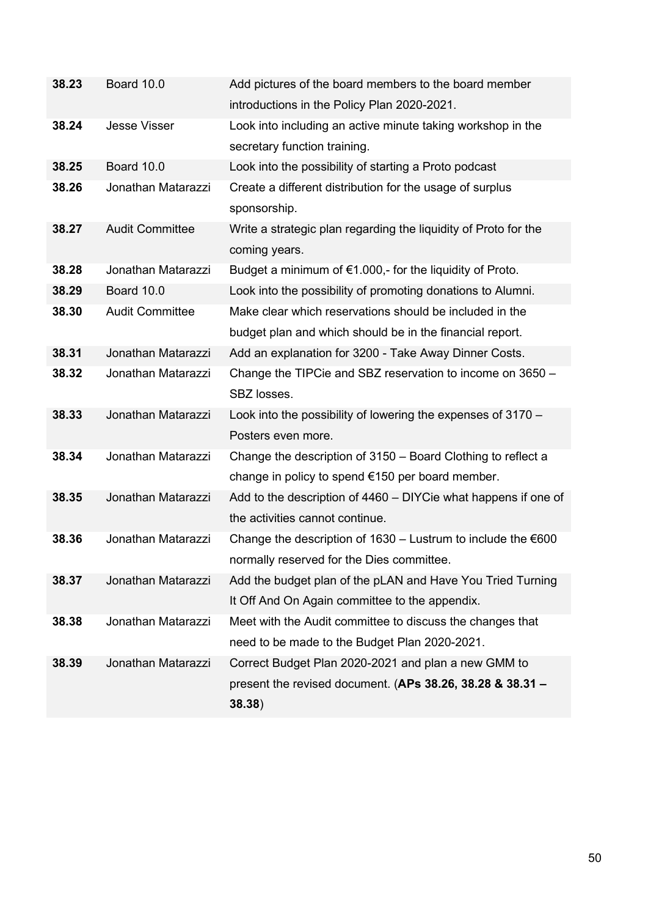| 38.23 | Board 10.0             | Add pictures of the board members to the board member            |
|-------|------------------------|------------------------------------------------------------------|
|       |                        | introductions in the Policy Plan 2020-2021.                      |
| 38.24 | <b>Jesse Visser</b>    | Look into including an active minute taking workshop in the      |
|       |                        | secretary function training.                                     |
| 38.25 | Board 10.0             | Look into the possibility of starting a Proto podcast            |
| 38.26 | Jonathan Matarazzi     | Create a different distribution for the usage of surplus         |
|       |                        | sponsorship.                                                     |
| 38.27 | <b>Audit Committee</b> | Write a strategic plan regarding the liquidity of Proto for the  |
|       |                        | coming years.                                                    |
| 38.28 | Jonathan Matarazzi     | Budget a minimum of €1.000,- for the liquidity of Proto.         |
| 38.29 | Board 10.0             | Look into the possibility of promoting donations to Alumni.      |
| 38.30 | <b>Audit Committee</b> | Make clear which reservations should be included in the          |
|       |                        | budget plan and which should be in the financial report.         |
| 38.31 | Jonathan Matarazzi     | Add an explanation for 3200 - Take Away Dinner Costs.            |
| 38.32 | Jonathan Matarazzi     | Change the TIPCie and SBZ reservation to income on 3650 -        |
|       |                        | SBZ losses.                                                      |
| 38.33 | Jonathan Matarazzi     | Look into the possibility of lowering the expenses of 3170 -     |
|       |                        | Posters even more.                                               |
| 38.34 | Jonathan Matarazzi     | Change the description of 3150 - Board Clothing to reflect a     |
|       |                        | change in policy to spend €150 per board member.                 |
| 38.35 | Jonathan Matarazzi     | Add to the description of 4460 - DIYCie what happens if one of   |
|       |                        | the activities cannot continue.                                  |
| 38.36 | Jonathan Matarazzi     | Change the description of $1630 -$ Lustrum to include the $€600$ |
|       |                        | normally reserved for the Dies committee.                        |
| 38.37 | Jonathan Matarazzi     | Add the budget plan of the pLAN and Have You Tried Turning       |
|       |                        | It Off And On Again committee to the appendix.                   |
| 38.38 | Jonathan Matarazzi     | Meet with the Audit committee to discuss the changes that        |
|       |                        | need to be made to the Budget Plan 2020-2021.                    |
| 38.39 | Jonathan Matarazzi     | Correct Budget Plan 2020-2021 and plan a new GMM to              |
|       |                        | present the revised document. (APs 38.26, 38.28 & 38.31 $-$      |
|       |                        | 38.38)                                                           |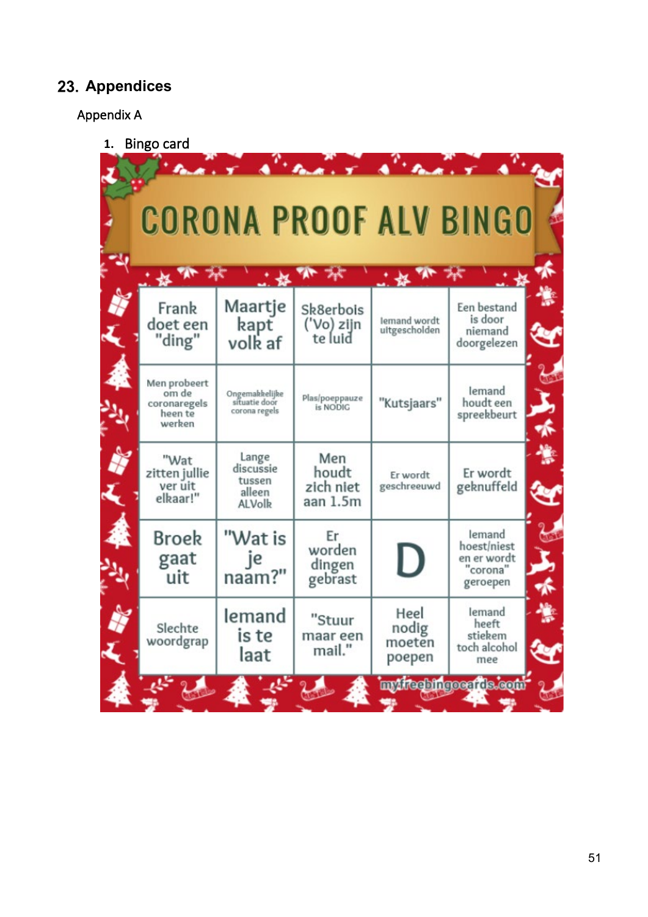#### <span id="page-50-0"></span>**Appendices**

#### Appendix A

**1.** Bingo card

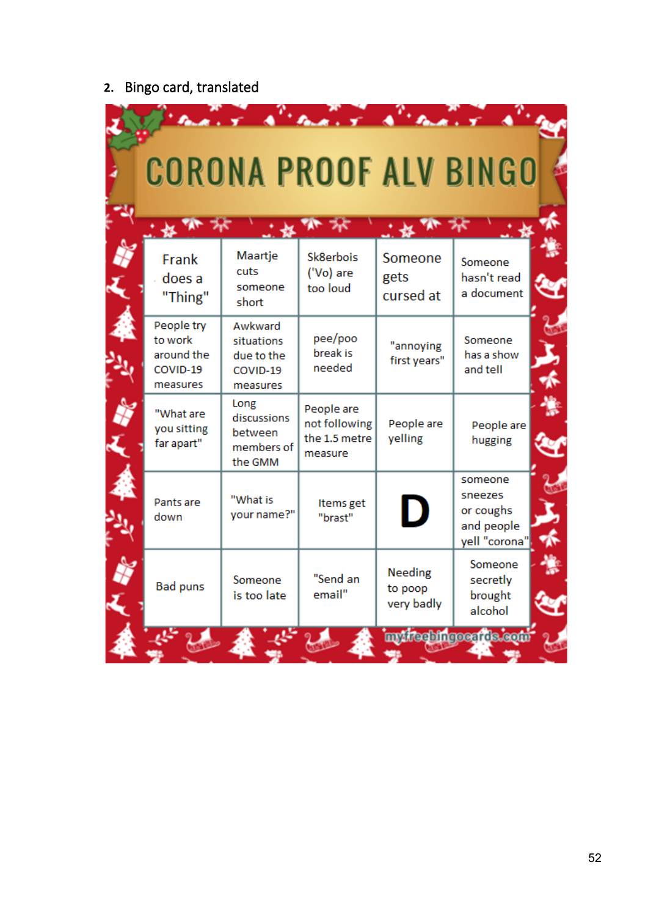# **2.** Bingo card, translated

|                                                             | <b>CORONA PROOF ALV BINGO</b>                               |                                                         |                                         |                                                                |
|-------------------------------------------------------------|-------------------------------------------------------------|---------------------------------------------------------|-----------------------------------------|----------------------------------------------------------------|
| Frank<br>does a<br>"Thing"                                  | Maartje<br>cuts<br>someone<br>short                         | Sk8erbois<br>('Vo) are<br>too loud                      | Someone<br>gets<br>cursed at            | Someone<br>hasn't read<br>a document                           |
| People try<br>to work<br>around the<br>COVID-19<br>measures | Awkward<br>situations<br>due to the<br>COVID-19<br>measures | pee/poo<br>break is<br>needed                           | "annoying<br>first years"               | Someone<br>has a show<br>and tell                              |
| "What are<br>you sitting<br>far apart"                      | Long<br>discussions<br>between<br>members of<br>the GMM     | People are<br>not following<br>the 1.5 metre<br>measure | People are<br>yelling                   | People are<br>hugging                                          |
| Pants are<br>down                                           | "What is<br>your name?"                                     | Items get<br>"brast"                                    | D                                       | someone<br>sneezes<br>or coughs<br>and people<br>yell "corona" |
| <b>Bad puns</b>                                             | Someone<br>is too late                                      | "Send an<br>email"                                      | <b>Needing</b><br>to poop<br>very badly | Someone<br>secretly<br>brought<br>alcohol                      |